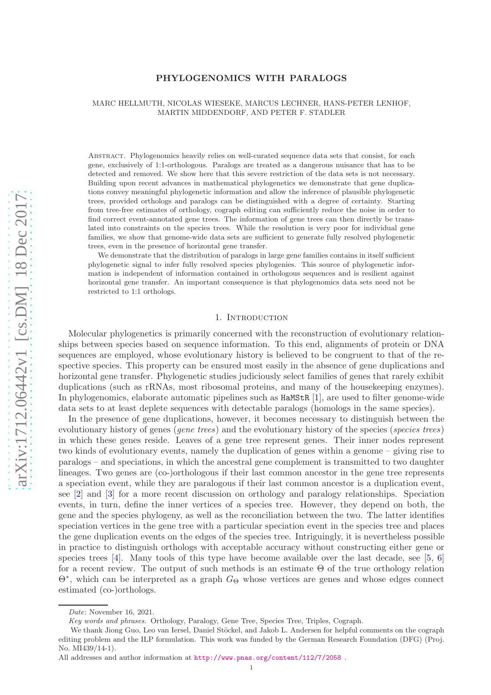# arXiv:1712.06442v1 [cs.DM] 18 Dec 2017 [arXiv:1712.06442v1 \[cs.DM\] 18 Dec 2017](http://arxiv.org/abs/1712.06442v1)

# PHYLOGENOMICS WITH PARALOGS

# MARC HELLMUTH, NICOLAS WIESEKE, MARCUS LECHNER, HANS-PETER LENHOF, MARTIN MIDDENDORF, AND PETER F. STADLER

Abstract. Phylogenomics heavily relies on well-curated sequence data sets that consist, for each gene, exclusively of 1:1-orthologous. Paralogs are treated as a dangerous nuisance that has to be detected and removed. We show here that this severe restriction of the data sets is not necessary. Building upon recent advances in mathematical phylogenetics we demonstrate that gene duplications convey meaningful phylogenetic information and allow the inference of plausible phylogenetic trees, provided orthologs and paralogs can be distinguished with a degree of certainty. Starting from tree-free estimates of orthology, cograph editing can sufficiently reduce the noise in order to find correct event-annotated gene trees. The information of gene trees can then directly be translated into constraints on the species trees. While the resolution is very poor for individual gene families, we show that genome-wide data sets are sufficient to generate fully resolved phylogenetic trees, even in the presence of horizontal gene transfer.

We demonstrate that the distribution of paralogs in large gene families contains in itself sufficient phylogenetic signal to infer fully resolved species phylogenies. This source of phylogenetic information is independent of information contained in orthologous sequences and is resilient against horizontal gene transfer. An important consequence is that phylogenomics data sets need not be restricted to 1:1 orthologs.

# 1. INTRODUCTION

Molecular phylogenetics is primarily concerned with the reconstruction of evolutionary relationships between species based on sequence information. To this end, alignments of protein or DNA sequences are employed, whose evolutionary history is believed to be congruent to that of the respective species. This property can be ensured most easily in the absence of gene duplications and horizontal gene transfer. Phylogenetic studies judiciously select families of genes that rarely exhibit duplications (such as rRNAs, most ribosomal proteins, and many of the housekeeping enzymes). In phylogenomics, elaborate automatic pipelines such as  $\texttt{HaMStR}$  [[1\]](#page-36-0), are used to filter genome-wide data sets to at least deplete sequences with detectable paralogs (homologs in the same species).

In the presence of gene duplications, however, it becomes necessary to distinguish between the evolutionary history of genes (*gene trees*) and the evolutionary history of the species (*species trees*) in which these genes reside. Leaves of a gene tree represent genes. Their inner nodes represent two kinds of evolutionary events, namely the duplication of genes within a genome – giving rise to paralogs – and speciations, in which the ancestral gene complement is transmitted to two daughter lineages. Two genes are (co-)orthologous if their last common ancestor in the gene tree represents a speciation event, while they are paralogous if their last common ancestor is a duplication event, see [ [2\]](#page-36-1) and [ [3\]](#page-36-2) for a more recent discussion on orthology and paralogy relationships. Speciation events, in turn, define the inner vertices of a species tree. However, they depend on both, the gene and the species phylogeny, as well as the reconciliation between the two. The latter identifies speciation vertices in the gene tree with a particular speciation event in the species tree and places the gene duplication events on the edges of the species tree. Intriguingly, it is nevertheless possible in practice to distinguish orthologs with acceptable accuracy without constructing either gene or species trees  $[4]$  $[4]$ . Many tools of this type have become available over the last decade, see  $[5, 6]$  $[5, 6]$  $[5, 6]$  $[5, 6]$  $[5, 6]$ for a recent review. The output of such methods is an estimate  $\Theta$  of the true orthology relation Θ<sup>∗</sup> , which can be interpreted as a graph G <sup>Θ</sup> whose vertices are genes and whose edges connect estimated (co-)orthologs.

*Date*: November 16, 2021.

*Key words and phrases.* Orthology, Paralogy, Gene Tree, Species Tree, Triples, Cograph.

We thank Jiong Guo, Leo van Iersel, Daniel Stöckel, and Jakob L. Andersen for helpful comments on the cograph editing problem and the ILP formulation. This work was funded by the German Research Foundation (DFG) (Proj. No. MI439/14-1).

All addresses and author information at <http://www.pnas.org/content/112/7/2058> .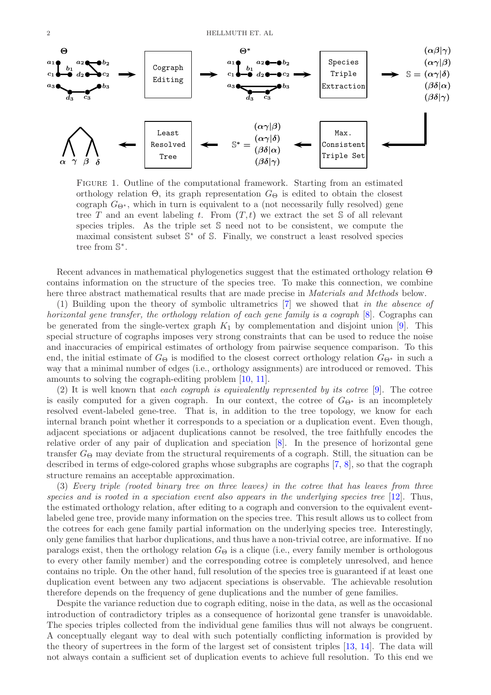

FIGURE 1. Outline of the computational framework. Starting from an estimated orthology relation  $\Theta$ , its graph representation  $G_{\Theta}$  is edited to obtain the closest cograph  $G_{\Theta^*}$ , which in turn is equivalent to a (not necessarily fully resolved) gene tree T and an event labeling t. From  $(T, t)$  we extract the set S of all relevant species triples. As the triple set S need not to be consistent, we compute the maximal consistent subset  $\mathbb{S}^*$  of  $\mathbb{S}$ . Finally, we construct a least resolved species tree from S ∗ .

Recent advances in mathematical phylogenetics suggest that the estimated orthology relation Θ contains information on the structure of the species tree. To make this connection, we combine here three abstract mathematical results that are made precise in *Materials and Methods* below.

(1) Building upon the theory of symbolic ultrametrics [\[7\]](#page-36-6) we showed that in the absence of horizontal gene transfer, the orthology relation of each gene family is a cograph [\[8\]](#page-36-7). Cographs can be generated from the single-vertex graph  $K_1$  by complementation and disjoint union [\[9\]](#page-36-8). This special structure of cographs imposes very strong constraints that can be used to reduce the noise and inaccuracies of empirical estimates of orthology from pairwise sequence comparison. To this end, the initial estimate of  $G_{\Theta}$  is modified to the closest correct orthology relation  $G_{\Theta^*}$  in such a way that a minimal number of edges (i.e., orthology assignments) are introduced or removed. This amounts to solving the cograph-editing problem [\[10,](#page-36-9) [11\]](#page-36-10).

(2) It is well known that each cograph is equivalently represented by its cotree  $[9]$ . The cotree is easily computed for a given cograph. In our context, the cotree of  $G_{\Theta^*}$  is an incompletely resolved event-labeled gene-tree. That is, in addition to the tree topology, we know for each internal branch point whether it corresponds to a speciation or a duplication event. Even though, adjacent speciations or adjacent duplications cannot be resolved, the tree faithfully encodes the relative order of any pair of duplication and speciation [\[8\]](#page-36-7). In the presence of horizontal gene transfer  $G_{\Theta}$  may deviate from the structural requirements of a cograph. Still, the situation can be described in terms of edge-colored graphs whose subgraphs are cographs [\[7,](#page-36-6) [8\]](#page-36-7), so that the cograph structure remains an acceptable approximation.

(3) Every triple (rooted binary tree on three leaves) in the cotree that has leaves from three species and is rooted in a speciation event also appears in the underlying species tree  $[12]$ . Thus, the estimated orthology relation, after editing to a cograph and conversion to the equivalent eventlabeled gene tree, provide many information on the species tree. This result allows us to collect from the cotrees for each gene family partial information on the underlying species tree. Interestingly, only gene families that harbor duplications, and thus have a non-trivial cotree, are informative. If no paralogs exist, then the orthology relation  $G_{\Theta}$  is a clique (i.e., every family member is orthologous to every other family member) and the corresponding cotree is completely unresolved, and hence contains no triple. On the other hand, full resolution of the species tree is guaranteed if at least one duplication event between any two adjacent speciations is observable. The achievable resolution therefore depends on the frequency of gene duplications and the number of gene families.

Despite the variance reduction due to cograph editing, noise in the data, as well as the occasional introduction of contradictory triples as a consequence of horizontal gene transfer is unavoidable. The species triples collected from the individual gene families thus will not always be congruent. A conceptually elegant way to deal with such potentially conflicting information is provided by the theory of supertrees in the form of the largest set of consistent triples [\[13,](#page-36-12) [14\]](#page-36-13). The data will not always contain a sufficient set of duplication events to achieve full resolution. To this end we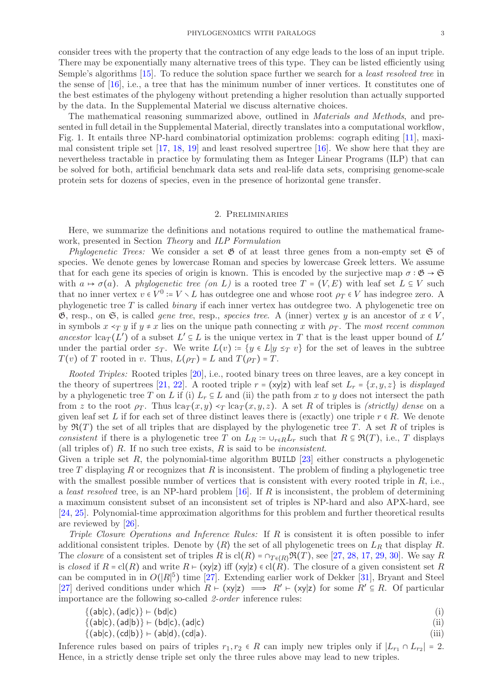consider trees with the property that the contraction of any edge leads to the loss of an input triple. There may be exponentially many alternative trees of this type. They can be listed efficiently using Semple's algorithms [\[15\]](#page-36-14). To reduce the solution space further we search for a least resolved tree in the sense of  $[16]$ , i.e., a tree that has the minimum number of inner vertices. It constitutes one of the best estimates of the phylogeny without pretending a higher resolution than actually supported by the data. In the Supplemental Material we discuss alternative choices.

The mathematical reasoning summarized above, outlined in Materials and Methods, and presented in full detail in the Supplemental Material, directly translates into a computational workflow, Fig. 1. It entails three NP-hard combinatorial optimization problems: cograph editing [\[11\]](#page-36-10), maximal consistent triple set [\[17,](#page-36-16) [18,](#page-36-17) [19\]](#page-36-18) and least resolved supertree [\[16\]](#page-36-15). We show here that they are nevertheless tractable in practice by formulating them as Integer Linear Programs (ILP) that can be solved for both, artificial benchmark data sets and real-life data sets, comprising genome-scale protein sets for dozens of species, even in the presence of horizontal gene transfer.

### 2. Preliminaries

Here, we summarize the definitions and notations required to outline the mathematical framework, presented in Section Theory and ILP Formulation

Phylogenetic Trees: We consider a set  $\mathfrak G$  of at least three genes from a non-empty set  $\mathfrak S$  of species. We denote genes by lowercase Roman and species by lowercase Greek letters. We assume that for each gene its species of origin is known. This is encoded by the surjective map  $\sigma : \mathfrak{G} \to \mathfrak{S}$ with  $a \mapsto \sigma(a)$ . A phylogenetic tree (on L) is a rooted tree  $T = (V, E)$  with leaf set  $L \subseteq V$  such that no inner vertex  $v \in V^0 := V \setminus L$  has outdegree one and whose root  $\rho_T \in V$  has indegree zero. A phylogenetic tree  $T$  is called *binary* if each inner vertex has outdegree two. A phylogenetic tree on  $\mathfrak{G}$ , resp., on  $\mathfrak{S}$ , is called *gene tree*, resp., *species tree.* A (inner) vertex y is an ancestor of  $x \in V$ , in symbols  $x \leq_T y$  if  $y \neq x$  lies on the unique path connecting x with  $\rho_T$ . The most recent common ancestor  $lca_T(L')$  of a subset  $L' \subseteq L$  is the unique vertex in T that is the least upper bound of  $L'$ under the partial order  $\leq_T$ . We write  $L(v) := \{y \in L | y \leq_T v\}$  for the set of leaves in the subtree  $T(v)$  of T rooted in v. Thus,  $L(\rho_T) = L$  and  $T(\rho_T) = T$ .

Rooted Triples: Rooted triples [\[20\]](#page-36-19), i.e., rooted binary trees on three leaves, are a key concept in the theory of supertrees [\[21,](#page-36-20) [22\]](#page-36-21). A rooted triple  $r = (xy|z)$  with leaf set  $L_r = \{x, y, z\}$  is *displayed* by a phylogenetic tree T on L if (i)  $L_r \subseteq L$  and (ii) the path from x to y does not intersect the path from z to the root  $\rho_T$ . Thus lca $_T(x, y) \leq_T \text{lc}(\pi, y, z)$ . A set R of triples is *(strictly) dense* on a given leaf set L if for each set of three distinct leaves there is (exactly) one triple  $r \in R$ . We denote by  $\mathfrak{R}(T)$  the set of all triples that are displayed by the phylogenetic tree T. A set R of triples is consistent if there is a phylogenetic tree T on  $L_R = \cup_{r \in R} L_r$  such that  $R \subseteq \mathfrak{R}(T)$ , i.e., T displays (all triples of) R. If no such tree exists, R is said to be *inconsistent*.

Given a triple set  $R$ , the polynomial-time algorithm BUILD [\[23\]](#page-36-22) either constructs a phylogenetic tree T displaying R or recognizes that R is inconsistent. The problem of finding a phylogenetic tree with the smallest possible number of vertices that is consistent with every rooted triple in  $R$ , i.e., a least resolved tree, is an NP-hard problem  $[16]$ . If R is inconsistent, the problem of determining a maximum consistent subset of an inconsistent set of triples is NP-hard and also APX-hard, see [\[24,](#page-36-23) [25\]](#page-36-24). Polynomial-time approximation algorithms for this problem and further theoretical results are reviewed by [\[26\]](#page-36-25).

Triple Closure Operations and Inference Rules: If R is consistent it is often possible to infer additional consistent triples. Denote by  $\langle R \rangle$  the set of all phylogenetic trees on  $L_R$  that display R. The *closure* of a consistent set of triples  $R$  is  $cl(R) = \bigcap_{T \in (R)} \mathfrak{R}(T)$ , see [\[27,](#page-36-26) [28,](#page-36-27) [17,](#page-36-16) [29,](#page-36-28) [30\]](#page-36-29). We say R is closed if  $R = cl(R)$  and write  $R \vdash (xy|z)$  iff  $(xy|z) \in cl(R)$ . The closure of a given consistent set R can be computed in in  $O(|R|^5)$  time [\[27\]](#page-36-26). Extending earlier work of Dekker [\[31\]](#page-36-30), Bryant and Steel [\[27\]](#page-36-26) derived conditions under which  $R \vdash (xy|z) \implies R' \vdash (xy|z)$  for some  $R' \subseteq R$ . Of particular importance are the following so-called 2-order inference rules:

$$
\begin{array}{l}\n\{(ab|c), (ad|c)\} \vdash (bd|c) \\
\{(ab|c), (ad|b)\} \vdash (bd|c), (ad|c)\n\end{array}
$$
\n(i)

$$
\{(ab|c), (cd|b)\} \vdash (ab|d), (cd|a).
$$
\n<sup>(iii)</sup>

Inference rules based on pairs of triples  $r_1, r_2 \in R$  can imply new triples only if  $|L_{r_1} \cap L_{r_2}| = 2$ . Hence, in a strictly dense triple set only the three rules above may lead to new triples.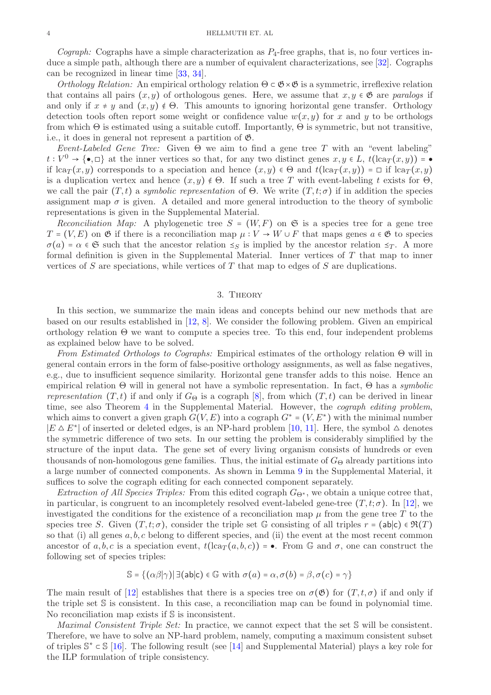*Cograph:* Cographs have a simple characterization as  $P_4$ -free graphs, that is, no four vertices induce a simple path, although there are a number of equivalent characterizations, see [\[32\]](#page-36-31). Cographs can be recognized in linear time [\[33,](#page-36-32) [34\]](#page-36-33).

Orthology Relation: An empirical orthology relation  $\Theta \subset \mathfrak{G} \times \mathfrak{G}$  is a symmetric, irreflexive relation that contains all pairs  $(x, y)$  of orthologous genes. Here, we assume that  $x, y \in \mathfrak{G}$  are paralogs if and only if  $x \neq y$  and  $(x, y) \notin \Theta$ . This amounts to ignoring horizontal gene transfer. Orthology detection tools often report some weight or confidence value  $w(x, y)$  for x and y to be orthologs from which  $\Theta$  is estimated using a suitable cutoff. Importantly,  $\Theta$  is symmetric, but not transitive, i.e., it does in general not represent a partition of G.

Event-Labeled Gene Tree: Given  $\Theta$  we aim to find a gene tree T with an "event labeling"  $t: V^0 \to \{\bullet, \Box\}$  at the inner vertices so that, for any two distinct genes  $x, y \in L$ ,  $t(\text{lcar}(x, y)) = \bullet$ if lca<sub>T</sub> $(x, y)$  corresponds to a speciation and hence  $(x, y) \in \Theta$  and  $t(\text{lca}_T(x, y)) = \Box$  if lca<sub>T</sub> $(x, y)$ is a duplication vertex and hence  $(x, y) \notin \Theta$ . If such a tree T with event-labeling t exists for  $\Theta$ , we call the pair  $(T, t)$  a symbolic representation of  $\Theta$ . We write  $(T, t; \sigma)$  if in addition the species assignment map  $\sigma$  is given. A detailed and more general introduction to the theory of symbolic representations is given in the Supplemental Material.

Reconciliation Map: A phylogenetic tree  $S = (W, F)$  on  $\mathfrak{S}$  is a species tree for a gene tree  $T = (V, E)$  on  $\mathfrak G$  if there is a reconciliation map  $\mu : V \to W \cup F$  that maps genes  $a \in \mathfrak G$  to species  $\sigma(a) = \alpha \in \mathfrak{S}$  such that the ancestor relation  $\leq_S$  is implied by the ancestor relation  $\leq_T$ . A more formal definition is given in the Supplemental Material. Inner vertices of  $T$  that map to inner vertices of S are speciations, while vertices of T that map to edges of S are duplications.

# 3. Theory

In this section, we summarize the main ideas and concepts behind our new methods that are based on our results established in [\[12,](#page-36-11) [8\]](#page-36-7). We consider the following problem. Given an empirical orthology relation  $\Theta$  we want to compute a species tree. To this end, four independent problems as explained below have to be solved.

From Estimated Orthologs to Cographs: Empirical estimates of the orthology relation  $\Theta$  will in general contain errors in the form of false-positive orthology assignments, as well as false negatives, e.g., due to insufficient sequence similarity. Horizontal gene transfer adds to this noise. Hence an empirical relation Θ will in general not have a symbolic representation. In fact, Θ has a symbolic representation  $(T, t)$  if and only if  $G_{\Theta}$  is a cograph [\[8\]](#page-36-7), from which  $(T, t)$  can be derived in linear time, see also Theorem [4](#page-16-0) in the Supplemental Material. However, the *cograph editing problem*, which aims to convert a given graph  $G(V, E)$  into a cograph  $G^* = (V, E^*)$  with the minimal number  $|E \triangle E^*|$  of inserted or deleted edges, is an NP-hard problem [\[10,](#page-36-9) [11\]](#page-36-10). Here, the symbol  $\triangle$  denotes the symmetric difference of two sets. In our setting the problem is considerably simplified by the structure of the input data. The gene set of every living organism consists of hundreds or even thousands of non-homologous gene families. Thus, the initial estimate of  $G_{\Theta}$  already partitions into a large number of connected components. As shown in Lemma [9](#page-16-1) in the Supplemental Material, it suffices to solve the cograph editing for each connected component separately.

Extraction of All Species Triples: From this edited cograph  $G_{\Theta^*}$ , we obtain a unique cotree that, in particular, is congruent to an incompletely resolved event-labeled gene-tree  $(T, t; \sigma)$ . In [\[12\]](#page-36-11), we investigated the conditions for the existence of a reconciliation map  $\mu$  from the gene tree T to the species tree S. Given  $(T, t; \sigma)$ , consider the triple set G consisting of all triples  $r = (ab|c) \in \mathfrak{R}(T)$ so that (i) all genes  $a, b, c$  belong to different species, and (ii) the event at the most recent common ancestor of a, b, c is a speciation event,  $t(\text{lcar}(a, b, c)) = \bullet$ . From G and  $\sigma$ , one can construct the following set of species triples:

$$
\mathbb{S} = \{ (\alpha \beta | \gamma) | \exists (\text{ab} | \text{c}) \in \mathbb{G} \text{ with } \sigma(a) = \alpha, \sigma(b) = \beta, \sigma(c) = \gamma \}
$$

The main result of [\[12\]](#page-36-11) establishes that there is a species tree on  $\sigma(\mathfrak{G})$  for  $(T, t, \sigma)$  if and only if the triple set S is consistent. In this case, a reconciliation map can be found in polynomial time. No reconciliation map exists if S is inconsistent.

Maximal Consistent Triple Set: In practice, we cannot expect that the set S will be consistent. Therefore, we have to solve an NP-hard problem, namely, computing a maximum consistent subset of triples  $\mathbb{S}^* \subset \mathbb{S}$  [\[16\]](#page-36-15). The following result (see [\[14\]](#page-36-13) and Supplemental Material) plays a key role for the ILP formulation of triple consistency.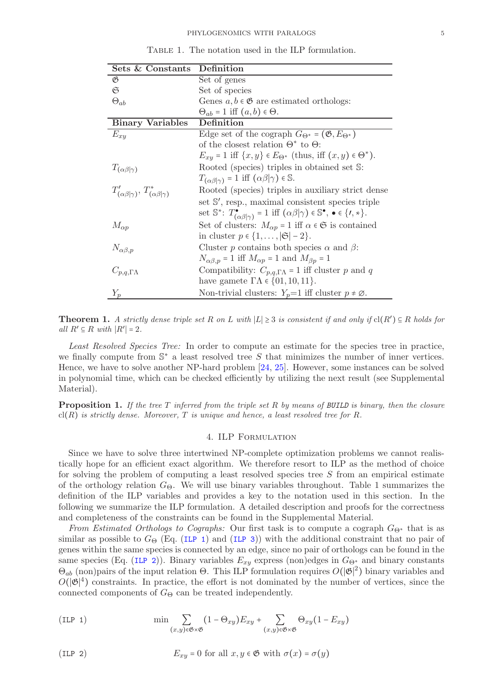| Sets & Constants                                        | Definition                                                                                                                                  |  |  |  |
|---------------------------------------------------------|---------------------------------------------------------------------------------------------------------------------------------------------|--|--|--|
| B                                                       | Set of genes                                                                                                                                |  |  |  |
| G                                                       | Set of species                                                                                                                              |  |  |  |
| $\Theta_{ab}$                                           | Genes $a, b \in \mathfrak{G}$ are estimated orthologs:                                                                                      |  |  |  |
|                                                         | $\Theta_{ab} = 1$ iff $(a, b) \in \Theta$ .                                                                                                 |  |  |  |
| <b>Binary Variables</b>                                 | Definition                                                                                                                                  |  |  |  |
| $E_{xy}$                                                | Edge set of the cograph $G_{\Theta^*} = (\mathfrak{G}, E_{\Theta^*})$                                                                       |  |  |  |
|                                                         | of the closest relation $\Theta^*$ to $\Theta$ :                                                                                            |  |  |  |
|                                                         | $E_{xy} = 1$ iff $\{x, y\} \in E_{\Theta^*}$ (thus, iff $(x, y) \in \Theta^*$ ).                                                            |  |  |  |
| $T_{(\alpha\beta \gamma)}$                              | Rooted (species) triples in obtained set S:                                                                                                 |  |  |  |
|                                                         | $T_{(\alpha\beta \gamma)} = 1$ iff $(\alpha\beta \gamma) \in \mathbb{S}$ .                                                                  |  |  |  |
| $T'_{(\alpha\beta \gamma)}, T^*_{(\alpha\beta \gamma)}$ | Rooted (species) triples in auxiliary strict dense                                                                                          |  |  |  |
|                                                         | set S', resp., maximal consistent species triple                                                                                            |  |  |  |
|                                                         | set $\mathbb{S}^*$ : $T^{\bullet}_{(\alpha\beta \gamma)} = 1$ iff $(\alpha\beta \gamma) \in \mathbb{S}^{\bullet}$ , $\bullet \in \{1, *\}.$ |  |  |  |
| $M_{\alpha p}$                                          | Set of clusters: $M_{\alpha p} = 1$ iff $\alpha \in \mathfrak{S}$ is contained                                                              |  |  |  |
|                                                         | in cluster $p \in \{1, \ldots,  \mathfrak{S}  - 2\}.$                                                                                       |  |  |  |
| $N_{\alpha\beta,p}$                                     | Cluster p contains both species $\alpha$ and $\beta$ :                                                                                      |  |  |  |
|                                                         | $N_{\alpha\beta,p} = 1$ iff $M_{\alpha p} = 1$ and $M_{\beta p} = 1$                                                                        |  |  |  |
| $C_{p,q,\Gamma\Lambda}$                                 | Compatibility: $C_{p,q,\Gamma\Lambda} = 1$ iff cluster p and q                                                                              |  |  |  |
|                                                         | have gamete $\Gamma\Lambda \in \{01, 10, 11\}.$                                                                                             |  |  |  |
| $Y_p$                                                   | Non-trivial clusters: $Y_p=1$ iff cluster $p \neq \emptyset$ .                                                                              |  |  |  |

TABLE 1. The notation used in the ILP formulation.

<span id="page-4-2"></span>**Theorem 1.** A strictly dense triple set R on L with  $|L| \geq 3$  is consistent if and only if  $cl(R') \subseteq R$  holds for all  $R' \subseteq R$  with  $|R'| = 2$ .

Least Resolved Species Tree: In order to compute an estimate for the species tree in practice, we finally compute from  $\mathbb{S}^*$  a least resolved tree S that minimizes the number of inner vertices. Hence, we have to solve another NP-hard problem [\[24,](#page-36-23) [25\]](#page-36-24). However, some instances can be solved in polynomial time, which can be checked efficiently by utilizing the next result (see Supplemental Material).

<span id="page-4-3"></span>**Proposition 1.** If the tree T inferred from the triple set R by means of BUILD is binary, then the closure  $\text{cl}(R)$  is strictly dense. Moreover, T is unique and hence, a least resolved tree for R.

# 4. ILP Formulation

Since we have to solve three intertwined NP-complete optimization problems we cannot realistically hope for an efficient exact algorithm. We therefore resort to ILP as the method of choice for solving the problem of computing a least resolved species tree  $S$  from an empirical estimate of the orthology relation  $G_{\Theta}$ . We will use binary variables throughout. Table 1 summarizes the definition of the ILP variables and provides a key to the notation used in this section. In the following we summarize the ILP formulation. A detailed description and proofs for the correctness and completeness of the constraints can be found in the Supplemental Material.

From Estimated Orthologs to Cographs: Our first task is to compute a cograph  $G_{\Theta^*}$  that is as similar as possible to  $G_{\Theta}$  (Eq. ([ILP 1](#page-4-0)) and ([ILP 3](#page-5-0))) with the additional constraint that no pair of genes within the same species is connected by an edge, since no pair of orthologs can be found in the same species (Eq. ([ILP 2](#page-4-1))). Binary variables  $E_{xy}$  express (non)edges in  $G_{\Theta^*}$  and binary constants  $\Theta_{ab}$  (non) pairs of the input relation  $\Theta$ . This ILP formulation requires  $O(|\mathfrak{G}|^2)$  binary variables and  $O(|\mathfrak{G}|^4)$  constraints. In practice, the effort is not dominated by the number of vertices, since the connected components of  $G_{\Theta}$  can be treated independently.

<span id="page-4-0"></span>(ILP 1) 
$$
\min \sum_{(x,y)\in \mathfrak{G}\times \mathfrak{G}} (1-\Theta_{xy}) E_{xy} + \sum_{(x,y)\in \mathfrak{G}\times \mathfrak{G}} \Theta_{xy} (1-E_{xy})
$$

<span id="page-4-1"></span>(ILP 2) 
$$
E_{xy} = 0 \text{ for all } x, y \in \mathfrak{G} \text{ with } \sigma(x) = \sigma(y)
$$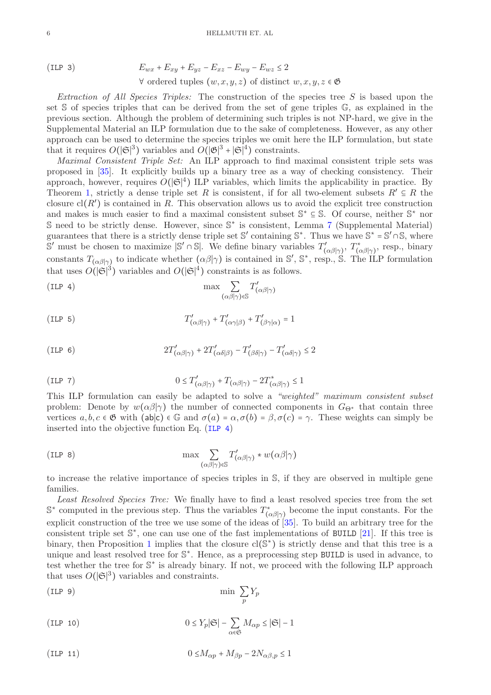<span id="page-5-0"></span>(ILP 3) 
$$
E_{wx} + E_{xy} + E_{yz} - E_{xz} - E_{wy} - E_{wz} \le 2
$$

$$
\forall \text{ ordered tuples } (w, x, y, z) \text{ of distinct } w, x, y, z \in \mathfrak{G}
$$

Extraction of All Species Triples: The construction of the species tree  $S$  is based upon the set S of species triples that can be derived from the set of gene triples G, as explained in the previous section. Although the problem of determining such triples is not NP-hard, we give in the Supplemental Material an ILP formulation due to the sake of completeness. However, as any other approach can be used to determine the species triples we omit here the ILP formulation, but state that it requires  $O(|\mathfrak{S}|^3)$  variables and  $O(|\mathfrak{G}|^3 + |\mathfrak{S}|^4)$  constraints.

Maximal Consistent Triple Set: An ILP approach to find maximal consistent triple sets was proposed in [\[35\]](#page-37-0). It explicitly builds up a binary tree as a way of checking consistency. Their approach, however, requires  $O(|\mathfrak{S}|^4)$  ILP variables, which limits the applicability in practice. By Theorem [1,](#page-4-2) strictly a dense triple set R is consistent, if for all two-element subsets  $R' \subseteq R$  the closure  $\text{cl}(R')$  is contained in R. This observation allows us to avoid the explicit tree construction and makes is much easier to find a maximal consistent subset  $\mathbb{S}^* \subseteq \mathbb{S}$ . Of course, neither  $\mathbb{S}^*$  nor S need to be strictly dense. However, since S<sup>\*</sup> is consistent, Lemma [7](#page-15-0) (Supplemental Material) guarantees that there is a strictly dense triple set S' containing  $\mathbb{S}^*$ . Thus we have  $\mathbb{S}^* = \mathbb{S}' \cap \mathbb{S}$ , where S' must be chosen to maximize |S' ∩ S|. We define binary variables  $T'_{(\alpha\beta|\gamma)}, T^*_{(\alpha\beta|\gamma)},$  resp., binary constants  $T_{(\alpha\beta|\gamma)}$  to indicate whether  $(\alpha\beta|\gamma)$  is contained in S', S<sup>\*</sup>, resp., S. The ILP formulation that uses  $O(|\mathfrak{S}|^3)$  variables and  $O(|\mathfrak{S}|^4)$  constraints is as follows.

<span id="page-5-1"></span>(ILP 4) 
$$
\qquad \qquad \max \sum_{(\alpha\beta|\gamma)\in \mathbb{S}} T'_{(\alpha\beta|\gamma)}
$$

<span id="page-5-5"></span>(ILP 5) 
$$
T'_{(\alpha\beta|\gamma)} + T'_{(\alpha\gamma|\beta)} + T'_{(\beta\gamma|\alpha)} = 1
$$

<span id="page-5-6"></span>(ILP 6) 
$$
2T'_{(\alpha\beta|\gamma)} + 2T'_{(\alpha\delta|\beta)} - T'_{(\beta\delta|\gamma)} - T'_{(\alpha\delta|\gamma)} \le 2
$$

<span id="page-5-8"></span>(ILP 7) 
$$
0 \leq T'_{(\alpha\beta|\gamma)} + T_{(\alpha\beta|\gamma)} - 2T^*_{(\alpha\beta|\gamma)} \leq 1
$$

This ILP formulation can easily be adapted to solve a "weighted" maximum consistent subset problem: Denote by  $w(\alpha\beta|\gamma)$  the number of connected components in  $G_{\Theta^*}$  that contain three vertices  $a, b, c \in \mathfrak{G}$  with  $(ab|c) \in \mathbb{G}$  and  $\sigma(a) = \alpha, \sigma(b) = \beta, \sigma(c) = \gamma$ . These weights can simply be inserted into the objective function Eq. ([ILP 4](#page-5-1))

<span id="page-5-7"></span>(ILP 8) 
$$
\max \sum_{(\alpha\beta|\gamma)\in \mathbb{S}} T'_{(\alpha\beta|\gamma)} * w(\alpha\beta|\gamma)
$$

to increase the relative importance of species triples in S, if they are observed in multiple gene families.

Least Resolved Species Tree: We finally have to find a least resolved species tree from the set  $\mathbb{S}^*$  computed in the previous step. Thus the variables  $T^*_{(\alpha\beta|\gamma)}$  become the input constants. For the explicit construction of the tree we use some of the ideas of [\[35\]](#page-37-0). To build an arbitrary tree for the consistent triple set  $\mathbb{S}^*$ , one can use one of the fast implementations of BUILD [\[21\]](#page-36-20). If this tree is binary, then Proposition [1](#page-4-3) implies that the closure  $cl(S^*)$  is strictly dense and that this tree is a unique and least resolved tree for  $\mathbb{S}^*$ . Hence, as a preprocessing step BUILD is used in advance, to test whether the tree for  $\mathbb{S}^*$  is already binary. If not, we proceed with the following ILP approach that uses  $O(|\mathfrak{S}|^3)$  variables and constraints.

<span id="page-5-4"></span>(ILP 9) 
$$
\min \sum_{p} Y_p
$$

<span id="page-5-3"></span>(ILP 10) 
$$
0 \le Y_p |\mathfrak{S}| - \sum_{\alpha \in \mathfrak{S}} M_{\alpha p} \le |\mathfrak{S}| - 1
$$

<span id="page-5-2"></span>(ILP 11) 
$$
0 \leq M_{\alpha p} + M_{\beta p} - 2N_{\alpha\beta, p} \leq 1
$$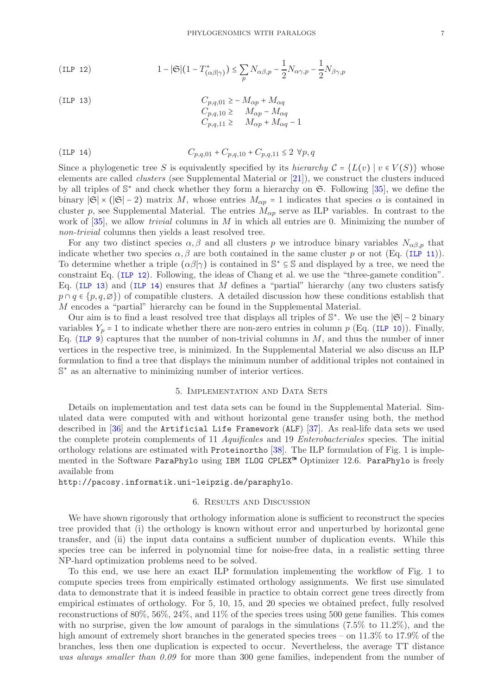<span id="page-6-0"></span>(ILP 12) 
$$
1 - |\mathfrak{S}| (1 - T^*_{(\alpha\beta|\gamma)}) \le \sum_p N_{\alpha\beta,p} - \frac{1}{2} N_{\alpha\gamma,p} - \frac{1}{2} N_{\beta\gamma,p}
$$

<span id="page-6-1"></span>(ILP 13)  
\n
$$
C_{p,q,01} \ge -M_{\alpha p} + M_{\alpha q}
$$
\n
$$
C_{p,q,10} \ge M_{\alpha p} - M_{\alpha q}
$$
\n
$$
C_{p,q,11} \ge M_{\alpha p} + M_{\alpha q} - 1
$$

<span id="page-6-2"></span>
$$
(ILP 14) \t C_{p,q,01} + C_{p,q,10} + C_{p,q,11} \le 2 \forall p,q
$$

Since a phylogenetic tree S is equivalently specified by its hierarchy  $C = \{L(v) | v \in V(S)\}\$  whose elements are called clusters (see Supplemental Material or [\[21\]](#page-36-20)), we construct the clusters induced by all triples of  $\mathbb{S}^*$  and check whether they form a hierarchy on  $\mathfrak{S}$ . Following [\[35\]](#page-37-0), we define the binary  $|\mathfrak{S}| \times (|\mathfrak{S}| - 2)$  matrix M, whose entries  $M_{\alpha p} = 1$  indicates that species  $\alpha$  is contained in cluster p, see Supplemental Material. The entries  $M_{\alpha p}$  serve as ILP variables. In contrast to the work of  $[35]$ , we allow *trivial* columns in M in which all entries are 0. Minimizing the number of non-trivial columns then yields a least resolved tree.

For any two distinct species  $\alpha, \beta$  and all clusters p we introduce binary variables  $N_{\alpha\beta,p}$  that indicate whether two species  $\alpha, \beta$  are both contained in the same cluster p or not (Eq. ([ILP 11](#page-5-2))). To determine whether a triple  $(\alpha\beta|\gamma)$  is contained in  $\mathbb{S}^* \subseteq \mathbb{S}$  and displayed by a tree, we need the constraint Eq. ([ILP 12](#page-6-0)). Following, the ideas of Chang et al. we use the "three-gamete condition". Eq. ([ILP 13](#page-6-1)) and ([ILP 14](#page-6-2)) ensures that M defines a "partial" hierarchy (any two clusters satisfy  $p \cap q \in \{p, q, \emptyset\}$  of compatible clusters. A detailed discussion how these conditions establish that M encodes a "partial" hierarchy can be found in the Supplemental Material.

Our aim is to find a least resolved tree that displays all triples of  $\mathbb{S}^*$ . We use the  $|\mathfrak{S}| - 2$  binary variables  $Y_p = 1$  to indicate whether there are non-zero entries in column p (Eq. ([ILP 10](#page-5-3))). Finally, Eq. ([ILP 9](#page-5-4)) captures that the number of non-trivial columns in  $M$ , and thus the number of inner vertices in the respective tree, is minimized. In the Supplemental Material we also discuss an ILP formulation to find a tree that displays the minimum number of additional triples not contained in  $\mathbb{S}^*$  as an alternative to minimizing number of interior vertices.

### 5. Implementation and Data Sets

Details on implementation and test data sets can be found in the Supplemental Material. Simulated data were computed with and without horizontal gene transfer using both, the method described in [\[36\]](#page-37-1) and the Artificial Life Framework (ALF) [\[37\]](#page-37-2). As real-life data sets we used the complete protein complements of 11 Aquificales and 19 Enterobacteriales species. The initial orthology relations are estimated with Proteinortho [\[38\]](#page-37-3). The ILP formulation of Fig. 1 is implemented in the Software ParaPhylo using IBM ILOG CPLEX™ Optimizer 12.6. ParaPhylo is freely available from

http://pacosy.informatik.uni-leipzig.de/paraphylo.

# 6. Results and Discussion

We have shown rigorously that orthology information alone is sufficient to reconstruct the species tree provided that (i) the orthology is known without error and unperturbed by horizontal gene transfer, and (ii) the input data contains a sufficient number of duplication events. While this species tree can be inferred in polynomial time for noise-free data, in a realistic setting three NP-hard optimization problems need to be solved.

To this end, we use here an exact ILP formulation implementing the workflow of Fig. 1 to compute species trees from empirically estimated orthology assignments. We first use simulated data to demonstrate that it is indeed feasible in practice to obtain correct gene trees directly from empirical estimates of orthology. For 5, 10, 15, and 20 species we obtained prefect, fully resolved reconstructions of 80%, 56%, 24%, and 11% of the species trees using 500 gene families. This comes with no surprise, given the low amount of paralogs in the simulations  $(7.5\%$  to  $11.2\%)$ , and the high amount of extremely short branches in the generated species trees – on 11.3% to 17.9% of the branches, less then one duplication is expected to occur. Nevertheless, the average TT distance was always smaller than 0.09 for more than 300 gene families, independent from the number of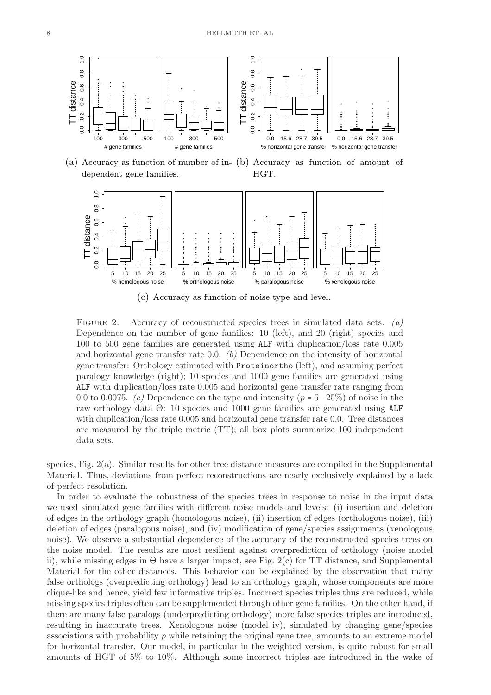

(a) Accuracy as function of number of in-(b) Accuracy as function of amount of dependent gene families. HGT.



(c) Accuracy as function of noise type and level.

FIGURE 2. Accuracy of reconstructed species trees in simulated data sets.  $(a)$ Dependence on the number of gene families: 10 (left), and 20 (right) species and 100 to 500 gene families are generated using ALF with duplication/loss rate 0.005 and horizontal gene transfer rate 0.0.  $(b)$  Dependence on the intensity of horizontal gene transfer: Orthology estimated with Proteinortho (left), and assuming perfect paralogy knowledge (right); 10 species and 1000 gene families are generated using ALF with duplication/loss rate 0.005 and horizontal gene transfer rate ranging from 0.0 to 0.0075. (c) Dependence on the type and intensity ( $p = 5-25\%$ ) of noise in the raw orthology data Θ: 10 species and 1000 gene families are generated using ALF with duplication/loss rate 0.005 and horizontal gene transfer rate 0.0. Tree distances are measured by the triple metric (TT); all box plots summarize 100 independent data sets.

species, Fig. 2(a). Similar results for other tree distance measures are compiled in the Supplemental Material. Thus, deviations from perfect reconstructions are nearly exclusively explained by a lack of perfect resolution.

In order to evaluate the robustness of the species trees in response to noise in the input data we used simulated gene families with different noise models and levels: (i) insertion and deletion of edges in the orthology graph (homologous noise), (ii) insertion of edges (orthologous noise), (iii) deletion of edges (paralogous noise), and (iv) modification of gene/species assignments (xenologous noise). We observe a substantial dependence of the accuracy of the reconstructed species trees on the noise model. The results are most resilient against overprediction of orthology (noise model ii), while missing edges in  $\Theta$  have a larger impact, see Fig. 2(c) for TT distance, and Supplemental Material for the other distances. This behavior can be explained by the observation that many false orthologs (overpredicting orthology) lead to an orthology graph, whose components are more clique-like and hence, yield few informative triples. Incorrect species triples thus are reduced, while missing species triples often can be supplemented through other gene families. On the other hand, if there are many false paralogs (underpredicting orthology) more false species triples are introduced, resulting in inaccurate trees. Xenologous noise (model iv), simulated by changing gene/species associations with probability  $p$  while retaining the original gene tree, amounts to an extreme model for horizontal transfer. Our model, in particular in the weighted version, is quite robust for small amounts of HGT of 5% to 10%. Although some incorrect triples are introduced in the wake of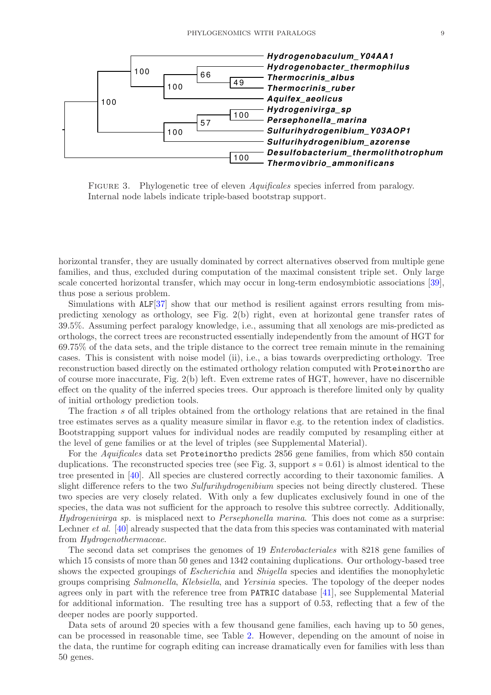

FIGURE 3. Phylogenetic tree of eleven *Aquificales* species inferred from paralogy. Internal node labels indicate triple-based bootstrap support.

horizontal transfer, they are usually dominated by correct alternatives observed from multiple gene families, and thus, excluded during computation of the maximal consistent triple set. Only large scale concerted horizontal transfer, which may occur in long-term endosymbiotic associations [\[39\]](#page-37-4), thus pose a serious problem.

Simulations with  $ALF[37]$  $ALF[37]$  show that our method is resilient against errors resulting from mispredicting xenology as orthology, see Fig. 2(b) right, even at horizontal gene transfer rates of 39.5%. Assuming perfect paralogy knowledge, i.e., assuming that all xenologs are mis-predicted as orthologs, the correct trees are reconstructed essentially independently from the amount of HGT for 69.75% of the data sets, and the triple distance to the correct tree remain minute in the remaining cases. This is consistent with noise model (ii), i.e., a bias towards overpredicting orthology. Tree reconstruction based directly on the estimated orthology relation computed with Proteinortho are of course more inaccurate, Fig. 2(b) left. Even extreme rates of HGT, however, have no discernible effect on the quality of the inferred species trees. Our approach is therefore limited only by quality of initial orthology prediction tools.

The fraction s of all triples obtained from the orthology relations that are retained in the final tree estimates serves as a quality measure similar in flavor e.g. to the retention index of cladistics. Bootstrapping support values for individual nodes are readily computed by resampling either at the level of gene families or at the level of triples (see Supplemental Material).

For the Aquificales data set Proteinortho predicts 2856 gene families, from which 850 contain duplications. The reconstructed species tree (see Fig. 3, support  $s = 0.61$ ) is almost identical to the tree presented in [\[40\]](#page-37-5). All species are clustered correctly according to their taxonomic families. A slight difference refers to the two *Sulfurihydrogenibium* species not being directly clustered. These two species are very closely related. With only a few duplicates exclusively found in one of the species, the data was not sufficient for the approach to resolve this subtree correctly. Additionally, Hydrogenivirga sp. is misplaced next to Persephonella marina. This does not come as a surprise: Lechner *et al.* [\[40\]](#page-37-5) already suspected that the data from this species was contaminated with material from Hydrogenothermaceae.

The second data set comprises the genomes of 19 Enterobacteriales with 8218 gene families of which 15 consists of more than 50 genes and 1342 containing duplications. Our orthology-based tree shows the expected groupings of Escherichia and Shigella species and identifies the monophyletic groups comprising Salmonella, Klebsiella, and Yersinia species. The topology of the deeper nodes agrees only in part with the reference tree from PATRIC database [\[41\]](#page-37-6), see Supplemental Material for additional information. The resulting tree has a support of 0.53, reflecting that a few of the deeper nodes are poorly supported.

Data sets of around 20 species with a few thousand gene families, each having up to 50 genes, can be processed in reasonable time, see Table [2.](#page-29-0) However, depending on the amount of noise in the data, the runtime for cograph editing can increase dramatically even for families with less than 50 genes.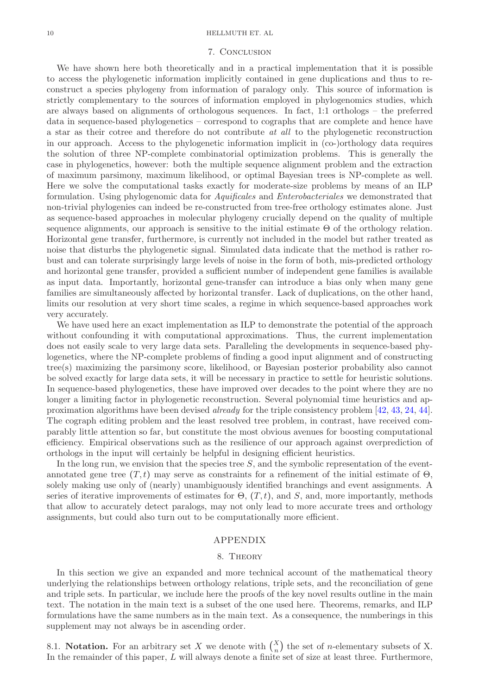### 10 HELLMUTH ET. AL

### 7. Conclusion

We have shown here both theoretically and in a practical implementation that it is possible to access the phylogenetic information implicitly contained in gene duplications and thus to reconstruct a species phylogeny from information of paralogy only. This source of information is strictly complementary to the sources of information employed in phylogenomics studies, which are always based on alignments of orthologous sequences. In fact, 1:1 orthologs – the preferred data in sequence-based phylogenetics – correspond to cographs that are complete and hence have a star as their cotree and therefore do not contribute at all to the phylogenetic reconstruction in our approach. Access to the phylogenetic information implicit in (co-)orthology data requires the solution of three NP-complete combinatorial optimization problems. This is generally the case in phylogenetics, however: both the multiple sequence alignment problem and the extraction of maximum parsimony, maximum likelihood, or optimal Bayesian trees is NP-complete as well. Here we solve the computational tasks exactly for moderate-size problems by means of an ILP formulation. Using phylogenomic data for Aquificales and Enterobacteriales we demonstrated that non-trivial phylogenies can indeed be re-constructed from tree-free orthology estimates alone. Just as sequence-based approaches in molecular phylogeny crucially depend on the quality of multiple sequence alignments, our approach is sensitive to the initial estimate  $\Theta$  of the orthology relation. Horizontal gene transfer, furthermore, is currently not included in the model but rather treated as noise that disturbs the phylogenetic signal. Simulated data indicate that the method is rather robust and can tolerate surprisingly large levels of noise in the form of both, mis-predicted orthology and horizontal gene transfer, provided a sufficient number of independent gene families is available as input data. Importantly, horizontal gene-transfer can introduce a bias only when many gene families are simultaneously affected by horizontal transfer. Lack of duplications, on the other hand, limits our resolution at very short time scales, a regime in which sequence-based approaches work very accurately.

We have used here an exact implementation as ILP to demonstrate the potential of the approach without confounding it with computational approximations. Thus, the current implementation does not easily scale to very large data sets. Paralleling the developments in sequence-based phylogenetics, where the NP-complete problems of finding a good input alignment and of constructing tree(s) maximizing the parsimony score, likelihood, or Bayesian posterior probability also cannot be solved exactly for large data sets, it will be necessary in practice to settle for heuristic solutions. In sequence-based phylogenetics, these have improved over decades to the point where they are no longer a limiting factor in phylogenetic reconstruction. Several polynomial time heuristics and approximation algorithms have been devised already for the triple consistency problem [\[42,](#page-37-7) [43,](#page-37-8) [24,](#page-36-23) [44\]](#page-37-9). The cograph editing problem and the least resolved tree problem, in contrast, have received comparably little attention so far, but constitute the most obvious avenues for boosting computational efficiency. Empirical observations such as the resilience of our approach against overprediction of orthologs in the input will certainly be helpful in designing efficient heuristics.

In the long run, we envision that the species tree  $S$ , and the symbolic representation of the eventannotated gene tree  $(T, t)$  may serve as constraints for a refinement of the initial estimate of  $\Theta$ . solely making use only of (nearly) unambiguously identified branchings and event assignments. A series of iterative improvements of estimates for  $\Theta$ ,  $(T, t)$ , and S, and, more importantly, methods that allow to accurately detect paralogs, may not only lead to more accurate trees and orthology assignments, but could also turn out to be computationally more efficient.

# APPENDIX

# 8. Theory

In this section we give an expanded and more technical account of the mathematical theory underlying the relationships between orthology relations, triple sets, and the reconciliation of gene and triple sets. In particular, we include here the proofs of the key novel results outline in the main text. The notation in the main text is a subset of the one used here. Theorems, remarks, and ILP formulations have the same numbers as in the main text. As a consequence, the numberings in this supplement may not always be in ascending order.

8.1. Notation. For an arbitrary set X we denote with  $\binom{X}{n}$  $\binom{x}{n}$  the set of *n*-elementary subsets of X. In the remainder of this paper,  $L$  will always denote a finite set of size at least three. Furthermore,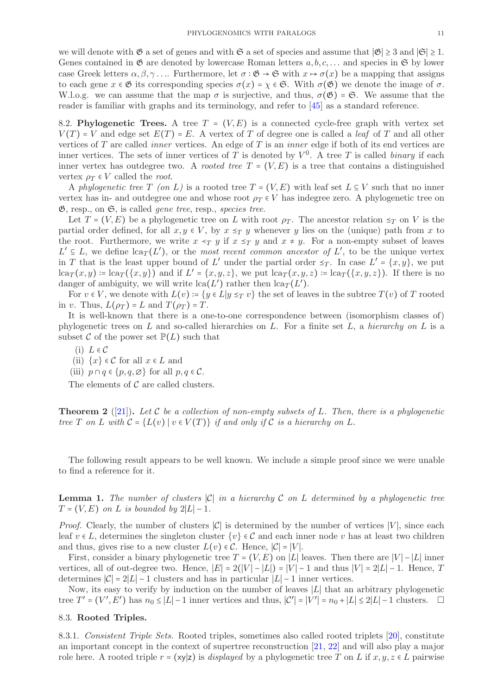we will denote with  $\mathfrak{G}$  a set of genes and with  $\mathfrak{S}$  a set of species and assume that  $|\mathfrak{G}| \geq 3$  and  $|\mathfrak{S}| \geq 1$ . Genes contained in  $\mathfrak{G}$  are denoted by lowercase Roman letters  $a, b, c, \ldots$  and species in  $\mathfrak{S}$  by lower case Greek letters  $\alpha, \beta, \gamma$ .... Furthermore, let  $\sigma : \mathfrak{G} \to \mathfrak{S}$  with  $x \mapsto \sigma(x)$  be a mapping that assigns to each gene  $x \in \mathfrak{G}$  its corresponding species  $\sigma(x) = \chi \in \mathfrak{S}$ . With  $\sigma(\mathfrak{G})$  we denote the image of  $\sigma$ . W.l.o.g. we can assume that the map  $\sigma$  is surjective, and thus,  $\sigma(\mathfrak{G}) = \mathfrak{S}$ . We assume that the reader is familiar with graphs and its terminology, and refer to [\[45\]](#page-37-10) as a standard reference.

8.2. Phylogenetic Trees. A tree  $T = (V, E)$  is a connected cycle-free graph with vertex set  $V(T) = V$  and edge set  $E(T) = E$ . A vertex of T of degree one is called a *leaf* of T and all other vertices of  $T$  are called *inner* vertices. An edge of  $T$  is an *inner* edge if both of its end vertices are inner vertices. The sets of inner vertices of T is denoted by  $V^0$ . A tree T is called *binary* if each inner vertex has outdegree two. A *rooted tree*  $T = (V, E)$  is a tree that contains a distinguished vertex  $\rho_T \in V$  called the root.

A phylogenetic tree T (on L) is a rooted tree  $T = (V, E)$  with leaf set  $L \subseteq V$  such that no inner vertex has in- and outdegree one and whose root  $\rho_T \in V$  has indegree zero. A phylogenetic tree on  $\mathfrak{G},$  resp., on  $\mathfrak{S},$  is called *gene tree*, resp., *species tree*.

Let  $T = (V, E)$  be a phylogenetic tree on L with root  $\rho_T$ . The ancestor relation  $\leq_T$  on V is the partial order defined, for all  $x, y \in V$ , by  $x \leq_T y$  whenever y lies on the (unique) path from x to the root. Furthermore, we write  $x \leq_T y$  if  $x \leq_T y$  and  $x \neq y$ . For a non-empty subset of leaves  $L' ⊆ L$ , we define  $lcap(L')$ , or the most recent common ancestor of L', to be the unique vertex in T that is the least upper bound of L' under the partial order  $\leq_T$ . In case  $L' = \{x, y\}$ , we put  $lca_T(x,y) \coloneqq \text{lca}_T(\{x,y\})$  and if  $L' = \{x,y,z\}$ , we put  $lca_T(x,y,z) \coloneqq \text{lca}_T(\{x,y,z\})$ . If there is no danger of ambiguity, we will write  $lca(L')$  rather then  $lca_T(L')$ .

For  $v \in V$ , we denote with  $L(v) \coloneqq \{y \in L | y \leq_T v\}$  the set of leaves in the subtree  $T(v)$  of T rooted in v. Thus,  $L(\rho_T) = L$  and  $T(\rho_T) = T$ .

It is well-known that there is a one-to-one correspondence between (isomorphism classes of) phylogenetic trees on L and so-called hierarchies on L. For a finite set L, a hierarchy on L is a subset C of the power set  $\mathbb{P}(L)$  such that

- (i)  $L \in \mathcal{C}$
- (ii)  $\{x\} \in \mathcal{C}$  for all  $x \in L$  and
- (iii)  $p \cap q \in \{p, q, \emptyset\}$  for all  $p, q \in \mathcal{C}$ .

The elements of  $C$  are called clusters.

<span id="page-10-0"></span>**Theorem 2** ([\[21\]](#page-36-20)). Let C be a collection of non-empty subsets of L. Then, there is a phylogenetic tree T on L with  $C = \{L(v) | v \in V(T)\}\$ if and only if C is a hierarchy on L.

The following result appears to be well known. We include a simple proof since we were unable to find a reference for it.

<span id="page-10-1"></span>**Lemma 1.** The number of clusters  $|\mathcal{C}|$  in a hierarchy C on L determined by a phylogenetic tree  $T = (V, E)$  on L is bounded by 2|L| − 1.

*Proof.* Clearly, the number of clusters  $|C|$  is determined by the number of vertices  $|V|$ , since each leaf  $v \in L$ , determines the singleton cluster  $\{v\} \in \mathcal{C}$  and each inner node v has at least two children and thus, gives rise to a new cluster  $L(v) \in \mathcal{C}$ . Hence,  $|\mathcal{C}| = |V|$ .

First, consider a binary phylogenetic tree  $T = (V, E)$  on |L| leaves. Then there are |V| – |L| inner vertices, all of out-degree two. Hence,  $|E| = 2(|V| - |L|) = |V| - 1$  and thus  $|V| = 2|L| - 1$ . Hence, T determines  $|C| = 2|L| - 1$  clusters and has in particular  $|L| - 1$  inner vertices.

Now, its easy to verify by induction on the number of leaves ∣L∣ that an arbitrary phylogenetic tree  $T' = (V', E')$  has  $n_0 \le |L|-1$  inner vertices and thus,  $|C'| = |V'| = n_0 + |L| \le 2|L|-1$  clusters.  $\Box$ 

# 8.3. Rooted Triples.

8.3.1. Consistent Triple Sets. Rooted triples, sometimes also called rooted triplets [\[20\]](#page-36-19), constitute an important concept in the context of supertree reconstruction [\[21,](#page-36-20) [22\]](#page-36-21) and will also play a major role here. A rooted triple  $r = (xy|z)$  is *displayed* by a phylogenetic tree T on L if  $x, y, z \in L$  pairwise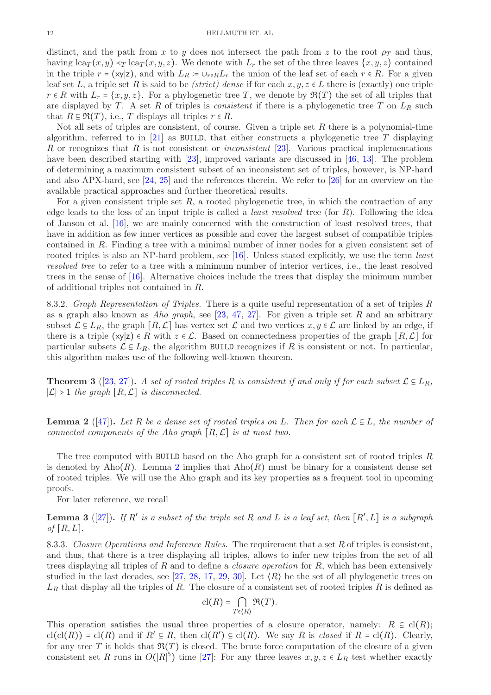distinct, and the path from x to y does not intersect the path from z to the root  $\rho_T$  and thus, having  $lca_T(x, y) \leq T \nvert ca_T(x, y, z)$ . We denote with  $L_r$  the set of the three leaves  $\{x, y, z\}$  contained in the triple  $r = (xy|z)$ , and with  $L_R := \cup_{r \in R} L_r$  the union of the leaf set of each  $r \in R$ . For a given leaf set L, a triple set R is said to be *(strict) dense* if for each  $x, y, z \in L$  there is (exactly) one triple  $r \in R$  with  $L_r = \{x, y, z\}$ . For a phylogenetic tree T, we denote by  $\Re(T)$  the set of all triples that are displayed by T. A set R of triples is *consistent* if there is a phylogenetic tree T on  $L_R$  such that  $R \subseteq \mathfrak{R}(T)$ , i.e., T displays all triples  $r \in R$ .

Not all sets of triples are consistent, of course. Given a triple set  $R$  there is a polynomial-time algorithm, referred to in  $[21]$  as BUILD, that either constructs a phylogenetic tree T displaying R or recognizes that R is not consistent or *inconsistent* [\[23\]](#page-36-22). Various practical implementations have been described starting with [\[23\]](#page-36-22), improved variants are discussed in [\[46,](#page-37-11) [13\]](#page-36-12). The problem of determining a maximum consistent subset of an inconsistent set of triples, however, is NP-hard and also APX-hard, see [\[24,](#page-36-23) [25\]](#page-36-24) and the references therein. We refer to [\[26\]](#page-36-25) for an overview on the available practical approaches and further theoretical results.

For a given consistent triple set  $R$ , a rooted phylogenetic tree, in which the contraction of any edge leads to the loss of an input triple is called a *least resolved* tree (for  $R$ ). Following the idea of Janson et al. [\[16\]](#page-36-15), we are mainly concerned with the construction of least resolved trees, that have in addition as few inner vertices as possible and cover the largest subset of compatible triples contained in R. Finding a tree with a minimal number of inner nodes for a given consistent set of rooted triples is also an NP-hard problem, see [\[16\]](#page-36-15). Unless stated explicitly, we use the term *least* resolved tree to refer to a tree with a minimum number of interior vertices, i.e., the least resolved trees in the sense of [\[16\]](#page-36-15). Alternative choices include the trees that display the minimum number of additional triples not contained in R.

8.3.2. Graph Representation of Triples. There is a quite useful representation of a set of triples R as a graph also known as Aho graph, see  $[23, 47, 27]$  $[23, 47, 27]$  $[23, 47, 27]$  $[23, 47, 27]$ . For given a triple set R and an arbitrary subset  $\mathcal{L} \subseteq L_R$ , the graph  $[R, \mathcal{L}]$  has vertex set  $\mathcal{L}$  and two vertices  $x, y \in \mathcal{L}$  are linked by an edge, if there is a triple (xy|z)  $\in R$  with  $z \in \mathcal{L}$ . Based on connectedness properties of the graph  $[R, \mathcal{L}]$  for particular subsets  $\mathcal{L} \subseteq L_R$ , the algorithm BUILD recognizes if R is consistent or not. In particular, this algorithm makes use of the following well-known theorem.

**Theorem 3** ([\[23,](#page-36-22) [27\]](#page-36-26)). A set of rooted triples R is consistent if and only if for each subset  $\mathcal{L} \subseteq L_R$ ,  $|\mathcal{L}|$  > 1 the graph  $[R, \mathcal{L}]$  is disconnected.

<span id="page-11-0"></span>**Lemma 2** ([\[47\]](#page-37-12)). Let R be a dense set of rooted triples on L. Then for each  $\mathcal{L} \subseteq L$ , the number of connected components of the Aho graph  $[R, \mathcal{L}]$  is at most two.

The tree computed with BUILD based on the Aho graph for a consistent set of rooted triples  $R$ is denoted by Aho $(R)$ . Lemma [2](#page-11-0) implies that Aho $(R)$  must be binary for a consistent dense set of rooted triples. We will use the Aho graph and its key properties as a frequent tool in upcoming proofs.

For later reference, we recall

<span id="page-11-1"></span>**Lemma 3** ([\[27\]](#page-36-26)). If R' is a subset of the triple set R and L is a leaf set, then  $[R', L]$  is a subgraph of  $[R, L]$ .

8.3.3. Closure Operations and Inference Rules. The requirement that a set R of triples is consistent, and thus, that there is a tree displaying all triples, allows to infer new triples from the set of all trees displaying all triples of R and to define a closure operation for R, which has been extensively studied in the last decades, see [\[27,](#page-36-26) [28,](#page-36-27) [17,](#page-36-16) [29,](#page-36-28) [30\]](#page-36-29). Let  $\langle R \rangle$  be the set of all phylogenetic trees on  $L_R$  that display all the triples of R. The closure of a consistent set of rooted triples R is defined as

$$
\mathrm{cl}(R)=\bigcap_{T\in\langle R\rangle}\mathfrak{R}(T).
$$

This operation satisfies the usual three properties of a closure operator, namely:  $R \subseteq cl(R)$ ;  $\text{cl}(\text{cl}(R)) = \text{cl}(R)$  and if  $R' \subseteq R$ , then  $\text{cl}(R') \subseteq \text{cl}(R)$ . We say R is *closed* if  $R = \text{cl}(R)$ . Clearly, for any tree T it holds that  $\Re(T)$  is closed. The brute force computation of the closure of a given consistent set R runs in  $O(|R|^5)$  time [\[27\]](#page-36-26): For any three leaves  $x, y, z \in L_R$  test whether exactly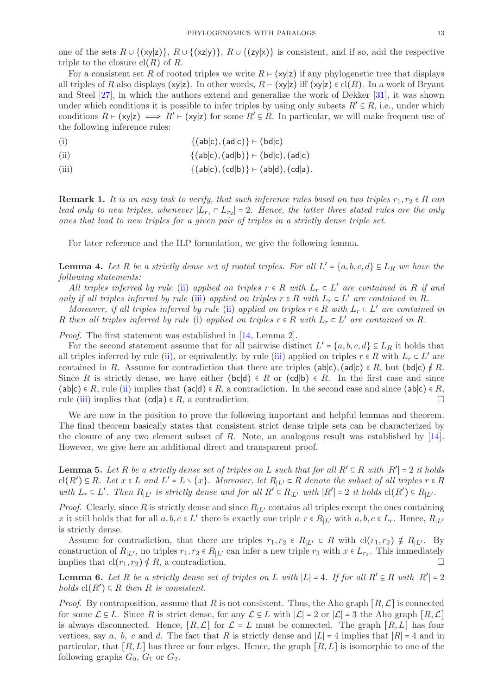one of the sets  $R \cup \{(\mathsf{x}\mathsf{y}|\mathsf{z})\}, R \cup \{(\mathsf{x}\mathsf{z}|\mathsf{y})\}, R \cup \{(\mathsf{z}\mathsf{y}|\mathsf{x})\}$  is consistent, and if so, add the respective triple to the closure  $cl(R)$  of R.

For a consistent set R of rooted triples we write  $R \vdash (x|z)$  if any phylogenetic tree that displays all triples of R also displays (xy|z). In other words,  $R \vdash (x \mid z)$  iff  $(x \mid z) \in cl(R)$ . In a work of Bryant and Steel [\[27\]](#page-36-26), in which the authors extend and generalize the work of Dekker [\[31\]](#page-36-30), it was shown under which conditions it is possible to infer triples by using only subsets  $R' \subseteq R$ , i.e., under which conditions  $R \vdash (xy|z) \implies R' \vdash (xy|z)$  for some  $R' \subseteq R$ . In particular, we will make frequent use of the following inference rules:

<span id="page-12-2"></span>
$$
\{(ab|c), (ad|c)\} \vdash (bd|c)
$$

- <span id="page-12-0"></span>(ii)  $\{(ab|c), (ad|b)\}\ \vdash (bd|c), (ad|c)$
- <span id="page-12-1"></span>(iii)  $\{(ab|c), (cd|b)\} \vdash (ab|d), (cd|a).$

**Remark 1.** It is an easy task to verify, that such inference rules based on two triples  $r_1, r_2 \in R$  can lead only to new triples, whenever  $|L_{r_1} \cap L_{r_2}| = 2$ . Hence, the latter three stated rules are the only ones that lead to new triples for a given pair of triples in a strictly dense triple set.

For later reference and the ILP formulation, we give the following lemma.

<span id="page-12-5"></span>**Lemma 4.** Let R be a strictly dense set of rooted triples. For all  $L' = \{a, b, c, d\} \subseteq L_R$  we have the following statements:

All triples inferred by rule [\(ii\)](#page-12-0) applied on triples  $r \in R$  with  $L_r \subset L'$  are contained in R if and only if all triples inferred by rule [\(iii\)](#page-12-1) applied on triples  $r \in R$  with  $L_r \subset L'$  are contained in R.

Moreover, if all triples inferred by rule [\(ii\)](#page-12-0) applied on triples  $r \in R$  with  $L_r \subset L'$  are contained in R then all triples inferred by rule [\(i\)](#page-12-2) applied on triples  $r \in R$  with  $L_r \subset L'$  are contained in R.

Proof. The first statement was established in [\[14,](#page-36-13) Lemma 2].

For the second statement assume that for all pairwise distinct  $L' = \{a, b, c, d\} \subseteq L_R$  it holds that all triples inferred by rule [\(ii\)](#page-12-0), or equivalently, by rule [\(iii\)](#page-12-1) applied on triples  $r \in R$  with  $L_r \subset L'$  are contained in R. Assume for contradiction that there are triples (ab|c), (ad|c)  $\in R$ , but (bd|c)  $\notin R$ . Since R is strictly dense, we have either (bc|d)  $\in R$  or (cd|b)  $\in R$ . In the first case and since  $(a\mathsf{b}|c) \in R$ , rule [\(ii\)](#page-12-0) implies that  $(a\mathsf{c}|d) \in R$ , a contradiction. In the second case and since  $(a\mathsf{b}|c) \in R$ , rule [\(iii\)](#page-12-1) implies that  $(cd|a) \in R$ , a contradiction.

We are now in the position to prove the following important and helpful lemmas and theorem. The final theorem basically states that consistent strict dense triple sets can be characterized by the closure of any two element subset of R. Note, an analogous result was established by [\[14\]](#page-36-13). However, we give here an additional direct and transparent proof.

<span id="page-12-4"></span>**Lemma 5.** Let R be a strictly dense set of triples on L such that for all  $R' \subseteq R$  with  $|R'| = 2$  it holds  $\text{cl}(R') \subseteq R$ . Let  $x \in L$  and  $L' = L \setminus \{x\}$ . Moreover, let  $R_{|L'} \subset R$  denote the subset of all triples  $r \in R$ with  $L_r \subseteq L'$ . Then  $R_{|L'}$  is strictly dense and for all  $R' \subseteq R_{|L'}$  with  $|R'| = 2$  it holds  $cl(R') \subseteq R_{|L'}$ .

*Proof.* Clearly, since R is strictly dense and since  $R_{|L'}$  contains all triples except the ones containing x it still holds that for all  $a, b, c \in L'$  there is exactly one triple  $r \in R_{|L'}$  with  $a, b, c \in L_r$ . Hence,  $R_{|L'}$ is strictly dense.

Assume for contradiction, that there are triples  $r_1, r_2 \in R_{|L'} \subset R$  with  $\text{cl}(r_1, r_2) \notin R_{|L'}$ . By construction of  $R_{|L'}$ , no triples  $r_1, r_2 \in R_{|L'}$  can infer a new triple  $r_3$  with  $x \in L_{r_3}$ . This immediately implies that  $cl(r_1, r_2) \notin R$ , a contradiction.

<span id="page-12-3"></span>**Lemma 6.** Let R be a strictly dense set of triples on L with  $|L| = 4$ . If for all  $R' \subseteq R$  with  $|R'| = 2$  $holds \; cl(R') \subseteq R \; then \; R \; is \; consistent.$ 

*Proof.* By contraposition, assume that R is not consistent. Thus, the Aho graph  $[R, \mathcal{L}]$  is connected for some  $\mathcal{L} \subseteq L$ . Since R is strict dense, for any  $\mathcal{L} \subseteq L$  with  $|\mathcal{L}| = 2$  or  $|\mathcal{L}| = 3$  the Aho graph  $[R, \mathcal{L}]$ is always disconnected. Hence,  $[R, \mathcal{L}]$  for  $\mathcal{L} = L$  must be connected. The graph  $[R, L]$  has four vertices, say a, b, c and d. The fact that R is strictly dense and  $|L| = 4$  implies that  $|R| = 4$  and in particular, that  $[R, L]$  has three or four edges. Hence, the graph  $[R, L]$  is isomorphic to one of the following graphs  $G_0, G_1$  or  $G_2$ .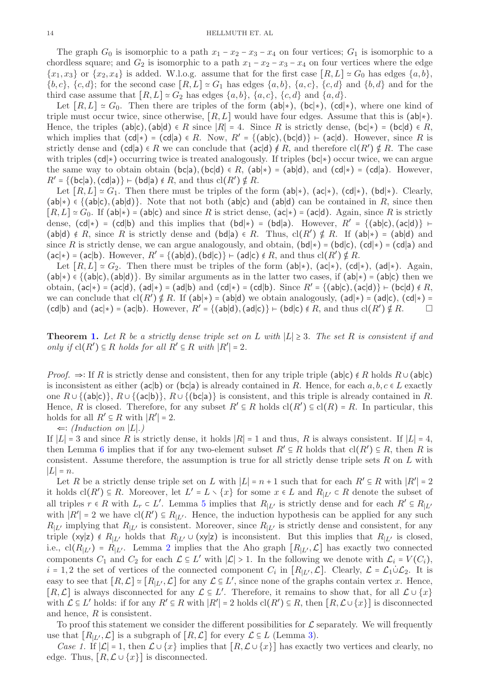The graph  $G_0$  is isomorphic to a path  $x_1 - x_2 - x_3 - x_4$  on four vertices;  $G_1$  is isomorphic to a chordless square; and  $G_2$  is isomorphic to a path  $x_1 - x_2 - x_3 - x_4$  on four vertices where the edge  ${x_1, x_3}$  or  ${x_2, x_4}$  is added. W.l.o.g. assume that for the first case  $[R, L] \approx G_0$  has edges  $\{a, b\}$ ,  ${b, c}, {c, d}$ ; for the second case  $[R, L] \simeq G_1$  has edges  ${a, b}$ ,  ${a, c}$ ,  ${c, d}$  and  ${b, d}$  and for the third case assume that  $[R, L] \simeq G_2$  has edges  $\{a, b\}, \{a, c\}, \{c, d\}$  and  $\{a, d\}.$ 

Let  $[R, L] \simeq G_0$ . Then there are triples of the form  $(ab|*)$ ,  $(bc|*)$ ,  $(cd|*)$ , where one kind of triple must occur twice, since otherwise,  $[R, L]$  would have four edges. Assume that this is  $(ab|\ast)$ . Hence, the triples (ab|c), (ab|d) ∈ R since  $|R| = 4$ . Since R is strictly dense, (bc|\*) = (bc|d) ∈ R, which implies that  $(cd|\ast) = (cd|a) \in R$ . Now,  $R' = \{(ab|c), (bc|d)\} \vdash (ac|d)$ . However, since R is strictly dense and  $(cd|a) \in R$  we can conclude that  $(ac|d) \notin R$ , and therefore  $cl(R') \notin R$ . The case with triples (cd∣∗) occurring twice is treated analogously. If triples (bc∣∗) occur twice, we can argue the same way to obtain obtain (bc|a), (bc|d)  $\in R$ , (ab| $\ast$ ) = (ab|d), and (cd| $\ast$ ) = (cd|a). However,  $R' = \{ (\mathsf{bc} | \mathsf{a}), (\mathsf{cd} | \mathsf{a}) \} \vdash (\mathsf{bd} | \mathsf{a}) \notin R$ , and thus  $\mathrm{cl}(R') \notin R$ .

Let  $[R, L] \simeq G_1$ . Then there must be triples of the form (ab| $\ast$ ), (ac| $\ast$ ), (cd| $\ast$ ), (bd| $\ast$ ). Clearly,  $(ab|*) \in \{(ab|c), (ab|d)\}.$  Note that not both  $(ab|c)$  and  $(ab|d)$  can be contained in R, since then  $[R, L] \simeq G_0$ . If (ab|\*) = (ab|c) and since R is strict dense, (ac|\*) = (ac|d). Again, since R is strictly dense,  $(cd|\ast) = (cd|b)$  and this implies that  $(bd|\ast) = (bd|a)$ . However,  $R' = \{(ab|c), (ac|d)\}\nvdash$  $(ab|d) \notin R$ , since R is strictly dense and  $(bd|a) \in R$ . Thus,  $cl(R') \notin R$ . If  $(ab|\star) = (ab|d)$  and since R is strictly dense, we can argue analogously, and obtain,  $(bd|*) = (bd|c)$ ,  $(cd|*) = (cd|a)$  and  $(ac|\ast) = (ac|b)$ . However,  $R' = \{(ab|d), (bd|c)\} \vdash (ad|c) \notin R$ , and thus  $cl(R') \notin R$ .

Let  $[R, L] \simeq G_2$ . Then there must be triples of the form  $(ab|\star)$ ,  $(ac|\star)$ ,  $(cd|\star)$ . Again,  $(ab|*) \in \{ (ab|c), (ab|d) \}.$  By similar arguments as in the latter two cases, if  $(ab|*) = (ab|c)$  then we obtain,  $(ac|*) = (ac|d)$ ,  $(ad|*) = (ad|b)$  and  $(cd|*) = (cd|b)$ . Since  $R' = \{(ab|c), (ac|d)\} \vdash (bc|d) \notin R$ , we can conclude that  $\text{cl}(R') \notin R$ . If  $(\textsf{ab}|\ast) = (\textsf{ab}|\textsf{d})$  we obtain analogously,  $(\textsf{ad}|\ast) = (\textsf{ad}|\textsf{c})$ ,  $(\textsf{cd}|\ast) =$ (cd|b) and (ac|\*) = (ac|b). However,  $R' = \{(ab|d), (ad|c)\}$  ⊢ (bd|c) ∉ R, and thus cl(R') ⊈ R.

**Theorem [1.](#page-4-2)** Let R be a strictly dense triple set on L with  $|L| \geq 3$ . The set R is consistent if and only if  $cl(R') ⊆ R$  holds for all  $R' ⊆ R$  with  $|R'| = 2$ .

*Proof.* ⇒∶ If R is strictly dense and consistent, then for any triple triple (ab|c)  $\notin R$  holds  $R \cup (ab|c)$ is inconsistent as either (ac|b) or (bc|a) is already contained in R. Hence, for each  $a, b, c \in L$  exactly one  $R \cup \{(\mathsf{ab}|\mathsf{c})\}, R \cup \{(\mathsf{ac}|\mathsf{b})\}, R \cup \{(\mathsf{bc}|\mathsf{a})\}$  is consistent, and this triple is already contained in R. Hence, R is closed. Therefore, for any subset  $R' \subseteq R$  holds  $cl(R') \subseteq cl(R) = R$ . In particular, this holds for all  $R' \subseteq R$  with  $|R'| = 2$ .

 $\Leftarrow$ : (Induction on |L|.)

If  $|L| = 3$  and since R is strictly dense, it holds  $|R| = 1$  and thus, R is always consistent. If  $|L| = 4$ , then Lemma [6](#page-12-3) implies that if for any two-element subset  $R' \subseteq R$  holds that  $\text{cl}(R') \subseteq R$ , then R is consistent. Assume therefore, the assumption is true for all strictly dense triple sets  $R$  on  $L$  with  $|L|=n$ .

Let R be a strictly dense triple set on L with  $|L| = n + 1$  such that for each  $R' \subseteq R$  with  $|R'| = 2$ it holds  $\text{cl}(R') \subseteq R$ . Moreover, let  $L' = L \setminus \{x\}$  for some  $x \in L$  and  $R_{|L'} \subset R$  denote the subset of all triples  $r \in R$  with  $L_r \subset L'$ . Lemma [5](#page-12-4) implies that  $R_{|L'}$  is strictly dense and for each  $R' \subseteq R_{|L'}$ with  $|R'| = 2$  we have  $cl(R') \subseteq R_{|L'}$ . Hence, the induction hypothesis can be applied for any such  $R_{|L'}$  implying that  $R_{|L'}$  is consistent. Moreover, since  $R_{|L'}$  is strictly dense and consistent, for any triple (xy|z) ∉  $R_{|L'}$  holds that  $R_{|L'} \cup (xy|z)$  is inconsistent. But this implies that  $R_{|L'}$  is closed, i.e., cl( $R_{|L'}$ ) =  $R_{|L'}$ . Lemma [2](#page-11-0) implies that the Aho graph  $[R_{|L'}, \mathcal{L}]$  has exactly two connected components  $C_1$  and  $C_2$  for each  $\mathcal{L} \subseteq L'$  with  $|\mathcal{L}| > 1$ . In the following we denote with  $\mathcal{L}_i = V(C_i)$ ,  $i = 1, 2$  the set of vertices of the connected component  $C_i$  in  $[R_{\vert L'}, \mathcal{L}]$ . Clearly,  $\mathcal{L} = \mathcal{L}_1 \dot{\cup} \mathcal{L}_2$ . It is easy to see that  $[R, \mathcal{L}] \simeq [R_{|L'}, \mathcal{L}]$  for any  $\mathcal{L} \subseteq L'$ , since none of the graphs contain vertex x. Hence,  $[R, \mathcal{L}]$  is always disconnected for any  $\mathcal{L} \subseteq L'$ . Therefore, it remains to show that, for all  $\mathcal{L} \cup \{x\}$ with  $\mathcal{L} \subseteq L'$  holds: if for any  $R' \subseteq R$  with  $|R'| = 2$  holds  $\text{cl}(R') \subseteq R$ , then  $[R, \mathcal{L} \cup \{x\}]$  is disconnected and hence, R is consistent.

To proof this statement we consider the different possibilities for  $\mathcal L$  separately. We will frequently use that  $[R_{|L'}, \mathcal{L}]$  is a subgraph of  $[R, \mathcal{L}]$  for every  $\mathcal{L} \subseteq L$  (Lemma [3\)](#page-11-1).

Case 1. If  $|\mathcal{L}| = 1$ , then  $\mathcal{L} \cup \{x\}$  implies that  $[R, \mathcal{L} \cup \{x\}]$  has exactly two vertices and clearly, no edge. Thus,  $[R, \mathcal{L} \cup \{x\}]$  is disconnected.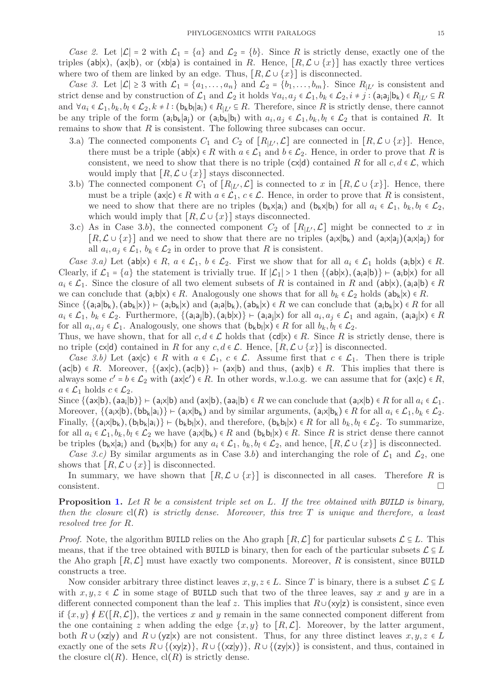Case 2. Let  $|\mathcal{L}| = 2$  with  $\mathcal{L}_1 = \{a\}$  and  $\mathcal{L}_2 = \{b\}$ . Since R is strictly dense, exactly one of the triples (ab|x), (ax|b), or (xb|a) is contained in R. Hence,  $[R, \mathcal{L} \cup \{x\}]$  has exactly three vertices where two of them are linked by an edge. Thus,  $[R, \mathcal{L} \cup \{x\}]$  is disconnected.

Case 3. Let  $|\mathcal{L}| \geq 3$  with  $\mathcal{L}_1 = \{a_1, \ldots, a_n\}$  and  $\mathcal{L}_2 = \{b_1, \ldots, b_m\}$ . Since  $R_{|L'}$  is consistent and strict dense and by construction of  $\mathcal{L}_1$  and  $\mathcal{L}_2$  it holds  $\forall a_i, a_j \in \mathcal{L}_1, b_k \in \mathcal{L}_2, i \neq j$ :  $(a_i a_j | b_k) \in R_{|L'} \subseteq R$ and  $\forall a_i \in \mathcal{L}_1, b_k, b_l \in \mathcal{L}_2, k \neq l : (\mathsf{b_k b_l} | \mathsf{a_i}) \in R_{|L'} \subseteq R$ . Therefore, since R is strictly dense, there cannot be any triple of the form  $(a_i b_k | a_j)$  or  $(a_i b_k | b_l)$  with  $a_i, a_j \in \mathcal{L}_1, b_k, b_l \in \mathcal{L}_2$  that is contained R. It remains to show that  $R$  is consistent. The following three subcases can occur.

- 3.a) The connected components  $C_1$  and  $C_2$  of  $[R_{|L'}, \mathcal{L}]$  are connected in  $[R, \mathcal{L} \cup \{x\}]$ . Hence, there must be a triple (ab|x)  $\in R$  with  $a \in \mathcal{L}_1$  and  $b \in \mathcal{L}_2$ . Hence, in order to prove that R is consistent, we need to show that there is no triple (cx|d) contained R for all  $c, d \in \mathcal{L}$ , which would imply that  $[R, \mathcal{L} \cup \{x\}]$  stays disconnected.
- 3.b) The connected component  $C_1$  of  $[R_{|L'}, \mathcal{L}]$  is connected to x in  $[R, \mathcal{L} \cup \{x\}]$ . Hence, there must be a triple (ax|c)  $\in R$  with  $a \in \mathcal{L}_1$ ,  $c \in \mathcal{L}$ . Hence, in order to prove that R is consistent, we need to show that there are no triples  $(b_kx|a_i)$  and  $(b_kx|b_i)$  for all  $a_i \in \mathcal{L}_1$ ,  $b_k, b_l \in \mathcal{L}_2$ , which would imply that  $[R, \mathcal{L} \cup \{x\}]$  stays disconnected.
- 3.c) As in Case 3.b), the connected component  $C_2$  of  $[R_{L'}, \mathcal{L}]$  might be connected to x in  $[R,\mathcal{L}\cup\{x\}]$  and we need to show that there are no triples  $(a_i x | b_k)$  and  $(a_i x | a_i)(a_i x | a_i)$  for all  $a_i, a_j \in \mathcal{L}_1$ ,  $b_k \in \mathcal{L}_2$  in order to prove that R is consistent.

Case 3.a) Let (ab|x)  $\in R$ ,  $a \in \mathcal{L}_1$ ,  $b \in \mathcal{L}_2$ . First we show that for all  $a_i \in \mathcal{L}_1$  holds (a<sub>i</sub>b|x)  $\in R$ . Clearly, if  $\mathcal{L}_1 = \{a\}$  the statement is trivially true. If  $|\mathcal{L}_1| > 1$  then  $\{(\text{ab}|x), (\text{a}_i\text{a}|b)\} \vdash (\text{a}_i\text{b}|x)$  for all  $a_i \in \mathcal{L}_1$ . Since the closure of all two element subsets of R is contained in R and  $(ab|x)$ ,  $(a_i|b) \in R$ we can conclude that  $(a_i b|x) \in R$ . Analogously one shows that for all  $b_k \in \mathcal{L}_2$  holds  $(a b_k|x) \in R$ .

Since  $\{(a_i|b_k),(ab_k|x)\}\vdash (a_i|b_k)x)$  and  $(a_i|b_k),(ab_k|x)\in R$  we can conclude that  $(a_i|b_k)x\in R$  for all  $a_i \in \mathcal{L}_1, b_k \in \mathcal{L}_2$ . Furthermore,  $\{(\mathsf{a}_i \mathsf{a}_j | \mathsf{b}), (\mathsf{a}_i \mathsf{b} | \mathsf{x})\} \vdash (\mathsf{a}_i \mathsf{a}_j | \mathsf{x})$  for all  $a_i, a_j \in \mathcal{L}_1$  and again,  $(\mathsf{a}_i \mathsf{a}_j | \mathsf{x}) \in R$ for all  $a_i, a_j \in \mathcal{L}_1$ . Analogously, one shows that  $(b_k b_l | x) \in R$  for all  $b_k, b_l \in \mathcal{L}_2$ .

Thus, we have shown, that for all  $c, d \in \mathcal{L}$  holds that  $(cd|x) \in R$ . Since R is strictly dense, there is no triple (cx|d) contained in R for any  $c, d \in \mathcal{L}$ . Hence,  $[R, \mathcal{L} \cup \{x\}]$  is disconnected.

Case 3.b) Let (ax|c)  $\in R$  with  $a \in \mathcal{L}_1$ ,  $c \in \mathcal{L}$ . Assume first that  $c \in \mathcal{L}_1$ . Then there is triple  $(ac|b) \in R$ . Moreover,  $\{(ax|c), (ac|b)\}\vdash (ax|b)$  and thus,  $(ax|b) \in R$ . This implies that there is always some  $c' = b \in \mathcal{L}_2$  with  $(ax|c') \in R$ . In other words, w.l.o.g. we can assume that for  $(ax|c) \in R$ ,  $a \in \mathcal{L}_1$  holds  $c \in \mathcal{L}_2$ .

Since  $\{(\mathsf{ax}|\mathsf{b}), (\mathsf{aa_i}|\mathsf{b})\} \vdash (\mathsf{a_i}\mathsf{x}|\mathsf{b})$  and  $(\mathsf{ax}|\mathsf{b}), (\mathsf{aa_i}|\mathsf{b}) \in R$  we can conclude that  $(\mathsf{a_i}\mathsf{x}|\mathsf{b}) \in R$  for all  $a_i \in \mathcal{L}_1$ . Moreover,  $\{(\mathsf{a}_i \times | \mathsf{b}), (\mathsf{bb}_k | \mathsf{a}_i)\} \vdash (\mathsf{a}_i \times | \mathsf{b}_k)$  and by similar arguments,  $(\mathsf{a}_i \times | \mathsf{b}_k) \in R$  for all  $a_i \in \mathcal{L}_1, b_k \in \mathcal{L}_2$ . Finally,  $\{(a_i x | b_k), (b_i b_k | a_i)\} \vdash (b_k b_l | x)$ , and therefore,  $(b_k b_l | x) \in R$  for all  $b_k, b_l \in \mathcal{L}_2$ . To summarize, for all  $a_i \in \mathcal{L}_1, b_k, b_l \in \mathcal{L}_2$  we have  $(a_i \times |b_k) \in R$  and  $(b_k b_l | x) \in R$ . Since R is strict dense there cannot be triples ( $b_k \times |a_i|$ ) and  $(b_k \times |b_l|)$  for any  $a_i \in \mathcal{L}_1$ ,  $b_k, b_l \in \mathcal{L}_2$ , and hence,  $[R, \mathcal{L} \cup \{x\}]$  is disconnected.

Case 3.c) By similar arguments as in Case 3.b) and interchanging the role of  $\mathcal{L}_1$  and  $\mathcal{L}_2$ , one shows that  $[R, \mathcal{L} \cup \{x\}]$  is disconnected.

In summary, we have shown that  $[R, \mathcal{L} \cup \{x\}]$  is disconnected in all cases. Therefore R is  $\Box$ consistent.

**Proposition [1.](#page-4-3)** Let R be a consistent triple set on L. If the tree obtained with BUILD is binary, then the closure  $cl(R)$  is strictly dense. Moreover, this tree T is unique and therefore, a least resolved tree for R.

*Proof.* Note, the algorithm BUILD relies on the Aho graph  $[R, \mathcal{L}]$  for particular subsets  $\mathcal{L} \subseteq L$ . This means, that if the tree obtained with BUILD is binary, then for each of the particular subsets  $\mathcal{L} \subseteq L$ the Aho graph  $[R, \mathcal{L}]$  must have exactly two components. Moreover, R is consistent, since BUILD constructs a tree.

Now consider arbitrary three distinct leaves  $x, y, z \in L$ . Since T is binary, there is a subset  $\mathcal{L} \subseteq L$ with  $x, y, z \in \mathcal{L}$  in some stage of BUILD such that two of the three leaves, say x and y are in a different connected component than the leaf z. This implies that  $R\cup (xy|z)$  is consistent, since even if  $\{x, y\} \notin E([R, \mathcal{L}])$ , the vertices x and y remain in the same connected component different from the one containing z when adding the edge  $\{x, y\}$  to  $\lbrack R, \mathcal{L} \rbrack$ . Moreover, by the latter argument, both  $R \cup (xz|y)$  and  $R \cup (yz|x)$  are not consistent. Thus, for any three distinct leaves  $x, y, z \in L$ exactly one of the sets  $R \cup \{(\mathsf{x}|\mathsf{y})\}, R \cup \{(\mathsf{x}|\mathsf{y})\}, R \cup \{(\mathsf{y}|\mathsf{x})\}$  is consistent, and thus, contained in the closure  $\text{cl}(R)$ . Hence,  $\text{cl}(R)$  is strictly dense.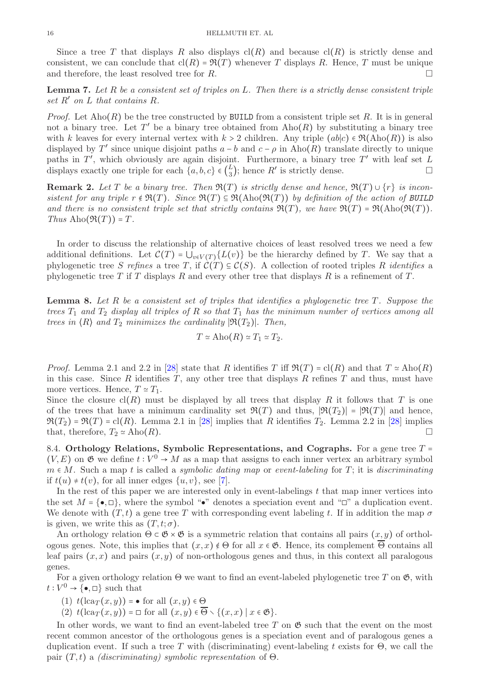Since a tree T that displays R also displays  $cl(R)$  and because  $cl(R)$  is strictly dense and consistent, we can conclude that  $cl(R) = \Re(T)$  whenever T displays R. Hence, T must be unique and therefore, the least resolved tree for  $R$ .

<span id="page-15-0"></span>**Lemma 7.** Let R be a consistent set of triples on L. Then there is a strictly dense consistent triple set  $R'$  on  $L$  that contains  $R$ .

*Proof.* Let  $\text{Aho}(R)$  be the tree constructed by BUILD from a consistent triple set R. It is in general not a binary tree. Let  $T'$  be a binary tree obtained from  $\text{Aho}(R)$  by substituting a binary tree with k leaves for every internal vertex with  $k > 2$  children. Any triple  $(ab|c) \in \mathfrak{R}(\text{Aho}(R))$  is also displayed by T' since unique disjoint paths  $a - b$  and  $c - \rho$  in Aho(R) translate directly to unique paths in  $T'$ , which obviously are again disjoint. Furthermore, a binary tree  $T'$  with leaf set  $L$ displays exactly one triple for each  $\{a, b, c\} \in \left(\frac{L}{3}\right)$  $\mathcal{L}_3$ ); hence  $R'$  is strictly dense.

**Remark 2.** Let T be a binary tree. Then  $\Re(T)$  is strictly dense and hence,  $\Re(T) \cup \{r\}$  is inconsistent for any triple  $r \notin \mathfrak{R}(T)$ . Since  $\mathfrak{R}(T) \subseteq \mathfrak{R}(\text{Aho}(\mathfrak{R}(T)))$  by definition of the action of BUILD and there is no consistent triple set that strictly contains  $\Re(T)$ , we have  $\Re(T) = \Re(\text{Abo}(\Re(T)))$ . Thus  $\mathrm{Aho}(\mathfrak{R}(T)) = T$ .

In order to discuss the relationship of alternative choices of least resolved trees we need a few additional definitions. Let  $\mathcal{C}(T) = \bigcup_{v \in V(T)} \{L(v)\}\$ be the hierarchy defined by T. We say that a phylogenetic tree S refines a tree T, if  $\mathcal{C}(T) \subseteq \mathcal{C}(S)$ . A collection of rooted triples R identifies a phylogenetic tree T if T displays R and every other tree that displays R is a refinement of T.

<span id="page-15-1"></span>**Lemma 8.** Let R be a consistent set of triples that identifies a phylogenetic tree  $T$ . Suppose the trees  $T_1$  and  $T_2$  display all triples of R so that  $T_1$  has the minimum number of vertices among all trees in  $\langle R \rangle$  and  $T_2$  minimizes the cardinality  $|\Re(T_2)|$ . Then,

$$
T \simeq \mathrm{Aho}(R) \simeq T_1 \simeq T_2.
$$

*Proof.* Lemma 2.1 and 2.2 in [\[28\]](#page-36-27) state that R identifies T iff  $\Re(T) = \text{cl}(R)$  and that  $T \simeq \text{Aho}(R)$ in this case. Since  $R$  identifies  $T$ , any other tree that displays  $R$  refines  $T$  and thus, must have more vertices. Hence,  $T \simeq T_1$ .

Since the closure  $cl(R)$  must be displayed by all trees that display R it follows that T is one of the trees that have a minimum cardinality set  $\mathfrak{R}(T)$  and thus,  $|\mathfrak{R}(T_2)| = |\mathfrak{R}(T)|$  and hence,  $\mathfrak{R}(T_2) = \mathfrak{R}(T) = \text{cl}(R)$ . Lemma 2.1 in [\[28\]](#page-36-27) implies that R identifies  $T_2$ . Lemma 2.2 in [28] implies that, therefore,  $T_2 \simeq \text{Aho}(R)$ .

8.4. Orthology Relations, Symbolic Representations, and Cographs. For a gene tree  $T =$  $(V, E)$  on  $\mathfrak G$  we define  $t : V^0 \to M$  as a map that assigns to each inner vertex an arbitrary symbol  $m \in M$ . Such a map t is called a *symbolic dating map* or *event-labeling* for T; it is *discriminating* if  $t(u) \neq t(v)$ , for all inner edges  $\{u, v\}$ , see [\[7\]](#page-36-6).

In the rest of this paper we are interested only in event-labelings  $t$  that map inner vertices into the set  $M = \{\bullet, \Box\}$ , where the symbol " $\bullet$ " denotes a speciation event and " $\Box$ " a duplication event. We denote with  $(T, t)$  a gene tree T with corresponding event labeling t. If in addition the map  $\sigma$ is given, we write this as  $(T, t; \sigma)$ .

An orthology relation  $\Theta \subset \mathfrak{G} \times \mathfrak{G}$  is a symmetric relation that contains all pairs  $(x, y)$  of orthologous genes. Note, this implies that  $(x, x) \notin \Theta$  for all  $x \in \mathfrak{G}$ . Hence, its complement  $\overline{\Theta}$  contains all leaf pairs  $(x, x)$  and pairs  $(x, y)$  of non-orthologous genes and thus, in this context all paralogous genes.

For a given orthology relation  $\Theta$  we want to find an event-labeled phylogenetic tree T on  $\mathfrak{G}$ , with  $t: V^0 \to {\{\bullet, \square\}}$  such that

(1)  $t(\text{lca}_T(x, y)) = \bullet$  for all  $(x, y) \in \Theta$ 

(2)  $t(\text{lca}_T(x,y)) = \Box$  for all  $(x,y) \in \overline{\Theta} \setminus \{(x,x) \mid x \in \mathfrak{G}\}.$ 

In other words, we want to find an event-labeled tree T on  $\mathfrak{G}$  such that the event on the most recent common ancestor of the orthologous genes is a speciation event and of paralogous genes a duplication event. If such a tree T with (discriminating) event-labeling t exists for  $\Theta$ , we call the pair  $(T, t)$  a *(discriminating)* symbolic representation of  $\Theta$ .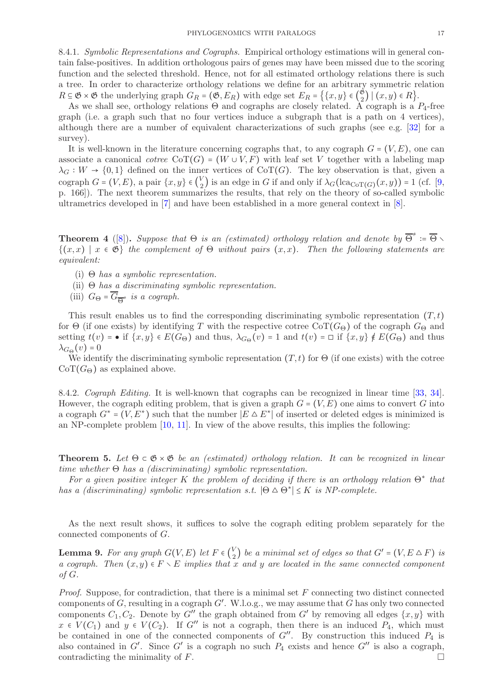<span id="page-16-2"></span>8.4.1. Symbolic Representations and Cographs. Empirical orthology estimations will in general contain false-positives. In addition orthologous pairs of genes may have been missed due to the scoring function and the selected threshold. Hence, not for all estimated orthology relations there is such a tree. In order to characterize orthology relations we define for an arbitrary symmetric relation  $R \subseteq \mathfrak{G} \times \mathfrak{G}$  the underlying graph  $G_R = (\mathfrak{G}, E_R)$  with edge set  $E_R = \{ \{x, y\} \in (\frac{\mathfrak{G}}{2}) \}$  $\binom{8}{2}$  |  $(x, y) \in R$  }.

As we shall see, orthology relations  $\Theta$  and cographs are closely related. A cograph is a  $P_4$ -free graph (i.e. a graph such that no four vertices induce a subgraph that is a path on 4 vertices), although there are a number of equivalent characterizations of such graphs (see e.g. [\[32\]](#page-36-31) for a survey).

It is well-known in the literature concerning cographs that, to any cograph  $G = (V, E)$ , one can associate a canonical cotree CoT(G) = (W ∪ V, F) with leaf set V together with a labeling map  $\lambda_G : W \to \{0,1\}$  defined on the inner vertices of CoT(G). The key observation is that, given a cograph  $G = (V, E)$ , a pair  $\{x, y\} \in {V \choose 2}$  $\mathcal{L}_2$ ) is an edge in G if and only if  $\lambda_G(\text{lca}_{\text{CoT}(G)}(x,y)) = 1$  (cf. [\[9,](#page-36-8) p. 166]). The next theorem summarizes the results, that rely on the theory of so-called symbolic ultrametrics developed in [\[7\]](#page-36-6) and have been established in a more general context in [\[8\]](#page-36-7).

<span id="page-16-0"></span>**Theorem 4** ([\[8\]](#page-36-7)). Suppose that  $\Theta$  is an (estimated) orthology relation and denote by  $\overline{\Theta}^{\neq}$  :=  $\overline{\Theta} \setminus$  $\{(x, x) \mid x \in \mathfrak{G}\}\$  the complement of  $\Theta$  without pairs  $(x, x)$ . Then the following statements are equivalent:

- (i)  $\Theta$  has a symbolic representation.
- (ii)  $\Theta$  has a discriminating symbolic representation.
- (iii)  $G_{\Theta} = G_{\overline{\Theta}^*}$  is a cograph.

This result enables us to find the corresponding discriminating symbolic representation  $(T, t)$ for  $\Theta$  (if one exists) by identifying T with the respective cotree CoT( $G_{\Theta}$ ) of the cograph  $G_{\Theta}$  and setting  $t(v)$  = • if  $\{x, y\} \in E(G_{\Theta})$  and thus,  $\lambda_{G_{\Theta}}(v) = 1$  and  $t(v) = \Box$  if  $\{x, y\} \notin E(G_{\Theta})$  and thus  $\lambda_{G\Theta}(v) = 0$ 

We identify the discriminating symbolic representation  $(T, t)$  for  $\Theta$  (if one exists) with the cotree  $\text{CoT}(G_{\Theta})$  as explained above.

8.4.2. Cograph Editing. It is well-known that cographs can be recognized in linear time [\[33,](#page-36-32) [34\]](#page-36-33). However, the cograph editing problem, that is given a graph  $G = (V, E)$  one aims to convert G into a cograph  $G^* = (V, E^*)$  such that the number  $|E \Delta E^*|$  of inserted or deleted edges is minimized is an NP-complete problem [\[10,](#page-36-9) [11\]](#page-36-10). In view of the above results, this implies the following:

**Theorem 5.** Let  $\Theta \subset \mathfrak{G} \times \mathfrak{G}$  be an (estimated) orthology relation. It can be recognized in linear time whether  $\Theta$  has a (discriminating) symbolic representation.

For a given positive integer K the problem of deciding if there is an orthology relation  $\Theta^*$  that has a (discriminating) symbolic representation s.t.  $|\Theta \Delta \Theta^*| \leq K$  is NP-complete.

As the next result shows, it suffices to solve the cograph editing problem separately for the connected components of G.

<span id="page-16-1"></span>**Lemma 9.** For any graph  $G(V, E)$  let  $F \in \binom{V}{2}$  $\binom{V}{2}$  be a minimal set of edges so that  $G'$  =  $(V, E \triangle F)$  is a cograph. Then  $(x, y) \in F \setminus E$  implies that x and y are located in the same connected component of G.

*Proof.* Suppose, for contradiction, that there is a minimal set  $F$  connecting two distinct connected components of  $G$ , resulting in a cograph  $G'$ . W.l.o.g., we may assume that  $G$  has only two connected components  $C_1, C_2$ . Denote by  $G''$  the graph obtained from  $G'$  by removing all edges  $\{x, y\}$  with  $x \in V(C_1)$  and  $y \in V(C_2)$ . If G'' is not a cograph, then there is an induced  $P_4$ , which must be contained in one of the connected components of  $G''$ . By construction this induced  $P_4$  is also contained in  $G'$ . Since  $G'$  is a cograph no such  $P_4$  exists and hence  $G''$  is also a cograph, contradicting the minimality of  $F$ .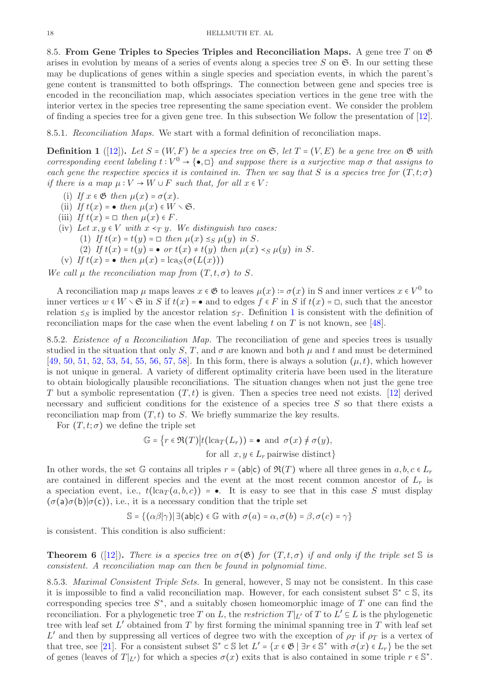8.5. From Gene Triples to Species Triples and Reconciliation Maps. A gene tree T on  $\mathfrak G$ arises in evolution by means of a series of events along a species tree  $S$  on  $\mathfrak{S}$ . In our setting these may be duplications of genes within a single species and speciation events, in which the parent's gene content is transmitted to both offsprings. The connection between gene and species tree is encoded in the reconciliation map, which associates speciation vertices in the gene tree with the interior vertex in the species tree representing the same speciation event. We consider the problem of finding a species tree for a given gene tree. In this subsection We follow the presentation of [\[12\]](#page-36-11).

8.5.1. Reconciliation Maps. We start with a formal definition of reconciliation maps.

<span id="page-17-0"></span>**Definition 1** ([\[12\]](#page-36-11)). Let  $S = (W, F)$  be a species tree on  $\mathfrak{S}$ , let  $T = (V, E)$  be a gene tree on  $\mathfrak{G}$  with corresponding event labeling  $t: V^0 \to \{\bullet, \Box\}$  and suppose there is a surjective map  $\sigma$  that assigns to each gene the respective species it is contained in. Then we say that S is a species tree for  $(T, t; \sigma)$ if there is a map  $\mu: V \to W \cup F$  such that, for all  $x \in V$ :

- (i) If  $x \in \mathfrak{G}$  then  $\mu(x) = \sigma(x)$ .
- (ii) If  $t(x) = \bullet$  then  $\mu(x) \in W \setminus \mathfrak{S}$ .
- (iii) If  $t(x) = \Box$  then  $\mu(x) \in F$ .
- (iv) Let  $x, y \in V$  with  $x \prec_T y$ . We distinguish two cases:
	- (1) If  $t(x) = t(y) = \Box$  then  $\mu(x) \leq_S \mu(y)$  in S.
		- (2) If  $t(x) = t(y) = \bullet$  or  $t(x) \neq t(y)$  then  $\mu(x) \leq \mu(y)$  in S.
- (v) If  $t(x) = \bullet$  then  $\mu(x) = \text{lcas}(\sigma(L(x)))$

We call  $\mu$  the reconciliation map from  $(T, t, \sigma)$  to S.

A reconciliation map  $\mu$  maps leaves  $x \in \mathfrak{G}$  to leaves  $\mu(x) \coloneqq \sigma(x)$  in S and inner vertices  $x \in V^0$  to inner vertices  $w \in W \setminus \mathfrak{S}$  in S if  $t(x) = \bullet$  and to edges  $f \in F$  in S if  $t(x) = \Box$ , such that the ancestor relation  $\leq_S$  is implied by the ancestor relation  $\leq_T$ . Definition [1](#page-17-0) is consistent with the definition of reconciliation maps for the case when the event labeling t on T is not known, see [\[48\]](#page-37-13).

8.5.2. Existence of a Reconciliation Map. The reconciliation of gene and species trees is usually studied in the situation that only S, T, and  $\sigma$  are known and both  $\mu$  and t and must be determined [\[49,](#page-37-14) [50,](#page-37-15) [51,](#page-37-16) [52,](#page-37-17) [53,](#page-37-18) [54,](#page-37-19) [55,](#page-37-20) [56,](#page-37-21) [57,](#page-37-22) [58\]](#page-37-23). In this form, there is always a solution  $(\mu, t)$ , which however is not unique in general. A variety of different optimality criteria have been used in the literature to obtain biologically plausible reconciliations. The situation changes when not just the gene tree T but a symbolic representation  $(T, t)$  is given. Then a species tree need not exists. [\[12\]](#page-36-11) derived necessary and sufficient conditions for the existence of a species tree  $S$  so that there exists a reconciliation map from  $(T, t)$  to S. We briefly summarize the key results.

For  $(T, t; \sigma)$  we define the triple set

$$
\mathbb{G} = \{ r \in \mathfrak{R}(T) \big| t(\operatorname{lca}_T(L_r)) = \bullet \text{ and } \sigma(x) \neq \sigma(y),
$$
  
for all  $x, y \in L_r$  pairwise distinct}

In other words, the set G contains all triples  $r = (ab|c)$  of  $\Re(T)$  where all three genes in  $a, b, c \in L_r$ are contained in different species and the event at the most recent common ancestor of  $L_r$  is a speciation event, i.e.,  $t(\text{lca}_T(a, b, c)) = \bullet$ . It is easy to see that in this case S must display  $(\sigma(a)\sigma(b)|\sigma(c))$ , i.e., it is a necessary condition that the triple set

$$
\mathbb{S} = \{ (\alpha \beta | \gamma) | \exists (\text{ab} | \text{c}) \in \mathbb{G} \text{ with } \sigma(a) = \alpha, \sigma(b) = \beta, \sigma(c) = \gamma \}
$$

is consistent. This condition is also sufficient:

<span id="page-17-1"></span>**Theorem 6** ([\[12\]](#page-36-11)). There is a species tree on  $\sigma(\mathfrak{G})$  for  $(T, t, \sigma)$  if and only if the triple set S is consistent. A reconciliation map can then be found in polynomial time.

8.5.3. Maximal Consistent Triple Sets. In general, however, S may not be consistent. In this case it is impossible to find a valid reconciliation map. However, for each consistent subset  $\mathbb{S}^* \subset \mathbb{S}$ , its corresponding species tree  $S^*$ , and a suitably chosen homeomorphic image of T one can find the reconciliation. For a phylogenetic tree T on L, the restriction  $T|_{L'}$  of T to  $L' \subseteq L$  is the phylogenetic tree with leaf set  $L'$  obtained from T by first forming the minimal spanning tree in T with leaf set L' and then by suppressing all vertices of degree two with the exception of  $\rho_T$  if  $\rho_T$  is a vertex of that tree, see [\[21\]](#page-36-20). For a consistent subset  $\mathbb{S}^* \subset \mathbb{S}$  let  $L' = \{x \in \mathfrak{G} \mid \exists r \in \mathbb{S}^* \text{ with } \sigma(x) \in L_r\}$  be the set of genes (leaves of  $T|_{L'}$ ) for which a species  $\sigma(x)$  exits that is also contained in some triple  $r \in \mathbb{S}^*$ .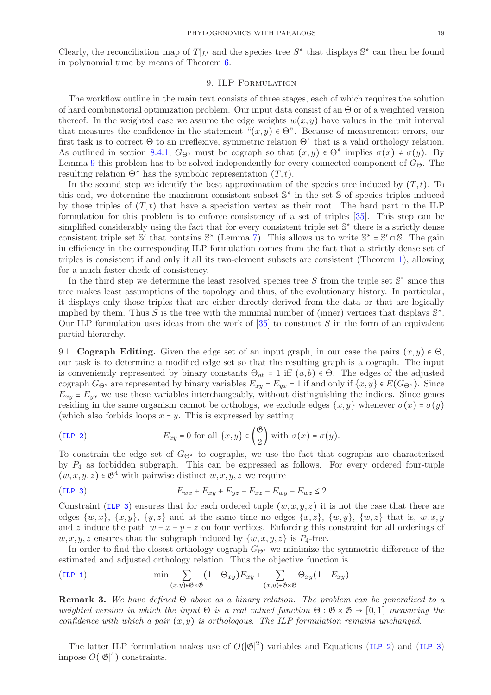Clearly, the reconciliation map of  $T|_{L'}$  and the species tree  $S^*$  that displays  $\mathbb{S}^*$  can then be found in polynomial time by means of Theorem [6.](#page-17-1)

# 9. ILP Formulation

The workflow outline in the main text consists of three stages, each of which requires the solution of hard combinatorial optimization problem. Our input data consist of an Θ or of a weighted version thereof. In the weighted case we assume the edge weights  $w(x, y)$  have values in the unit interval that measures the confidence in the statement " $(x, y) \in \Theta$ ". Because of measurement errors, our first task is to correct  $\Theta$  to an irreflexive, symmetric relation  $\Theta^*$  that is a valid orthology relation. As outlined in section [8.4.1,](#page-16-2)  $G_{\Theta^*}$  must be cograph so that  $(x, y) \in \Theta^*$  implies  $\sigma(x) \neq \sigma(y)$ . By Lemma [9](#page-16-1) this problem has to be solved independently for every connected component of  $G_{\Theta}$ . The resulting relation  $\Theta^*$  has the symbolic representation  $(T, t)$ .

In the second step we identify the best approximation of the species tree induced by  $(T, t)$ . To this end, we determine the maximum consistent subset S<sup>\*</sup> in the set S of species triples induced by those triples of  $(T, t)$  that have a speciation vertex as their root. The hard part in the ILP formulation for this problem is to enforce consistency of a set of triples [\[35\]](#page-37-0). This step can be simplified considerably using the fact that for every consistent triple set  $\mathbb{S}^*$  there is a strictly dense consistent triple set S' that contains  $\mathbb{S}^*$  (Lemma [7\)](#page-15-0). This allows us to write  $\mathbb{S}^* = \mathbb{S}' \cap \mathbb{S}$ . The gain in efficiency in the corresponding ILP formulation comes from the fact that a strictly dense set of triples is consistent if and only if all its two-element subsets are consistent (Theorem [1\)](#page-4-2), allowing for a much faster check of consistency.

In the third step we determine the least resolved species tree  $S$  from the triple set  $\mathbb{S}^*$  since this tree makes least assumptions of the topology and thus, of the evolutionary history. In particular, it displays only those triples that are either directly derived from the data or that are logically implied by them. Thus S is the tree with the minimal number of (inner) vertices that displays  $\mathbb{S}^*$ . Our ILP formulation uses ideas from the work of  $[35]$  to construct S in the form of an equivalent partial hierarchy.

9.1. Cograph Editing. Given the edge set of an input graph, in our case the pairs  $(x, y) \in \Theta$ , our task is to determine a modified edge set so that the resulting graph is a cograph. The input is conveniently represented by binary constants  $\Theta_{ab} = 1$  iff  $(a, b) \in \Theta$ . The edges of the adjusted cograph  $G_{\Theta^*}$  are represented by binary variables  $E_{xy} = E_{yx} = 1$  if and only if  $\{x, y\} \in E(G_{\Theta^*})$ . Since  $E_{xy} \equiv E_{yx}$  we use these variables interchangeably, without distinguishing the indices. Since genes residing in the same organism cannot be orthologs, we exclude edges  $\{x, y\}$  whenever  $\sigma(x) = \sigma(y)$ (which also forbids loops  $x = y$ . This is expressed by setting

(ILP 2) 
$$
E_{xy} = 0 \text{ for all } \{x, y\} \in {\mathfrak{G} \choose 2} \text{ with } \sigma(x) = \sigma(y).
$$

To constrain the edge set of  $G_{\Theta^*}$  to cographs, we use the fact that cographs are characterized by  $P_4$  as forbidden subgraph. This can be expressed as follows. For every ordered four-tuple  $(w, x, y, z) \in \mathfrak{G}^4$  with pairwise distinct  $w, x, y, z$  we require

$$
(ILP 3) \t\t\t E_{wx} + E_{xy} + E_{yz} - E_{xz} - E_{wy} - E_{wz} \le 2
$$

Constraint ([ILP 3](#page-5-0)) ensures that for each ordered tuple  $(w, x, y, z)$  it is not the case that there are edges  $\{w, x\}$ ,  $\{x, y\}$ ,  $\{y, z\}$  and at the same time no edges  $\{x, z\}$ ,  $\{w, y\}$ ,  $\{w, z\}$  that is,  $w, x, y$ and z induce the path  $w - x - y - z$  on four vertices. Enforcing this constraint for all orderings of  $w, x, y, z$  ensures that the subgraph induced by  $\{w, x, y, z\}$  is  $P_4$ -free.

In order to find the closest orthology cograph  $G_{\Theta^*}$  we minimize the symmetric difference of the estimated and adjusted orthology relation. Thus the objective function is

$$
\text{(ILP 1)} \qquad \qquad \min \sum_{(x,y)\in\mathfrak{G}\times\mathfrak{G}} (1-\Theta_{xy}) E_{xy} + \sum_{(x,y)\in\mathfrak{G}\times\mathfrak{G}} \Theta_{xy} (1-E_{xy})
$$

**Remark 3.** We have defined  $\Theta$  above as a binary relation. The problem can be generalized to a weighted version in which the input  $\Theta$  is a real valued function  $\Theta : \mathfrak{G} \times \mathfrak{G} \to [0,1]$  measuring the confidence with which a pair  $(x, y)$  is orthologous. The ILP formulation remains unchanged.

The latter ILP formulation makes use of  $O(|\mathfrak{G}|^2)$  variables and Equations ([ILP 2](#page-4-1)) and ([ILP 3](#page-5-0)) impose  $O(|\mathfrak{G}|^4)$  constraints.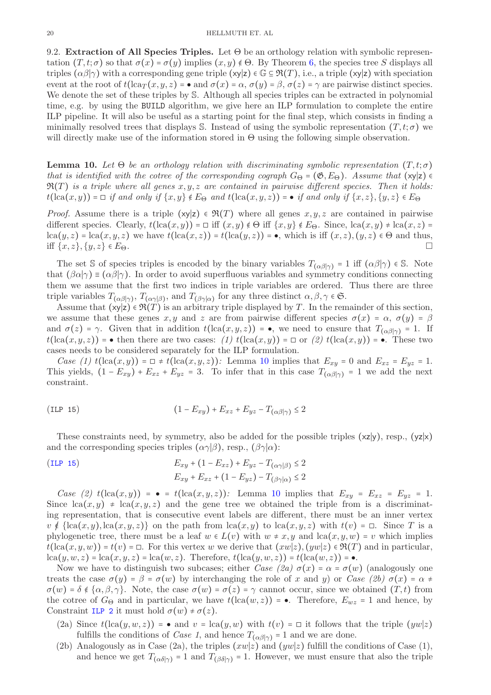9.2. Extraction of All Species Triples. Let  $\Theta$  be an orthology relation with symbolic representation  $(T, t; \sigma)$  so that  $\sigma(x) = \sigma(y)$  implies  $(x, y) \notin \Theta$ . By Theorem [6,](#page-17-1) the species tree S displays all triples  $(\alpha\beta|\gamma)$  with a corresponding gene triple  $(x|z) \in \mathbb{G} \subseteq \mathfrak{R}(T)$ , i.e., a triple  $(x|z)$  with speciation event at the root of  $t(\text{lca}_T(x, y, z) = \bullet \text{ and } \sigma(x) = \alpha, \sigma(y) = \beta, \sigma(z) = \gamma$  are pairwise distinct species. We denote the set of these triples by S. Although all species triples can be extracted in polynomial time, e.g. by using the BUILD algorithm, we give here an ILP formulation to complete the entire ILP pipeline. It will also be useful as a starting point for the final step, which consists in finding a minimally resolved trees that displays S. Instead of using the symbolic representation  $(T, t; \sigma)$  we will directly make use of the information stored in  $\Theta$  using the following simple observation.

<span id="page-19-0"></span>**Lemma 10.** Let  $\Theta$  be an orthology relation with discriminating symbolic representation  $(T, t; \sigma)$ that is identified with the cotree of the corresponding cograph  $G_{\Theta} = (\mathfrak{G}, E_{\Theta})$ . Assume that  $(xy|z) \in$  $\mathfrak{R}(T)$  is a triple where all genes  $x, y, z$  are contained in pairwise different species. Then it holds:  $t(\mathrm{lca}(x,y)) = \Box$  if and only if  $\{x,y\} \notin E_{\Theta}$  and  $t(\mathrm{lca}(x,y,z)) = \bullet$  if and only if  $\{x,z\}, \{y,z\} \in E_{\Theta}$ 

*Proof.* Assume there is a triple  $(x|z) \in \mathfrak{R}(T)$  where all genes  $x, y, z$  are contained in pairwise different species. Clearly,  $t(\text{lca}(x, y)) = \Box$  iff  $(x, y) \notin \Theta$  iff  $\{x, y\} \notin E_{\Theta}$ . Since,  $\text{lca}(x, y) \neq \text{lca}(x, z) =$  $lca(y, z) = lca(x, y, z)$  we have  $t(lca(x, z)) = t(lca(y, z)) = \bullet$ , which is iff  $(x, z), (y, z) \in \Theta$  and thus, iff  $\{x, z\}, \{y, z\} \in E_{\Theta}$ .

The set S of species triples is encoded by the binary variables  $T_{(\alpha\beta|\gamma)} = 1$  iff  $(\alpha\beta|\gamma) \in S$ . Note that  $(\beta \alpha | \gamma) \equiv (\alpha \beta | \gamma)$ . In order to avoid superfluous variables and symmetry conditions connecting them we assume that the first two indices in triple variables are ordered. Thus there are three triple variables  $T_{(\alpha\beta|\gamma)}, T_{(\alpha\gamma|\beta)},$  and  $T_{(\beta\gamma|\alpha)}$  for any three distinct  $\alpha, \beta, \gamma \in \mathfrak{S}$ .

Assume that  $(xy|z) \in \mathfrak{R}(T)$  is an arbitrary triple displayed by T. In the remainder of this section, we assume that these genes x, y and z are from pairwise different species  $\sigma(x) = \alpha$ ,  $\sigma(y) = \beta$ and  $\sigma(z) = \gamma$ . Given that in addition  $t(\text{lca}(x, y, z)) = \bullet$ , we need to ensure that  $T_{(\alpha\beta|\gamma)} = 1$ . If  $t(\text{lca}(x, y, z))$  = • then there are two cases: (1)  $t(\text{lca}(x, y)) = \Box$  or (2)  $t(\text{lca}(x, y)) = \bullet$ . These two cases needs to be considered separately for the ILP formulation.

Case (1)  $t(\text{lca}(x, y)) = \Box \neq t(\text{lca}(x, y, z))$ : Lemma [10](#page-19-0) implies that  $E_{xy} = 0$  and  $E_{xz} = E_{yz} = 1$ . This yields,  $(1 - E_{xy}) + E_{xz} + E_{yz} = 3$ . To infer that in this case  $T_{(\alpha\beta|\gamma)} = 1$  we add the next constraint.

<span id="page-19-1"></span>
$$
(1 - E_{xy}) + E_{xz} + E_{yz} - T_{(\alpha\beta|\gamma)} \le 2
$$

These constraints need, by symmetry, also be added for the possible triples  $(xz|y)$ , resp.,  $(yz|x)$ and the corresponding species triples  $(\alpha \gamma|\beta)$ , resp.,  $(\beta \gamma|\alpha)$ :

(ILP 15)  
\n
$$
E_{xy} + (1 - E_{xz}) + E_{yz} - T_{(\alpha \gamma|\beta)} \le 2
$$
\n
$$
E_{xy} + E_{xz} + (1 - E_{yz}) - T_{(\beta \gamma|\alpha)} \le 2
$$

Case (2)  $t(\text{lca}(x, y)) = \bullet = t(\text{lca}(x, y, z))$ : Lemma [10](#page-19-0) implies that  $E_{xy} = E_{xz} = E_{yz} = 1$ . Since  $lca(x, y) \neq lca(x, y, z)$  and the gene tree we obtained the triple from is a discriminating representation, that is consecutive event labels are different, there must be an inner vertex  $v \notin \{lca(x, y), la(x, y, z)\}\$ on the path from  $lca(x, y)$  to  $lca(x, y, z)$  with  $t(v) = \Box$ . Since T is a phylogenetic tree, there must be a leaf  $w \in L(v)$  with  $w \neq x, y$  and  $lca(x, y, w) = v$  which implies  $t(\text{lca}(x, y, w)) = t(v) = \Box$ . For this vertex w we derive that  $(xw|z)$ ,  $(yw|z) \in \mathfrak{R}(T)$  and in particular,  $lca(y, w, z) = lca(x, y, z) = lca(w, z)$ . Therefore,  $t(lca(y, w, z)) = t(lca(w, z)) = \bullet$ .

Now we have to distinguish two subcases; either Case (2a)  $\sigma(x) = \alpha = \sigma(w)$  (analogously one treats the case  $\sigma(y) = \beta = \sigma(w)$  by interchanging the role of x and y) or Case (2b)  $\sigma(x) = \alpha \neq$  $\sigma(w) = \delta \notin {\alpha, \beta, \gamma}$ . Note, the case  $\sigma(w) = \sigma(z) = \gamma$  cannot occur, since we obtained  $(T, t)$  from the cotree of  $G_{\Theta}$  and in particular, we have  $t(\text{lca}(w, z)) = \bullet$ . Therefore,  $E_{wz} = 1$  and hence, by Constraint [ILP 2](#page-4-1) it must hold  $\sigma(w) \neq \sigma(z)$ .

- (2a) Since  $t(\text{lca}(y, w, z)) = \bullet$  and  $v = \text{lca}(y, w)$  with  $t(v) = \square$  it follows that the triple  $(yw|z)$ fulfills the conditions of *Case 1*, and hence  $T_{(\alpha\beta|\gamma)} = 1$  and we are done.
- (2b) Analogously as in Case (2a), the triples  $(xw|z)$  and  $(yw|z)$  fulfill the conditions of Case (1), and hence we get  $T_{(\alpha\delta|\gamma)} = 1$  and  $T_{(\beta\delta|\gamma)} = 1$ . However, we must ensure that also the triple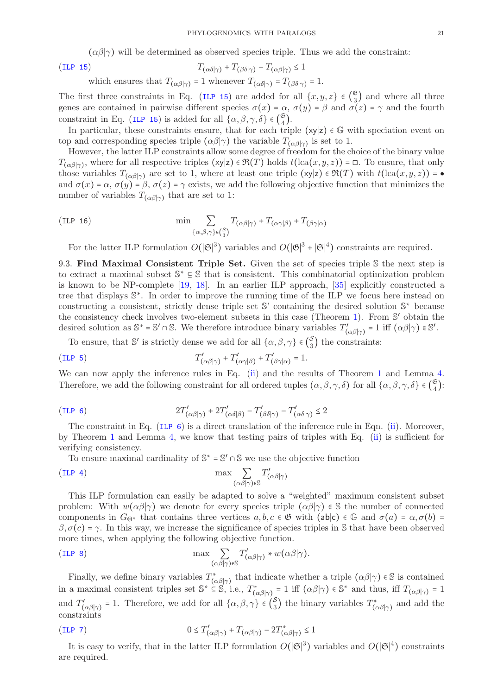$(\alpha\beta|\gamma)$  will be determined as observed species triple. Thus we add the constraint:

$$
T_{(\alpha\delta|\gamma)} + T_{(\beta\delta|\gamma)} - T_{(\alpha\beta|\gamma)} \le 1
$$

which ensures that  $T_{(\alpha\beta|\gamma)} = 1$  whenever  $T_{(\alpha\delta|\gamma)} = T_{(\beta\delta|\gamma)} = 1$ .

 $(ILP 15)$  $(ILP 15)$  $(ILP 15)$ 

The first three constraints in Eq. ([ILP 15](#page-19-1)) are added for all  $\{x, y, z\} \in \binom{6}{3}$  $\binom{8}{3}$  and where all three genes are contained in pairwise different species  $\sigma(x) = \alpha$ ,  $\sigma(y) = \beta$  and  $\sigma(z) = \gamma$  and the fourth constraint in Eq. ([ILP 15](#page-19-1)) is added for all  $\{\alpha, \beta, \gamma, \delta\} \in {\mathfrak{S}_4}$  $\binom{5}{4}$ .

In particular, these constraints ensure, that for each triple  $(xy|z) \in \mathbb{G}$  with speciation event on top and corresponding species triple  $(\alpha\beta|\gamma)$  the variable  $T_{(\alpha\beta|\gamma)}$  is set to 1.

However, the latter ILP constraints allow some degree of freedom for the choice of the binary value  $T_{(\alpha\beta|\gamma)}$ , where for all respective triples  $(\mathsf{x}|\mathsf{z}) \in \mathfrak{R}(T)$  holds  $t(\text{lca}(x,y,z)) = \square$ . To ensure, that only those variables  $T_{(\alpha\beta|\gamma)}$  are set to 1, where at least one triple  $(xy|z) \in \mathfrak{R}(T)$  with  $t(\text{lca}(x, y, z)) = \bullet$ and  $\sigma(x) = \alpha$ ,  $\sigma(y) = \beta$ ,  $\sigma(z) = \gamma$  exists, we add the following objective function that minimizes the number of variables  $T_{(\alpha\beta|\gamma)}$  that are set to 1:

(ILP 16) 
$$
\min \sum_{\{\alpha,\beta,\gamma\}\in\binom{S}{3}} T_{(\alpha\beta|\gamma)} + T_{(\alpha\gamma|\beta)} + T_{(\beta\gamma|\alpha)}
$$

For the latter ILP formulation  $O(|\mathfrak{S}|^3)$  variables and  $O(|\mathfrak{G}|^3 + |\mathfrak{S}|^4)$  constraints are required.

9.3. Find Maximal Consistent Triple Set. Given the set of species triple S the next step is to extract a maximal subset S <sup>∗</sup> ⊆ S that is consistent. This combinatorial optimization problem is known to be NP-complete [\[19,](#page-36-18) [18\]](#page-36-17). In an earlier ILP approach, [\[35\]](#page-37-0) explicitly constructed a tree that displays  $\mathbb{S}^*$ . In order to improve the running time of the ILP we focus here instead on constructing a consistent, strictly dense triple set S' containing the desired solution S<sup>\*</sup> because the consistency check involves two-element subsets in this case (Theorem [1\)](#page-4-2). From S' obtain the desired solution as  $\mathbb{S}^* = \mathbb{S}' \cap \mathbb{S}$ . We therefore introduce binary variables  $T'_{(\alpha\beta|\gamma)} = 1$  iff  $(\alpha\beta|\gamma) \in \mathbb{S}'$ .

To ensure, that S' is strictly dense we add for all  $\{\alpha, \beta, \gamma\} \in {\mathcal{S}_3$  $\binom{3}{3}$  the constraints:

(ILP 5) 
$$
T'_{(\alpha\beta|\gamma)} + T'_{(\alpha\gamma|\beta)} + T'_{(\beta\gamma|\alpha)} = 1.
$$

We can now apply the inference rules in Eq. [\(ii\)](#page-12-0) and the results of Theorem [1](#page-4-2) and Lemma [4.](#page-12-5) Therefore, we add the following constraint for all ordered tuples  $(\alpha, \beta, \gamma, \delta)$  for all  $\{\alpha, \beta, \gamma, \delta\} \in \begin{pmatrix} \mathfrak{S} \\ 4 \end{pmatrix}$  $\binom{5}{4}$ :

$$
(ILP 6) \t\t 2T'_{(\alpha\beta|\gamma)} + 2T'_{(\alpha\delta|\beta)} - T'_{(\beta\delta|\gamma)} - T'_{(\alpha\delta|\gamma)} \le 2
$$

The constraint in Eq. (ILP  $6$ ) is a direct translation of the inference rule in Eqn. [\(ii\)](#page-12-0). Moreover, by Theorem [1](#page-4-2) and Lemma [4,](#page-12-5) we know that testing pairs of triples with Eq. [\(ii\)](#page-12-0) is sufficient for verifying consistency.

To ensure maximal cardinality of  $\mathbb{S}^* = \mathbb{S}' \cap \mathbb{S}$  we use the objective function

$$
\max \sum_{(\alpha\beta|\gamma)\in \mathbb{S}} T'_{(\alpha\beta|\gamma)}
$$

This ILP formulation can easily be adapted to solve a "weighted" maximum consistent subset problem: With  $w(\alpha\beta|\gamma)$  we denote for every species triple  $(\alpha\beta|\gamma) \in \mathbb{S}$  the number of connected components in  $G_{\Theta^*}$  that contains three vertices  $a, b, c \in \mathfrak{G}$  with  $(ab|c) \in \mathbb{G}$  and  $\sigma(a) = \alpha, \sigma(b) =$  $\beta$ ,  $\sigma(c) = \gamma$ . In this way, we increase the significance of species triples in S that have been observed more times, when applying the following objective function.

$$
\text{(ILP 8)} \qquad \qquad \max \sum_{(\alpha\beta|\gamma)\in\mathbb{S}} T'_{(\alpha\beta|\gamma)} * w(\alpha\beta|\gamma).
$$

Finally, we define binary variables  $T^*_{(\alpha\beta|\gamma)}$  that indicate whether a triple  $(\alpha\beta|\gamma) \in \mathbb{S}$  is contained in a maximal consistent triples set  $\mathbb{S}^* \subseteq \mathbb{S}$ , i.e.,  $T^*_{(\alpha\beta|\gamma)} = 1$  iff  $(\alpha\beta|\gamma) \in \mathbb{S}^*$  and thus, iff  $T_{(\alpha\beta|\gamma)} = 1$ and  $T'_{(\alpha\beta|\gamma)} = 1$ . Therefore, we add for all  $\{\alpha, \beta, \gamma\} \in \binom{S}{3}$  $\binom{S}{3}$  the binary variables  $T^*_{(\alpha\beta|\gamma)}$  and add the constraints

$$
(ILP 7) \t\t 0 \le T'_{(\alpha\beta|\gamma)} + T_{(\alpha\beta|\gamma)} - 2T^*_{(\alpha\beta|\gamma)} \le 1
$$

It is easy to verify, that in the latter ILP formulation  $O(|\mathfrak{S}|^3)$  variables and  $O(|\mathfrak{S}|^4)$  constraints are required.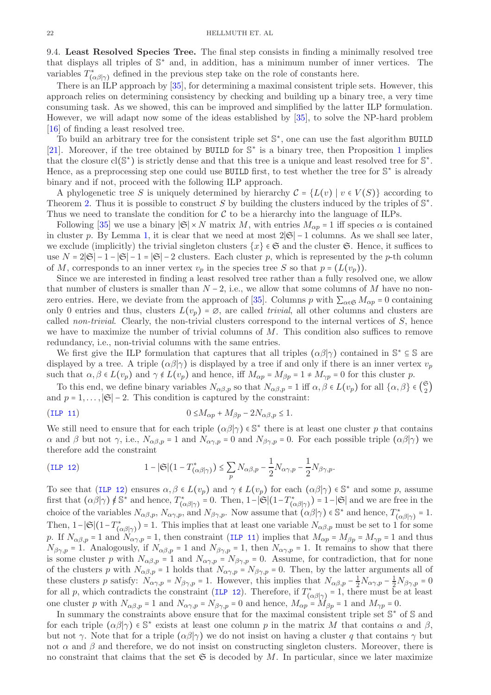9.4. Least Resolved Species Tree. The final step consists in finding a minimally resolved tree that displays all triples of S <sup>∗</sup> and, in addition, has a minimum number of inner vertices. The variables  $T^*_{(\alpha\beta|\gamma)}$  defined in the previous step take on the role of constants here.

There is an ILP approach by [\[35\]](#page-37-0), for determining a maximal consistent triple sets. However, this approach relies on determining consistency by checking and building up a binary tree, a very time consuming task. As we showed, this can be improved and simplified by the latter ILP formulation. However, we will adapt now some of the ideas established by [\[35\]](#page-37-0), to solve the NP-hard problem [\[16\]](#page-36-15) of finding a least resolved tree.

To build an arbitrary tree for the consistent triple set S ∗ , one can use the fast algorithm BUILD [\[21\]](#page-36-20). Moreover, if the tree obtained by BUILD for  $\mathbb{S}^*$  is a binary tree, then Proposition [1](#page-4-3) implies that the closure  $cl(S^*)$  is strictly dense and that this tree is a unique and least resolved tree for  $\mathbb{S}^*$ . Hence, as a preprocessing step one could use BUILD first, to test whether the tree for S<sup>\*</sup> is already binary and if not, proceed with the following ILP approach.

A phylogenetic tree S is uniquely determined by hierarchy  $\mathcal{C} = \{L(v) | v \in V(S)\}\$  according to Theorem [2.](#page-10-0) Thus it is possible to construct S by building the clusters induced by the triples of  $\mathbb{S}^*$ . Thus we need to translate the condition for  $\mathcal C$  to be a hierarchy into the language of ILPs.

Following [\[35\]](#page-37-0) we use a binary  $|\mathfrak{S}| \times N$  matrix M, with entries  $M_{\alpha p} = 1$  iff species  $\alpha$  is contained in cluster p. By Lemma [1,](#page-10-1) it is clear that we need at most  $2|\mathfrak{S}|-1$  columns. As we shall see later, we exclude (implicitly) the trivial singleton clusters  $\{x\} \in \mathfrak{S}$  and the cluster  $\mathfrak{S}$ . Hence, it suffices to use  $N = 2|\mathfrak{S}| - 1 - |\mathfrak{S}| - 1 = |\mathfrak{S}| - 2$  clusters. Each cluster p, which is represented by the p-th column of M, corresponds to an inner vertex  $v_n$  in the species tree S so that  $p = (L(v_n))$ .

Since we are interested in finding a least resolved tree rather than a fully resolved one, we allow that number of clusters is smaller than  $N-2$ , i.e., we allow that some columns of M have no non-zero entries. Here, we deviate from the approach of [\[35\]](#page-37-0). Columns p with  $\sum_{\alpha \in \mathfrak{S}} M_{\alpha p} = 0$  containing only 0 entries and thus, clusters  $L(v_p) = \emptyset$ , are called *trivial*, all other columns and clusters are called non-trivial. Clearly, the non-trivial clusters correspond to the internal vertices of  $S$ , hence we have to maximize the number of trivial columns of  $M$ . This condition also suffices to remove redundancy, i.e., non-trivial columns with the same entries.

We first give the ILP formulation that captures that all triples  $(\alpha\beta|\gamma)$  contained in  $\mathbb{S}^* \subseteq \mathbb{S}$  are displayed by a tree. A triple  $(\alpha\beta|\gamma)$  is displayed by a tree if and only if there is an inner vertex  $v_p$ such that  $\alpha, \beta \in L(v_p)$  and  $\gamma \notin L(v_p)$  and hence, iff  $M_{\alpha p} = M_{\beta p} = 1 \neq M_{\gamma p} = 0$  for this cluster p.

To this end, we define binary variables  $N_{\alpha\beta,p}$  so that  $N_{\alpha\beta,p} = 1$  iff  $\alpha, \beta \in L(v_p)$  for all  $\{\alpha, \beta\} \in \binom{\mathfrak{S}}{2}$  $\binom{0}{2}$ and  $p = 1, \ldots, |\mathfrak{S}| - 2$ . This condition is captured by the constraint:

<span id="page-21-0"></span>
$$
(ILP 11) \t\t 0 \le M_{\alpha p} + M_{\beta p} - 2N_{\alpha \beta, p} \le 1.
$$

We still need to ensure that for each triple  $(\alpha\beta|\gamma) \in \mathbb{S}^*$  there is at least one cluster p that contains  $\alpha$  and  $\beta$  but not  $\gamma$ , i.e.,  $N_{\alpha\beta,p} = 1$  and  $N_{\alpha\gamma,p} = 0$  and  $N_{\beta\gamma,p} = 0$ . For each possible triple  $(\alpha\beta|\gamma)$  we therefore add the constraint

(ILP 12) 
$$
1-|\mathfrak{S}|(1-T^*_{(\alpha\beta|\gamma)})\leq \sum_p N_{\alpha\beta,p}-\frac{1}{2}N_{\alpha\gamma,p}-\frac{1}{2}N_{\beta\gamma,p}.
$$

To see that ([ILP 12](#page-6-0)) ensures  $\alpha, \beta \in L(v_p)$  and  $\gamma \notin L(v_p)$  for each  $(\alpha \beta | \gamma) \in \mathbb{S}^*$  and some p, assume first that  $(\alpha\beta|\gamma) \notin \mathbb{S}^*$  and hence,  $T^*_{(\alpha\beta|\gamma)} = 0$ . Then,  $1-|\mathfrak{S}|(1-T^*_{(\alpha\beta|\gamma)}) = 1-|\mathfrak{S}|$  and we are free in the choice of the variables  $N_{\alpha\beta,p}$ ,  $N_{\alpha\gamma,p}$ , and  $N_{\beta\gamma,p}$ . Now assume that  $(\alpha\beta|\gamma) \in \mathbb{S}^*$  and hence,  $T^*_{(\alpha\beta|\gamma)} = 1$ . Then,  $1-|\mathfrak{S}|(1-T^*_{(\alpha\beta|\gamma)})=1$ . This implies that at least one variable  $N_{\alpha\beta,p}$  must be set to 1 for some p. If  $N_{\alpha\beta,p} = 1$  and  $N_{\alpha\gamma,p} = 1$ , then constraint ([ILP 11](#page-5-2)) implies that  $M_{\alpha p} = M_{\beta p} = M_{\gamma p} = 1$  and thus  $N_{\beta\gamma,p} = 1$ . Analogously, if  $N_{\alpha\beta,p} = 1$  and  $N_{\beta\gamma,p} = 1$ , then  $N_{\alpha\gamma,p} = 1$ . It remains to show that there is some cluster p with  $N_{\alpha\beta,p} = 1$  and  $N_{\alpha\gamma,p} = N_{\beta\gamma,p} = 0$ . Assume, for contradiction, that for none of the clusters p with  $N_{\alpha\beta,p} = 1$  holds that  $N_{\alpha\gamma,p} = N_{\beta\gamma,p} = 0$ . Then, by the latter arguments all of these clusters p satisfy:  $N_{\alpha\gamma,p} = N_{\beta\gamma,p} = 1$ . However, this implies that  $N_{\alpha\beta,p} - \frac{1}{2}N_{\alpha\gamma,p} - \frac{1}{2}N_{\beta\gamma,p} = 0$ for all p, which contradicts the constraint ([ILP 12](#page-6-0)). Therefore, if  $T^*_{(\alpha\beta|\gamma)} = 1$ , there must be at least one cluster p with  $N_{\alpha\beta,p} = 1$  and  $N_{\alpha\gamma,p} = N_{\beta\gamma,p} = 0$  and hence,  $M_{\alpha p} = M_{\beta p} = 1$  and  $M_{\gamma p} = 0$ .

In summary the constraints above ensure that for the maximal consistent triple set  $\mathbb{S}^*$  of  $\mathbb{S}$  and for each triple  $(\alpha\beta|\gamma) \in \mathbb{S}^*$  exists at least one column p in the matrix M that contains  $\alpha$  and  $\beta$ , but not γ. Note that for a triple  $(\alpha\beta|\gamma)$  we do not insist on having a cluster q that contains  $\gamma$  but not  $\alpha$  and  $\beta$  and therefore, we do not insist on constructing singleton clusters. Moreover, there is no constraint that claims that the set  $\mathfrak S$  is decoded by M. In particular, since we later maximize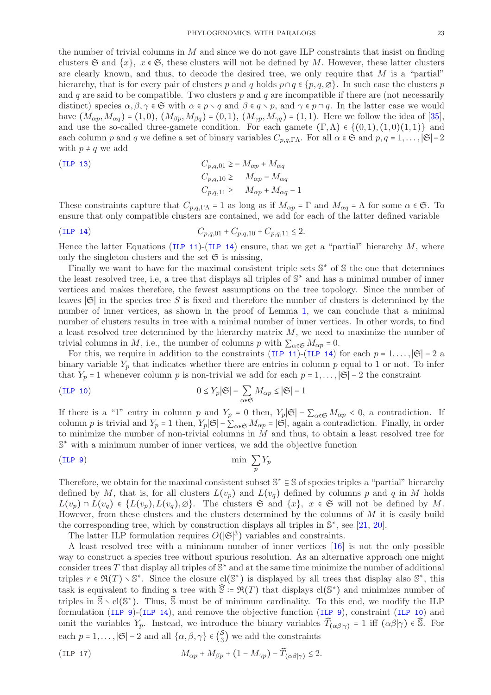the number of trivial columns in  $M$  and since we do not gave ILP constraints that insist on finding clusters G and  $\{x\}$ ,  $x \in \mathfrak{S}$ , these clusters will not be defined by M. However, these latter clusters are clearly known, and thus, to decode the desired tree, we only require that  $M$  is a "partial" hierarchy, that is for every pair of clusters p and q holds  $p \cap q \in \{p, q, \emptyset\}$ . In such case the clusters p and q are said to be compatible. Two clusters  $p$  and  $q$  are incompatible if there are (not necessarily distinct) species  $\alpha, \beta, \gamma \in \mathfrak{S}$  with  $\alpha \in p \setminus q$  and  $\beta \in q \setminus p$ , and  $\gamma \in p \cap q$ . In the latter case we would have  $(M_{\alpha p}, M_{\alpha q}) = (1, 0), (M_{\beta p}, M_{\beta q}) = (0, 1), (M_{\gamma p}, M_{\gamma q}) = (1, 1).$  Here we follow the idea of [\[35\]](#page-37-0), and use the so-called three-gamete condition. For each gamete  $(\Gamma,\Lambda) \in \{(0,1),(1,0)(1,1)\}\$  and each column p and q we define a set of binary variables  $C_{p,q,\Gamma\Lambda}$ . For all  $\alpha \in \mathfrak{S}$  and  $p,q=1,\ldots, |\mathfrak{S}|-2$ with  $p \neq q$  we add

(ILP 13)  
\n
$$
C_{p,q,01} \ge -M_{\alpha p} + M_{\alpha q}
$$
\n
$$
C_{p,q,10} \ge M_{\alpha p} - M_{\alpha q}
$$
\n
$$
C_{p,q,11} \ge M_{\alpha p} + M_{\alpha q} - 1
$$

These constraints capture that  $C_{p,q,\Gamma\Lambda} = 1$  as long as if  $M_{\alpha p} = \Gamma$  and  $M_{\alpha q} = \Lambda$  for some  $\alpha \in \mathfrak{S}$ . To ensure that only compatible clusters are contained, we add for each of the latter defined variable

$$
(ILP 14) \t C_{p,q,01} + C_{p,q,10} + C_{p,q,11} \le 2.
$$

Hence the latter Equations ([ILP 11](#page-5-2))-([ILP 14](#page-6-2)) ensure, that we get a "partial" hierarchy  $M$ , where only the singleton clusters and the set  $\mathfrak S$  is missing,

Finally we want to have for the maximal consistent triple sets  $\mathbb{S}^*$  of  $\mathbb{S}$  the one that determines the least resolved tree, i.e, a tree that displays all triples of S<sup>\*</sup> and has a minimal number of inner vertices and makes therefore, the fewest assumptions on the tree topology. Since the number of leaves  $|\mathfrak{S}|$  in the species tree S is fixed and therefore the number of clusters is determined by the number of inner vertices, as shown in the proof of Lemma [1,](#page-10-1) we can conclude that a minimal number of clusters results in tree with a minimal number of inner vertices. In other words, to find a least resolved tree determined by the hierarchy matrix  $M$ , we need to maximize the number of trivial columns in M, i.e., the number of columns p with  $\sum_{\alpha \in \mathfrak{S}} M_{\alpha p} = 0$ .

For this, we require in addition to the constraints ([ILP 11](#page-5-2))-([ILP 14](#page-6-2)) for each  $p = 1, \ldots, |\mathfrak{S}| - 2$  a binary variable  $Y_p$  that indicates whether there are entries in column p equal to 1 or not. To infer that  $Y_p = 1$  whenever column p is non-trivial we add for each  $p = 1, \ldots, |\mathfrak{S}| - 2$  the constraint

(ILP 10) 
$$
0 \le Y_p |\mathfrak{S}| - \sum_{\alpha \in \mathfrak{S}} M_{\alpha p} \le |\mathfrak{S}| - 1
$$

If there is a "1" entry in column p and  $Y_p = 0$  then,  $Y_p|\mathfrak{S}| - \sum_{\alpha \in \mathfrak{S}} M_{\alpha p} < 0$ , a contradiction. If column p is trivial and  $Y_p = 1$  then,  $Y_p|\mathfrak{S}| - \sum_{\alpha \in \mathfrak{S}} M_{\alpha p} = |\mathfrak{S}|$ , again a contradiction. Finally, in order to minimize the number of non-trivial columns in  $\tilde{M}$  and thus, to obtain a least resolved tree for S <sup>∗</sup> with a minimum number of inner vertices, we add the objective function

(ILP 9) 
$$
\min \sum_{p} Y_p
$$

Therefore, we obtain for the maximal consistent subset  $\mathbb{S}^* \subseteq \mathbb{S}$  of species triples a "partial" hierarchy defined by M, that is, for all clusters  $L(v_p)$  and  $L(v_q)$  defined by columns p and q in M holds  $L(v_p) \cap L(v_q) \in \{L(v_p), L(v_q), \emptyset\}.$  The clusters  $\mathfrak{S}$  and  $\{x\}, x \in \mathfrak{S}$  will not be defined by M. However, from these clusters and the clusters determined by the columns of  $M$  it is easily build the corresponding tree, which by construction displays all triples in  $\mathbb{S}^*$ , see [\[21,](#page-36-20) [20\]](#page-36-19).

The latter ILP formulation requires  $O(|\mathfrak{S}|^3)$  variables and constraints.

A least resolved tree with a minimum number of inner vertices [\[16\]](#page-36-15) is not the only possible way to construct a species tree without spurious resolution. As an alternative approach one might consider trees T that display all triples of  $\mathbb{S}^*$  and at the same time minimize the number of additional triples  $r \in \mathfrak{R}(T) \setminus \mathbb{S}^*$ . Since the closure  $cl(\mathbb{S}^*)$  is displayed by all trees that display also  $\mathbb{S}^*$ , this task is equivalent to finding a tree with  $\widehat{S} = \Re(T)$  that displays  $\text{cl}(\mathbb{S}^*)$  and minimizes number of triples in  $\hat{\mathbb{S}} \setminus \text{cl}(\mathbb{S}^*)$ . Thus,  $\hat{\mathbb{S}}$  must be of minimum cardinality. To this end, we modify the ILP formulation ([ILP 9](#page-5-4))-([ILP 14](#page-6-2)), and remove the objective function ([ILP 9](#page-5-4)), constraint ([ILP 10](#page-5-3)) and omit the variables  $Y_p$ . Instead, we introduce the binary variables  $\widehat{T}_{(\alpha\beta|\gamma)} = 1$  iff  $(\alpha\beta|\gamma) \in \widehat{\mathbb{S}}$ . For each  $p = 1, ..., |\mathfrak{S}| - 2$  and all  $\{\alpha, \beta, \gamma\} \in {S \choose 3}$  $\binom{3}{3}$  we add the constraints

<span id="page-22-0"></span>
$$
(ILP 17) \t\t M_{\alpha p} + M_{\beta p} + (1 - M_{\gamma p}) - \widehat{T}_{(\alpha \beta | \gamma)} \le 2.
$$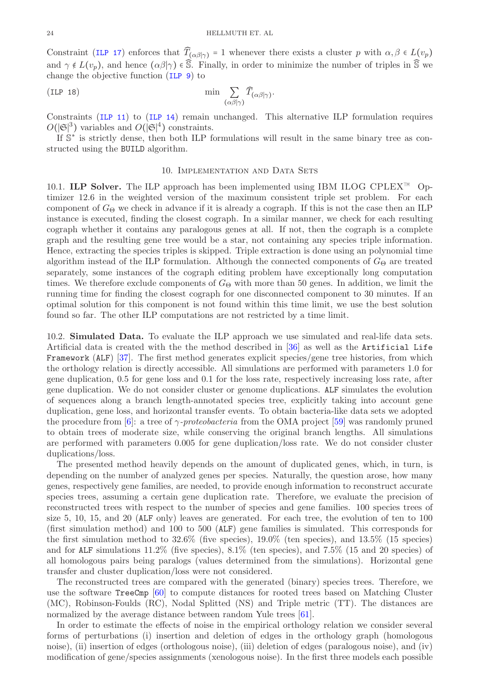Constraint ([ILP 17](#page-22-0)) enforces that  $\widehat{T}_{(\alpha\beta|\gamma)} = 1$  whenever there exists a cluster p with  $\alpha, \beta \in L(v_p)$ and  $\gamma \notin L(v_p)$ , and hence  $(\alpha \beta | \gamma) \in \overline{S}$ . Finally, in order to minimize the number of triples in  $\overline{S}$  we change the objective function ([ILP 9](#page-5-4)) to

(ILP 18) 
$$
\min \sum_{(\alpha\beta|\gamma)} \widehat{T}_{(\alpha\beta|\gamma)}.
$$

Constraints ([ILP 11](#page-5-2)) to ([ILP 14](#page-6-2)) remain unchanged. This alternative ILP formulation requires  $O(|\mathfrak{S}|^3)$  variables and  $O(|\mathfrak{S}|^4)$  constraints.

If S ∗ is strictly dense, then both ILP formulations will result in the same binary tree as constructed using the BUILD algorithm.

### 10. IMPLEMENTATION AND DATA SETS

10.1. ILP Solver. The ILP approach has been implemented using IBM ILOG CPLEX™ Optimizer 12.6 in the weighted version of the maximum consistent triple set problem. For each component of  $G_{\Theta}$  we check in advance if it is already a cograph. If this is not the case then an ILP instance is executed, finding the closest cograph. In a similar manner, we check for each resulting cograph whether it contains any paralogous genes at all. If not, then the cograph is a complete graph and the resulting gene tree would be a star, not containing any species triple information. Hence, extracting the species triples is skipped. Triple extraction is done using an polynomial time algorithm instead of the ILP formulation. Although the connected components of  $G_{\Theta}$  are treated separately, some instances of the cograph editing problem have exceptionally long computation times. We therefore exclude components of  $G_{\Theta}$  with more than 50 genes. In addition, we limit the running time for finding the closest cograph for one disconnected component to 30 minutes. If an optimal solution for this component is not found within this time limit, we use the best solution found so far. The other ILP computations are not restricted by a time limit.

10.2. Simulated Data. To evaluate the ILP approach we use simulated and real-life data sets. Artificial data is created with the the method described in [\[36\]](#page-37-1) as well as the Artificial Life Framework (ALF) [\[37\]](#page-37-2). The first method generates explicit species/gene tree histories, from which the orthology relation is directly accessible. All simulations are performed with parameters 1.0 for gene duplication, 0.5 for gene loss and 0.1 for the loss rate, respectively increasing loss rate, after gene duplication. We do not consider cluster or genome duplications. ALF simulates the evolution of sequences along a branch length-annotated species tree, explicitly taking into account gene duplication, gene loss, and horizontal transfer events. To obtain bacteria-like data sets we adopted the procedure from [\[6\]](#page-36-5): a tree of  $\gamma$ -proteobacteria from the OMA project [\[59\]](#page-37-24) was randomly pruned to obtain trees of moderate size, while conserving the original branch lengths. All simulations are performed with parameters 0.005 for gene duplication/loss rate. We do not consider cluster duplications/loss.

The presented method heavily depends on the amount of duplicated genes, which, in turn, is depending on the number of analyzed genes per species. Naturally, the question arose, how many genes, respectively gene families, are needed, to provide enough information to reconstruct accurate species trees, assuming a certain gene duplication rate. Therefore, we evaluate the precision of reconstructed trees with respect to the number of species and gene families. 100 species trees of size 5, 10, 15, and 20 (ALF only) leaves are generated. For each tree, the evolution of ten to 100 (first simulation method) and 100 to 500 (ALF) gene families is simulated. This corresponds for the first simulation method to 32.6% (five species), 19.0% (ten species), and 13.5% (15 species) and for ALF simulations 11.2% (five species), 8.1% (ten species), and 7.5% (15 and 20 species) of all homologous pairs being paralogs (values determined from the simulations). Horizontal gene transfer and cluster duplication/loss were not considered.

The reconstructed trees are compared with the generated (binary) species trees. Therefore, we use the software TreeCmp [\[60\]](#page-37-25) to compute distances for rooted trees based on Matching Cluster (MC), Robinson-Foulds (RC), Nodal Splitted (NS) and Triple metric (TT). The distances are normalized by the average distance between random Yule trees [\[61\]](#page-37-26).

In order to estimate the effects of noise in the empirical orthology relation we consider several forms of perturbations (i) insertion and deletion of edges in the orthology graph (homologous noise), (ii) insertion of edges (orthologous noise), (iii) deletion of edges (paralogous noise), and (iv) modification of gene/species assignments (xenologous noise). In the first three models each possible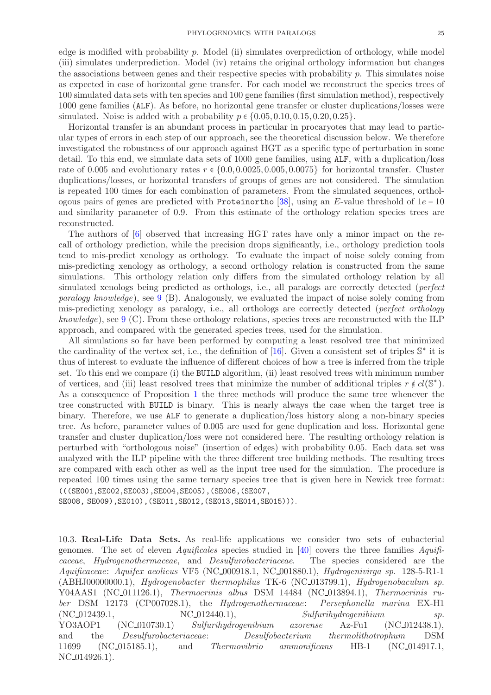edge is modified with probability p. Model (ii) simulates overprediction of orthology, while model (iii) simulates underprediction. Model (iv) retains the original orthology information but changes the associations between genes and their respective species with probability  $p$ . This simulates noise as expected in case of horizontal gene transfer. For each model we reconstruct the species trees of 100 simulated data sets with ten species and 100 gene families (first simulation method), respectively 1000 gene families (ALF). As before, no horizontal gene transfer or cluster duplications/losses were simulated. Noise is added with a probability  $p \in \{0.05, 0.10, 0.15, 0.20, 0.25\}.$ 

Horizontal transfer is an abundant process in particular in procaryotes that may lead to particular types of errors in each step of our approach, see the theoretical discussion below. We therefore investigated the robustness of our approach against HGT as a specific type of perturbation in some detail. To this end, we simulate data sets of 1000 gene families, using ALF, with a duplication/loss rate of 0.005 and evolutionary rates  $r \in \{0.0, 0.0025, 0.005, 0.0075\}$  for horizontal transfer. Cluster duplications/losses, or horizontal transfers of groups of genes are not considered. The simulation is repeated 100 times for each combination of parameters. From the simulated sequences, orthol-ogous pairs of genes are predicted with Proteinortho [\[38\]](#page-37-3), using an E-value threshold of  $1e-10$ and similarity parameter of 0.9. From this estimate of the orthology relation species trees are reconstructed.

The authors of [\[6\]](#page-36-5) observed that increasing HGT rates have only a minor impact on the recall of orthology prediction, while the precision drops significantly, i.e., orthology prediction tools tend to mis-predict xenology as orthology. To evaluate the impact of noise solely coming from mis-predicting xenology as orthology, a second orthology relation is constructed from the same simulations. This orthology relation only differs from the simulated orthology relation by all simulated xenologs being predicted as orthologs, i.e., all paralogs are correctly detected (*perfect paralogy knowledge*), see  $9 \text{ (B)}$  $9 \text{ (B)}$ . Analogously, we evaluated the impact of noise solely coming from mis-predicting xenology as paralogy, i.e., all orthologs are correctly detected (perfect orthology knowledge), see  $9 \text{ (C)}$  $9 \text{ (C)}$ . From these orthology relations, species trees are reconstructed with the ILP approach, and compared with the generated species trees, used for the simulation.

All simulations so far have been performed by computing a least resolved tree that minimized the cardinality of the vertex set, i.e., the definition of  $[16]$ . Given a consistent set of triples  $\mathbb{S}^*$  it is thus of interest to evaluate the influence of different choices of how a tree is inferred from the triple set. To this end we compare (i) the BUILD algorithm, (ii) least resolved trees with minimum number of vertices, and (iii) least resolved trees that minimize the number of additional triples  $r \notin cl(\mathbb{S}^*)$ . As a consequence of Proposition [1](#page-4-3) the three methods will produce the same tree whenever the tree constructed with BUILD is binary. This is nearly always the case when the target tree is binary. Therefore, we use ALF to generate a duplication/loss history along a non-binary species tree. As before, parameter values of 0.005 are used for gene duplication and loss. Horizontal gene transfer and cluster duplication/loss were not considered here. The resulting orthology relation is perturbed with "orthologous noise" (insertion of edges) with probability 0.05. Each data set was analyzed with the ILP pipeline with the three different tree building methods. The resulting trees are compared with each other as well as the input tree used for the simulation. The procedure is repeated 100 times using the same ternary species tree that is given here in Newick tree format: (((SE001,SE002,SE003),SE004,SE005),(SE006,(SE007,

SE008, SE009),SE010),(SE011,SE012,(SE013,SE014,SE015))).

10.3. Real-Life Data Sets. As real-life applications we consider two sets of eubacterial genomes. The set of eleven *Aquificales* species studied in [\[40\]](#page-37-5) covers the three families *Aquifi*caceae, Hydrogenothermaceae, and Desulfurobacteriaceae. The species considered are the Aquificaceae: Aquifex aeolicus VF5 (NC 000918.1, NC 001880.1), Hydrogenivirga sp. 128-5-R1-1 (ABHJ00000000.1), Hydrogenobacter thermophilus TK-6 (NC 013799.1), Hydrogenobaculum sp. Y04AAS1 (NC\_011126.1), Thermocrinis albus DSM 14484 (NC\_013894.1), Thermocrinis ruber DSM 12173 (CP007028.1), the Hydrogenothermaceae: Persephonella marina EX-H1  $(NC_012439.1, NC_012440.1),$   $Sulfurihydrogenibium$  sp. YO3AOP1 (NC 010730.1) Sulfurihydrogenibium azorense Az-Fu1 (NC 012438.1), and the Desulfurobacteriaceae: Desulfobacterium thermolithotrophum DSM 11699 (NC 015185.1), and Thermovibrio ammonificans HB-1 (NC 014917.1, NC 014926.1).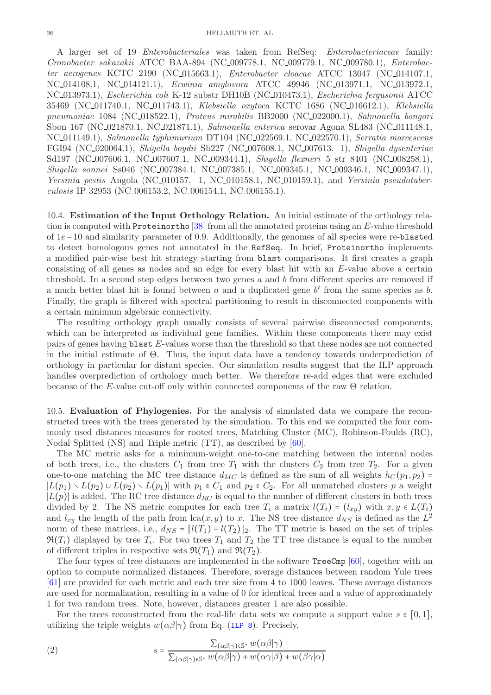A larger set of 19 Enterobacteriales was taken from RefSeq: Enterobacteriaceae family: Cronobacter sakazakii ATCC BAA-894 (NC 009778.1, NC 009779.1, NC 009780.1), Enterobacter aerogenes KCTC 2190 (NC 015663.1), Enterobacter cloacae ATCC 13047 (NC 014107.1, NC 014108.1, NC 014121.1), Erwinia amylovora ATCC 49946 (NC 013971.1, NC 013972.1, NC 013973.1), Escherichia coli K-12 substr DH10B (NC 010473.1), Escherichia fergusonii ATCC 35469 (NC 011740.1, NC 011743.1), Klebsiella oxytoca KCTC 1686 (NC 016612.1), Klebsiella pneumoniae 1084 (NC 018522.1), Proteus mirabilis BB2000 (NC 022000.1), Salmonella bongori Sbon 167 (NC 021870.1, NC 021871.1), Salmonella enterica serovar Agona SL483 (NC 011148.1, NC 011149.1), Salmonella typhimurium DT104 (NC 022569.1, NC 022570.1), Serratia marcescens FGI94 (NC 020064.1), Shigella boydii Sb227 (NC 007608.1, NC 007613. 1), Shigella dysenteriae Sd197 (NC\_007606.1, NC\_007607.1, NC\_009344.1), Shigella flexneri 5 str 8401 (NC\_008258.1), Shigella sonnei Ss046 (NC 007384.1, NC 007385.1, NC 009345.1, NC 009346.1, NC 009347.1), Yersinia pestis Angola (NC\_010157. 1, NC\_010158.1, NC\_010159.1), and Yersinia pseudotuberculosis IP 32953 (NC 006153.2, NC 006154.1, NC 006155.1).

10.4. Estimation of the Input Orthology Relation. An initial estimate of the orthology relation is computed with Proteinortho [\[38\]](#page-37-3) from all the annotated proteins using an E-value threshold of 1e−10 and similarity parameter of 0.9. Additionally, the genomes of all species were re-blasted to detect homologous genes not annotated in the RefSeq. In brief, Proteinortho implements a modified pair-wise best hit strategy starting from blast comparisons. It first creates a graph consisting of all genes as nodes and an edge for every blast hit with an E-value above a certain threshold. In a second step edges between two genes a and b from different species are removed if a much better blast hit is found between  $a$  and a duplicated gene  $b'$  from the same species as  $b$ . Finally, the graph is filtered with spectral partitioning to result in disconnected components with a certain minimum algebraic connectivity.

The resulting orthology graph usually consists of several pairwise disconnected components, which can be interpreted as individual gene families. Within these components there may exist pairs of genes having blast E-values worse than the threshold so that these nodes are not connected in the initial estimate of  $\Theta$ . Thus, the input data have a tendency towards underprediction of orthology in particular for distant species. Our simulation results suggest that the ILP approach handles overprediction of orthology much better. We therefore re-add edges that were excluded because of the E-value cut-off only within connected components of the raw  $\Theta$  relation.

10.5. Evaluation of Phylogenies. For the analysis of simulated data we compare the reconstructed trees with the trees generated by the simulation. To this end we computed the four commonly used distances measures for rooted trees, Matching Cluster (MC), Robinson-Foulds (RC), Nodal Splitted (NS) and Triple metric (TT), as described by [\[60\]](#page-37-25).

The MC metric asks for a minimum-weight one-to-one matching between the internal nodes of both trees, i.e., the clusters  $C_1$  from tree  $T_1$  with the clusters  $C_2$  from tree  $T_2$ . For a given one-to-one matching the MC tree distance  $d_{MC}$  is defined as the sum of all weights  $h_C(p_1, p_2)$  =  $|L(p_1) \setminus L(p_2) \cup L(p_2) \setminus L(p_1)|$  with  $p_1 \in C_1$  and  $p_2 \in C_2$ . For all unmatched clusters p a weight  $|L(p)|$  is added. The RC tree distance  $d_{RC}$  is equal to the number of different clusters in both trees divided by 2. The NS metric computes for each tree  $T_i$  a matrix  $l(T_i) = (l_{xy})$  with  $x, y \in L(T_i)$ and  $l_{xy}$  the length of the path from  $lca(x, y)$  to x. The NS tree distance  $d_{NS}$  is defined as the  $L^2$ norm of these matrices, i.e.,  $d_{NS} = ||l(T_1) - l(T_2)||_2$ . The TT metric is based on the set of triples  $\Re(T_i)$  displayed by tree  $T_i$ . For two trees  $T_1$  and  $T_2$  the TT tree distance is equal to the number of different triples in respective sets  $\mathfrak{R}(T_1)$  and  $\mathfrak{R}(T_2)$ .

The four types of tree distances are implemented in the software TreeCmp [\[60\]](#page-37-25), together with an option to compute normalized distances. Therefore, average distances between random Yule trees [\[61\]](#page-37-26) are provided for each metric and each tree size from 4 to 1000 leaves. These average distances are used for normalization, resulting in a value of 0 for identical trees and a value of approximately 1 for two random trees. Note, however, distances greater 1 are also possible.

For the trees reconstructed from the real-life data sets we compute a support value  $s \in [0,1]$ , utilizing the triple weights  $w(\alpha\beta|\gamma)$  from Eq. ([ILP 8](#page-5-7)). Precisely,

(2) 
$$
s = \frac{\sum_{(\alpha\beta|\gamma)\in\mathbb{S}^*} w(\alpha\beta|\gamma)}{\sum_{(\alpha\beta|\gamma)\in\mathbb{S}^*} w(\alpha\beta|\gamma) + w(\alpha\gamma|\beta) + w(\beta\gamma|\alpha)}
$$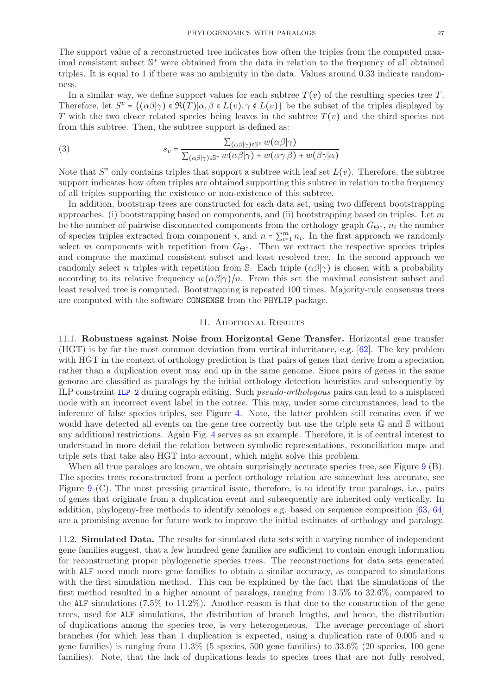The support value of a reconstructed tree indicates how often the triples from the computed maximal consistent subset  $\mathbb{S}^*$  were obtained from the data in relation to the frequency of all obtained triples. It is equal to 1 if there was no ambiguity in the data. Values around 0.33 indicate randomness.

In a similar way, we define support values for each subtree  $T(v)$  of the resulting species tree T. Therefore, let  $S^v = \{(\alpha \beta | \gamma) \in \Re(T) | \alpha, \beta \in L(v), \gamma \notin L(v)\}\$ be the subset of the triples displayed by T with the two closer related species being leaves in the subtree  $T(v)$  and the third species not from this subtree. Then, the subtree support is defined as:

(3) 
$$
s_v = \frac{\sum_{(\alpha\beta|\gamma)\in\mathbb{S}^v} w(\alpha\beta|\gamma)}{\sum_{(\alpha\beta|\gamma)\in\mathbb{S}^v} w(\alpha\beta|\gamma) + w(\alpha\gamma|\beta) + w(\beta\gamma|\alpha)}
$$

Note that  $S^v$  only contains triples that support a subtree with leaf set  $L(v)$ . Therefore, the subtree support indicates how often triples are obtained supporting this subtree in relation to the frequency of all triples supporting the existence or non-existence of this subtree.

In addition, bootstrap trees are constructed for each data set, using two different bootstrapping approaches. (i) bootstrapping based on components, and (ii) bootstrapping based on triples. Let m be the number of pairwise disconnected components from the orthology graph  $G_{\Theta^*}$ ,  $n_i$  the number of species triples extracted from component *i*, and  $n = \sum_{i=1}^{m} n_i$ . In the first approach we randomly select m components with repetition from  $G_{\Theta^*}$ . Then we extract the respective species triples and compute the maximal consistent subset and least resolved tree. In the second approach we randomly select n triples with repetition from S. Each triple  $(\alpha\beta|\gamma)$  is chosen with a probability according to its relative frequency  $w(\alpha\beta|\gamma)/n$ . From this set the maximal consistent subset and least resolved tree is computed. Bootstrapping is repeated 100 times. Majority-rule consensus trees are computed with the software CONSENSE from the PHYLIP package.

# 11. Additional Results

11.1. Robustness against Noise from Horizontal Gene Transfer. Horizontal gene transfer (HGT) is by far the most common deviation from vertical inheritance, e.g. [\[62\]](#page-37-27). The key problem with HGT in the context of orthology prediction is that pairs of genes that derive from a speciation rather than a duplication event may end up in the same genome. Since pairs of genes in the same genome are classified as paralogs by the initial orthology detection heuristics and subsequently by ILP constraint [ILP 2](#page-4-1) during cograph editing. Such pseudo-orthologous pairs can lead to a misplaced node with an incorrect event label in the cotree. This may, under some circumstances, lead to the inference of false species triples, see Figure [4.](#page-29-1) Note, the latter problem still remains even if we would have detected all events on the gene tree correctly but use the triple sets G and S without any additional restrictions. Again Fig. [4](#page-29-1) serves as an example. Therefore, it is of central interest to understand in more detail the relation between symbolic representations, reconciliation maps and triple sets that take also HGT into account, which might solve this problem.

When all true paralogs are known, we obtain surprisingly accurate species tree, see Figure [9](#page-34-0) (B). The species trees reconstructed from a perfect orthology relation are somewhat less accurate, see Figure [9](#page-34-0) (C). The most pressing practical issue, therefore, is to identify true paralogs, i.e., pairs of genes that originate from a duplication event and subsequently are inherited only vertically. In addition, phylogeny-free methods to identify xenologs e.g. based on sequence composition [\[63,](#page-37-28) [64\]](#page-37-29) are a promising avenue for future work to improve the initial estimates of orthology and paralogy.

11.2. **Simulated Data.** The results for simulated data sets with a varying number of independent gene families suggest, that a few hundred gene families are sufficient to contain enough information for reconstructing proper phylogenetic species trees. The reconstructions for data sets generated with ALF need much more gene families to obtain a similar accuracy, as compared to simulations with the first simulation method. This can be explained by the fact that the simulations of the first method resulted in a higher amount of paralogs, ranging from 13.5% to 32.6%, compared to the ALF simulations  $(7.5\%$  to  $11.2\%)$ . Another reason is that due to the construction of the gene trees, used for ALF simulations, the distribution of branch lengths, and hence, the distribution of duplications among the species tree, is very heterogeneous. The average percentage of short branches (for which less than 1 duplication is expected, using a duplication rate of 0.005 and  $n$ gene families) is ranging from 11.3% (5 species, 500 gene families) to 33.6% (20 species, 100 gene families). Note, that the lack of duplications leads to species trees that are not fully resolved,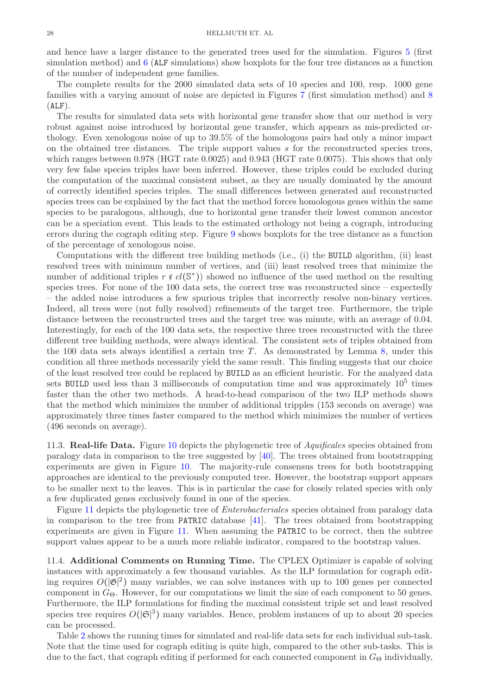and hence have a larger distance to the generated trees used for the simulation. Figures [5](#page-30-0) (first simulation method) and [6](#page-31-0) (ALF simulations) show boxplots for the four tree distances as a function of the number of independent gene families.

The complete results for the 2000 simulated data sets of 10 species and 100, resp. 1000 gene families with a varying amount of noise are depicted in Figures [7](#page-32-0) (first simulation method) and [8](#page-33-0)  $(ALF)$ .

The results for simulated data sets with horizontal gene transfer show that our method is very robust against noise introduced by horizontal gene transfer, which appears as mis-predicted orthology. Even xenologous noise of up to 39.5% of the homologous pairs had only a minor impact on the obtained tree distances. The triple support values s for the reconstructed species trees, which ranges between 0.978 (HGT rate 0.0025) and 0.943 (HGT rate 0.0075). This shows that only very few false species triples have been inferred. However, these triples could be excluded during the computation of the maximal consistent subset, as they are usually dominated by the amount of correctly identified species triples. The small differences between generated and reconstructed species trees can be explained by the fact that the method forces homologous genes within the same species to be paralogous, although, due to horizontal gene transfer their lowest common ancestor can be a speciation event. This leads to the estimated orthology not being a cograph, introducing errors during the cograph editing step. Figure [9](#page-34-0) shows boxplots for the tree distance as a function of the percentage of xenologous noise.

Computations with the different tree building methods (i.e., (i) the BUILD algorithm, (ii) least resolved trees with minimum number of vertices, and (iii) least resolved trees that minimize the number of additional triples  $r \notin cl(S^*)$  showed no influence of the used method on the resulting species trees. For none of the 100 data sets, the correct tree was reconstructed since – expectedly – the added noise introduces a few spurious triples that incorrectly resolve non-binary vertices. Indeed, all trees were (not fully resolved) refinements of the target tree. Furthermore, the triple distance between the reconstructed trees and the target tree was minute, with an average of 0.04. Interestingly, for each of the 100 data sets, the respective three trees reconstructed with the three different tree building methods, were always identical. The consistent sets of triples obtained from the 100 data sets always identified a certain tree T. As demonstrated by Lemma [8,](#page-15-1) under this condition all three methods necessarily yield the same result. This finding suggests that our choice of the least resolved tree could be replaced by BUILD as an efficient heuristic. For the analyzed data sets BUILD used less than 3 milliseconds of computation time and was approximately  $10^5$  times faster than the other two methods. A head-to-head comparison of the two ILP methods shows that the method which minimizes the number of additional tripples (153 seconds on average) was approximately three times faster compared to the method which minimizes the number of vertices (496 seconds on average).

11.3. **Real-life Data.** Figure [10](#page-34-1) depicts the phylogenetic tree of *Aquificales* species obtained from paralogy data in comparison to the tree suggested by [\[40\]](#page-37-5). The trees obtained from bootstrapping experiments are given in Figure [10.](#page-34-1) The majority-rule consensus trees for both bootstrapping approaches are identical to the previously computed tree. However, the bootstrap support appears to be smaller next to the leaves. This is in particular the case for closely related species with only a few duplicated genes exclusively found in one of the species.

Figure [11](#page-35-0) depicts the phylogenetic tree of Enterobacteriales species obtained from paralogy data in comparison to the tree from PATRIC database [\[41\]](#page-37-6). The trees obtained from bootstrapping experiments are given in Figure [11.](#page-35-0) When assuming the PATRIC to be correct, then the subtree support values appear to be a much more reliable indicator, compared to the bootstrap values.

11.4. Additional Comments on Running Time. The CPLEX Optimizer is capable of solving instances with approximately a few thousand variables. As the ILP formulation for cograph editing requires  $O(|\mathfrak{G}|^2)$  many variables, we can solve instances with up to 100 genes per connected component in  $G_{\Theta}$ . However, for our computations we limit the size of each component to 50 genes. Furthermore, the ILP formulations for finding the maximal consistent triple set and least resolved species tree requires  $O(|\mathfrak{S}|^3)$  many variables. Hence, problem instances of up to about 20 species can be processed.

Table [2](#page-29-0) shows the running times for simulated and real-life data sets for each individual sub-task. Note that the time used for cograph editing is quite high, compared to the other sub-tasks. This is due to the fact, that cograph editing if performed for each connected component in  $G_{\Theta}$  individually,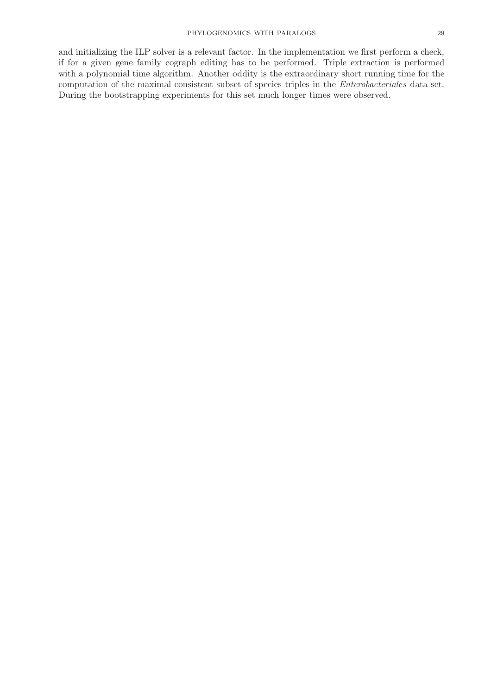and initializing the ILP solver is a relevant factor. In the implementation we first perform a check, if for a given gene family cograph editing has to be performed. Triple extraction is performed with a polynomial time algorithm. Another oddity is the extraordinary short running time for the computation of the maximal consistent subset of species triples in the Enterobacteriales data set. During the bootstrapping experiments for this set much longer times were observed.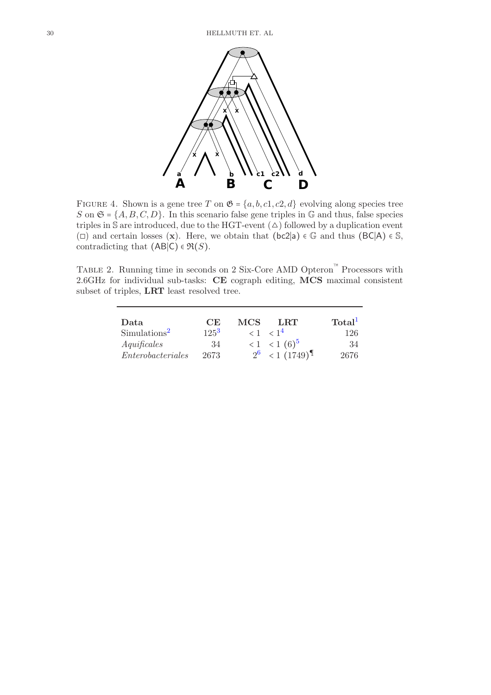

<span id="page-29-1"></span>FIGURE 4. Shown is a gene tree T on  $\mathfrak{G} = \{a, b, c1, c2, d\}$  evolving along species tree S on  $\mathfrak{S} = \{A, B, C, D\}$ . In this scenario false gene triples in G and thus, false species triples in  $\mathbb S$  are introduced, due to the HGT-event  $(\triangle)$  followed by a duplication event (□) and certain losses (x). Here, we obtain that (bc2|a)  $\in \mathbb{G}$  and thus (BC|A)  $\in \mathbb{S}$ , contradicting that  $(AB|C) \in \mathfrak{R}(S)$ .

Table 2. Running time in seconds on 2 Six-Core AMD Opteron™ Processors with 2.6GHz for individual sub-tasks: CE cograph editing, MCS maximal consistent subset of triples, LRT least resolved tree.

<span id="page-29-0"></span>

| Data                     | CE      | MCS. | LRT                                       | Total <sup>1</sup> |
|--------------------------|---------|------|-------------------------------------------|--------------------|
| Simulations <sup>2</sup> | $125^3$ |      | $\langle 1 \rangle$ $\langle 1^4 \rangle$ | 126                |
| A quificales             | 34      |      | $< 1$ $< 1$ $(6)^5$                       | 34                 |
| Enterobacteriales        | 2673    |      | $2^6$ < 1 (1749) <sup>I</sup>             | 2676               |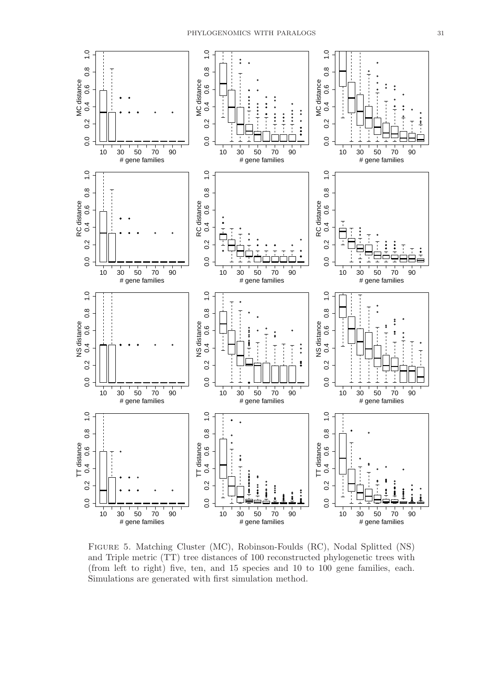

<span id="page-30-0"></span>Figure 5. Matching Cluster (MC), Robinson-Foulds (RC), Nodal Splitted (NS) and Triple metric (TT) tree distances of 100 reconstructed phylogenetic trees with (from left to right) five, ten, and 15 species and 10 to 100 gene families, each. Simulations are generated with first simulation method.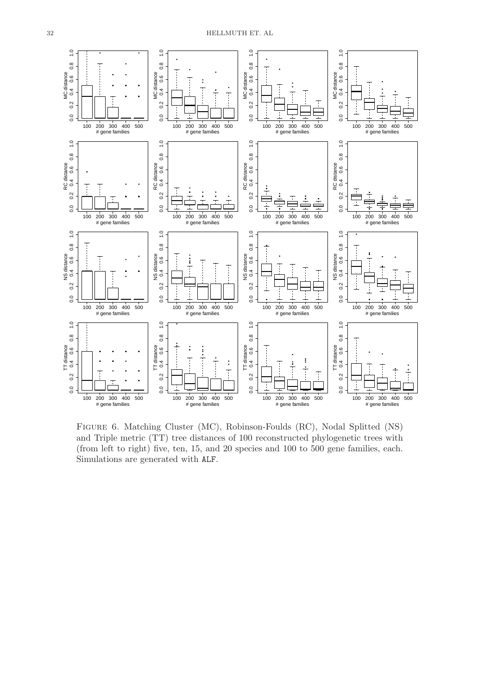

<span id="page-31-0"></span>Figure 6. Matching Cluster (MC), Robinson-Foulds (RC), Nodal Splitted (NS) and Triple metric (TT) tree distances of 100 reconstructed phylogenetic trees with (from left to right) five, ten, 15, and 20 species and 100 to 500 gene families, each. Simulations are generated with ALF.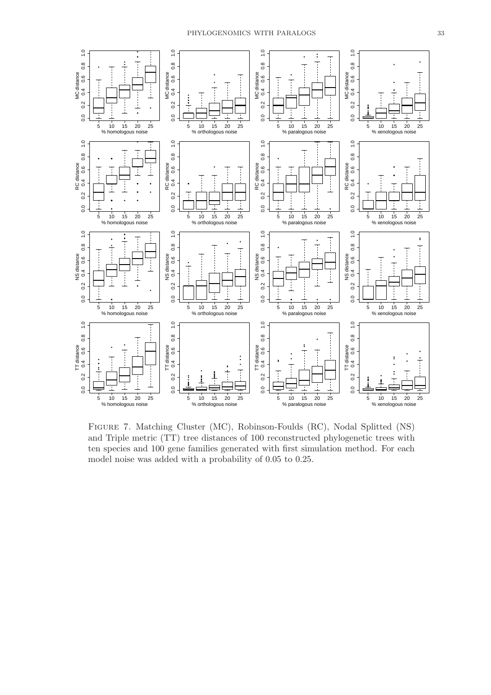

<span id="page-32-0"></span>Figure 7. Matching Cluster (MC), Robinson-Foulds (RC), Nodal Splitted (NS) and Triple metric (TT) tree distances of 100 reconstructed phylogenetic trees with ten species and 100 gene families generated with first simulation method. For each model noise was added with a probability of 0.05 to 0.25.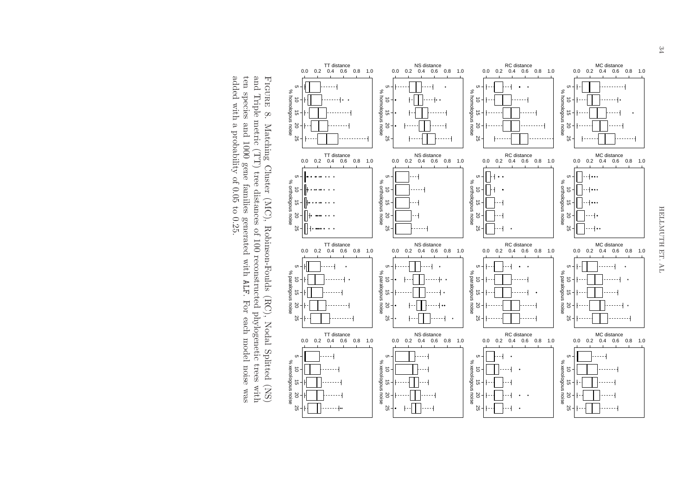

Figure 8. Matching Cluster (MC), Robinson-Foulds (RC), Nodal Splitted (NS) and Triple metric (TT) tree distances of 100 reconstructed phylogenetic trees with ten species and 1000 gene families generated with ALF. For each model noise was added with a probability of 0.05 to 0.25.

% homologous noise

homologous noise

 $\aleph$ 

% orthologous noise

orthologous noise

 $\%$ 

% paralogous noise

paralogous noise

 $\delta$ 

% xenologous noise

<span id="page-33-0"></span>xenologous noise

 $\mathbb{R}^2$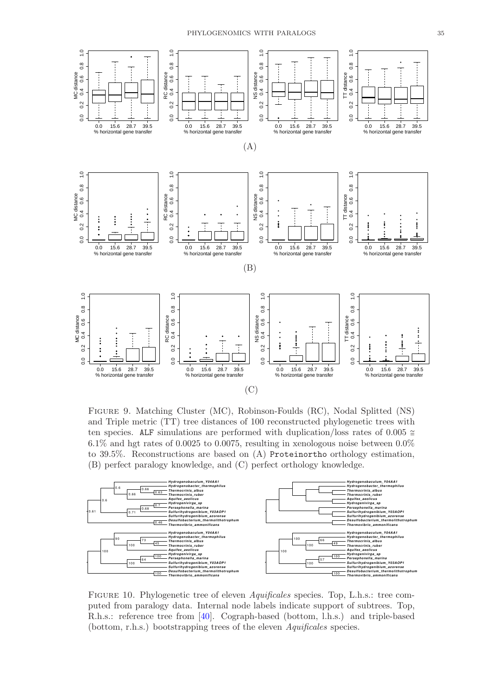

<span id="page-34-0"></span>Figure 9. Matching Cluster (MC), Robinson-Foulds (RC), Nodal Splitted (NS) and Triple metric (TT) tree distances of 100 reconstructed phylogenetic trees with ten species. ALF simulations are performed with duplication/loss rates of  $0.005 \approx$ 6.1% and hgt rates of 0.0025 to 0.0075, resulting in xenologous noise between 0.0% to 39.5%. Reconstructions are based on (A) Proteinortho orthology estimation, (B) perfect paralogy knowledge, and (C) perfect orthology knowledge.



<span id="page-34-1"></span>Figure 10. Phylogenetic tree of eleven Aquificales species. Top, L.h.s.: tree computed from paralogy data. Internal node labels indicate support of subtrees. Top, R.h.s.: reference tree from [\[40\]](#page-37-5). Cograph-based (bottom, l.h.s.) and triple-based (bottom, r.h.s.) bootstrapping trees of the eleven Aquificales species.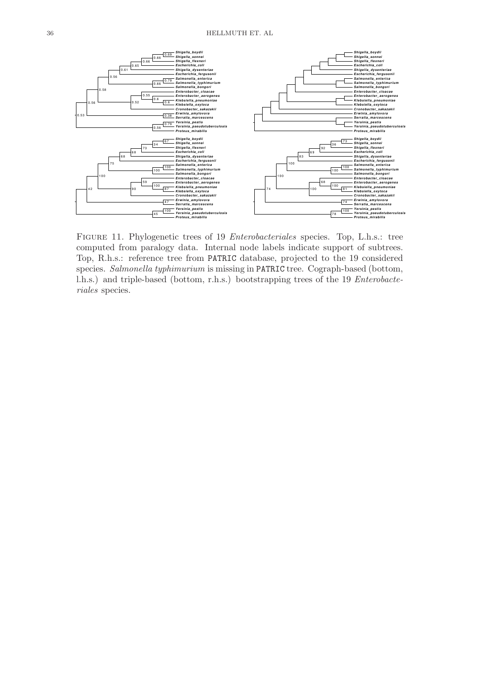

<span id="page-35-0"></span>Figure 11. Phylogenetic trees of 19 Enterobacteriales species. Top, L.h.s.: tree computed from paralogy data. Internal node labels indicate support of subtrees. Top, R.h.s.: reference tree from PATRIC database, projected to the 19 considered species. Salmonella typhimurium is missing in PATRIC tree. Cograph-based (bottom, l.h.s.) and triple-based (bottom, r.h.s.) bootstrapping trees of the 19 Enterobacteriales species.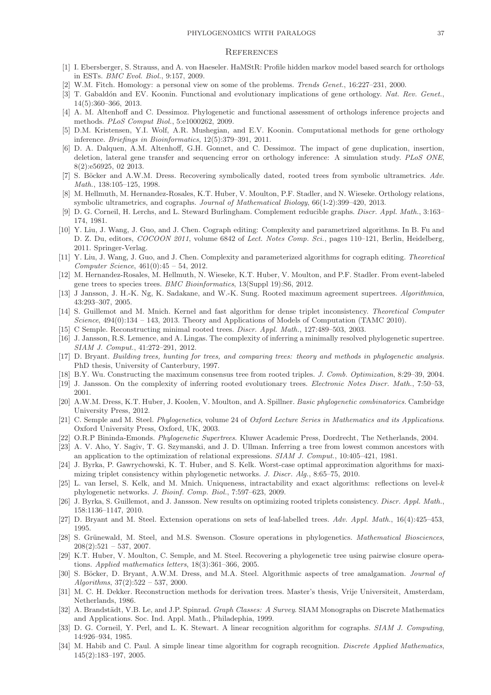### PHYLOGENOMICS WITH PARALOGS 37

### **REFERENCES**

- <span id="page-36-1"></span><span id="page-36-0"></span>[1] I. Ebersberger, S. Strauss, and A. von Haeseler. HaMStR: Profile hidden markov model based search for orthologs in ESTs. *BMC Evol. Biol.*, 9:157, 2009.
- <span id="page-36-2"></span>[2] W.M. Fitch. Homology: a personal view on some of the problems. *Trends Genet.*, 16:227–231, 2000.
- [3] T. Gabaldón and EV. Koonin. Functional and evolutionary implications of gene orthology. Nat. Rev. Genet., 14(5):360–366, 2013.
- <span id="page-36-4"></span><span id="page-36-3"></span>[4] A. M. Altenhoff and C. Dessimoz. Phylogenetic and functional assessment of orthologs inference projects and methods. *PLoS Comput Biol.*, 5:e1000262, 2009.
- [5] D.M. Kristensen, Y.I. Wolf, A.R. Mushegian, and E.V. Koonin. Computational methods for gene orthology inference. *Briefings in Bioinformatics*, 12(5):379–391, 2011.
- <span id="page-36-5"></span>[6] D. A. Dalquen, A.M. Altenhoff, G.H. Gonnet, and C. Dessimoz. The impact of gene duplication, insertion, deletion, lateral gene transfer and sequencing error on orthology inference: A simulation study. *PLoS ONE*, 8(2):e56925, 02 2013.
- <span id="page-36-7"></span><span id="page-36-6"></span>[7] S. Böcker and A.W.M. Dress. Recovering symbolically dated, rooted trees from symbolic ultrametrics. Adv. *Math.*, 138:105–125, 1998.
- [8] M. Hellmuth, M. Hernandez-Rosales, K.T. Huber, V. Moulton, P.F. Stadler, and N. Wieseke. Orthology relations, symbolic ultrametrics, and cographs. *Journal of Mathematical Biology*, 66(1-2):399–420, 2013.
- <span id="page-36-8"></span>[9] D. G. Corneil, H. Lerchs, and L. Steward Burlingham. Complement reducible graphs. *Discr. Appl. Math.*, 3:163– 174, 1981.
- <span id="page-36-9"></span>[10] Y. Liu, J. Wang, J. Guo, and J. Chen. Cograph editing: Complexity and parametrized algorithms. In B. Fu and D. Z. Du, editors, *COCOON 2011*, volume 6842 of *Lect. Notes Comp. Sci.*, pages 110–121, Berlin, Heidelberg, 2011. Springer-Verlag.
- <span id="page-36-10"></span>[11] Y. Liu, J. Wang, J. Guo, and J. Chen. Complexity and parameterized algorithms for cograph editing. *Theoretical Computer Science*, 461(0):45 – 54, 2012.
- <span id="page-36-11"></span>[12] M. Hernandez-Rosales, M. Hellmuth, N. Wieseke, K.T. Huber, V. Moulton, and P.F. Stadler. From event-labeled gene trees to species trees. *BMC Bioinformatics*, 13(Suppl 19):S6, 2012.
- <span id="page-36-12"></span>[13] J Jansson, J. H.-K. Ng, K. Sadakane, and W.-K. Sung. Rooted maximum agreement supertrees. *Algorithmica*, 43:293–307, 2005.
- <span id="page-36-13"></span>[14] S. Guillemot and M. Mnich. Kernel and fast algorithm for dense triplet inconsistency. *Theoretical Computer Science*, 494(0):134 – 143, 2013. Theory and Applications of Models of Computation (TAMC 2010).
- <span id="page-36-15"></span><span id="page-36-14"></span>[15] C Semple. Reconstructing minimal rooted trees. *Discr. Appl. Math.*, 127:489–503, 2003.
- [16] J. Jansson, R.S. Lemence, and A. Lingas. The complexity of inferring a minimally resolved phylogenetic supertree. *SIAM J. Comput.*, 41:272–291, 2012.
- <span id="page-36-16"></span>[17] D. Bryant. *Building trees, hunting for trees, and comparing trees: theory and methods in phylogenetic analysis.* PhD thesis, University of Canterbury, 1997.
- <span id="page-36-18"></span><span id="page-36-17"></span>[18] B.Y. Wu. Constructing the maximum consensus tree from rooted triples. *J. Comb. Optimization*, 8:29–39, 2004.
- <span id="page-36-19"></span>[19] J. Jansson. On the complexity of inferring rooted evolutionary trees. *Electronic Notes Discr. Math.*, 7:50–53, 2001.
- [20] A.W.M. Dress, K.T. Huber, J. Koolen, V. Moulton, and A. Spillner. *Basic phylogenetic combinatorics*. Cambridge University Press, 2012.
- <span id="page-36-20"></span>[21] C. Semple and M. Steel. *Phylogenetics*, volume 24 of *Oxford Lecture Series in Mathematics and its Applications*. Oxford University Press, Oxford, UK, 2003.
- <span id="page-36-22"></span><span id="page-36-21"></span>[22] O.R.P Bininda-Emonds. *Phylogenetic Supertrees*. Kluwer Academic Press, Dordrecht, The Netherlands, 2004.
- [23] A. V. Aho, Y. Sagiv, T. G. Szymanski, and J. D. Ullman. Inferring a tree from lowest common ancestors with an application to the optimization of relational expressions. *SIAM J. Comput.*, 10:405–421, 1981.
- <span id="page-36-23"></span>[24] J. Byrka, P. Gawrychowski, K. T. Huber, and S. Kelk. Worst-case optimal approximation algorithms for maximizing triplet consistency within phylogenetic networks. *J. Discr. Alg.*, 8:65–75, 2010.
- <span id="page-36-24"></span>[25] L. van Iersel, S. Kelk, and M. Mnich. Uniqueness, intractability and exact algorithms: reflections on level-k phylogenetic networks. *J. Bioinf. Comp. Biol.*, 7:597–623, 2009.
- <span id="page-36-25"></span>[26] J. Byrka, S. Guillemot, and J. Jansson. New results on optimizing rooted triplets consistency. *Discr. Appl. Math.*, 158:1136–1147, 2010.
- <span id="page-36-27"></span><span id="page-36-26"></span>[27] D. Bryant and M. Steel. Extension operations on sets of leaf-labelled trees. *Adv. Appl. Math.*, 16(4):425–453, 1995.
- [28] S. Grünewald, M. Steel, and M.S. Swenson. Closure operations in phylogenetics. *Mathematical Biosciences*,  $208(2):521 - 537, 2007.$
- <span id="page-36-28"></span>[29] K.T. Huber, V. Moulton, C. Semple, and M. Steel. Recovering a phylogenetic tree using pairwise closure operations. *Applied mathematics letters*, 18(3):361–366, 2005.
- <span id="page-36-29"></span>[30] S. Böcker, D. Bryant, A.W.M. Dress, and M.A. Steel. Algorithmic aspects of tree amalgamation. *Journal of Algorithms*, 37(2):522 – 537, 2000.
- <span id="page-36-30"></span>[31] M. C. H. Dekker. Reconstruction methods for derivation trees. Master's thesis, Vrije Universiteit, Amsterdam, Netherlands, 1986.
- <span id="page-36-31"></span>[32] A. Brandstädt, V.B. Le, and J.P. Spinrad. *Graph Classes: A Survey*. SIAM Monographs on Discrete Mathematics and Applications. Soc. Ind. Appl. Math., Philadephia, 1999.
- <span id="page-36-32"></span>[33] D. G. Corneil, Y. Perl, and L. K. Stewart. A linear recognition algorithm for cographs. *SIAM J. Computing*, 14:926–934, 1985.
- <span id="page-36-33"></span>[34] M. Habib and C. Paul. A simple linear time algorithm for cograph recognition. *Discrete Applied Mathematics*, 145(2):183–197, 2005.